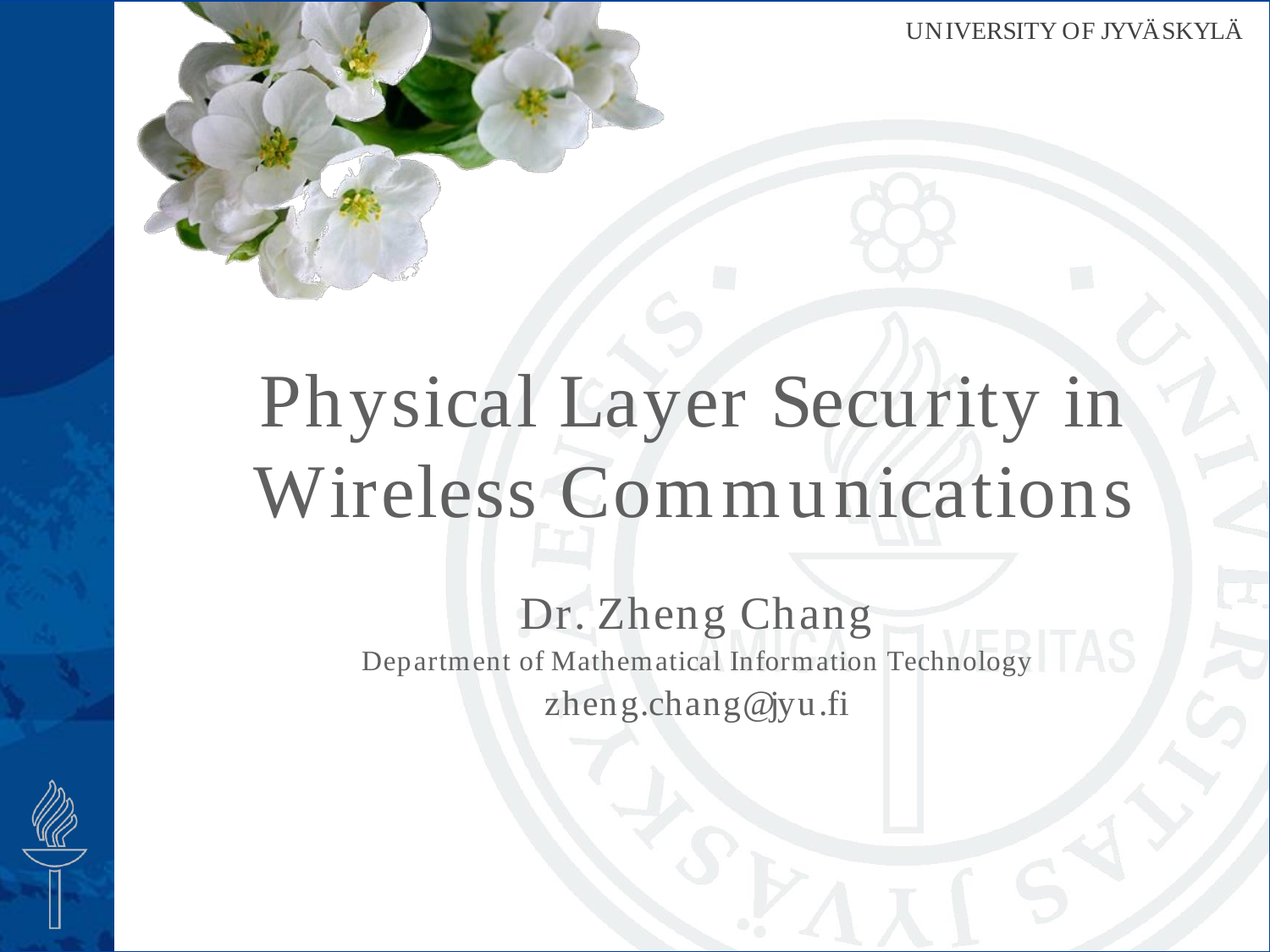

# Physical Layer Security in Wireless Communications

### Dr. Zheng Chang Department of Mathematical Information Technology zheng.chang@jyu.fi

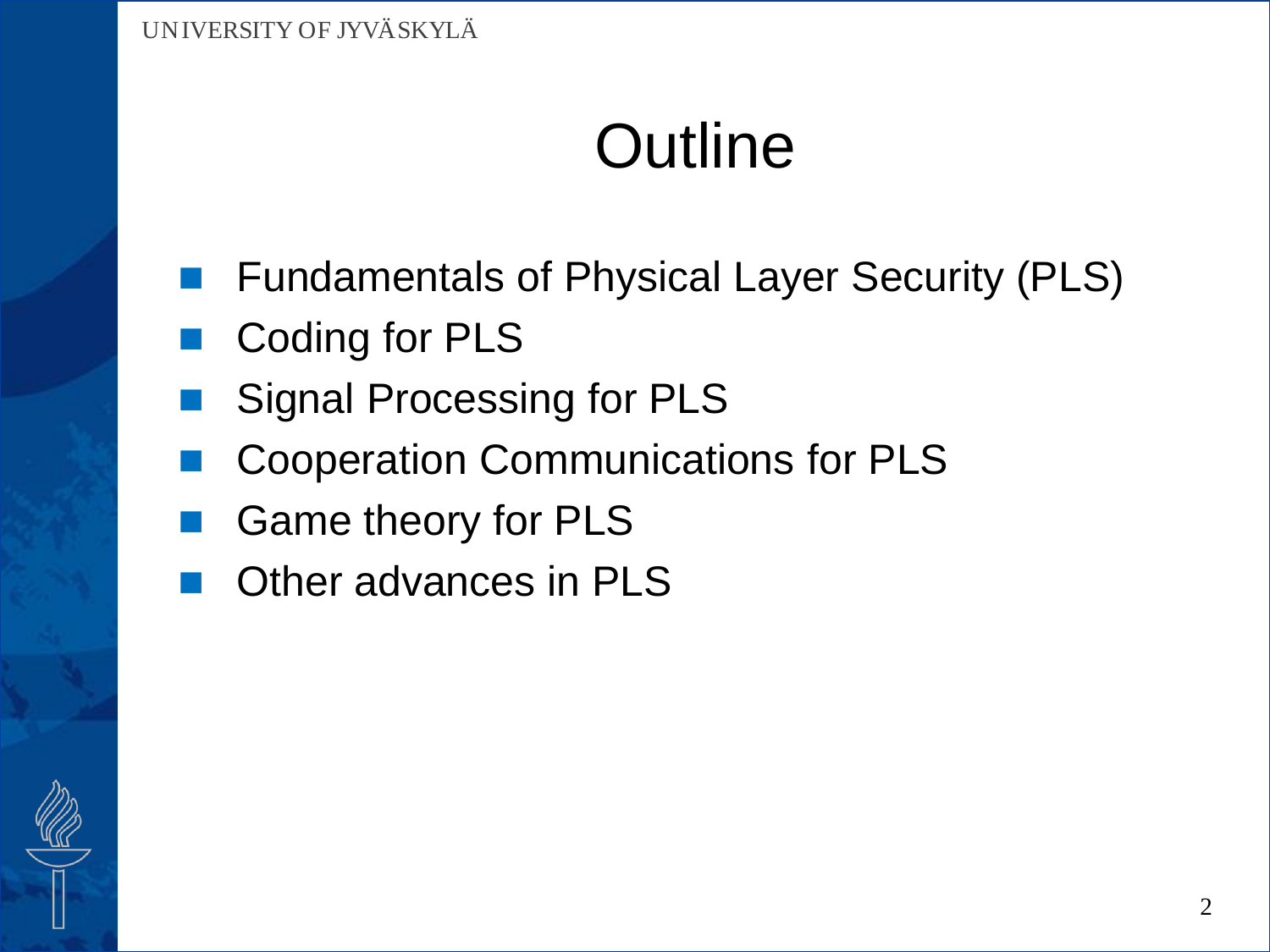## **Outline**

- Fundamentals of Physical Layer Security (PLS)
- Coding for PLS
- Signal Processing for PLS
- Cooperation Communications for PLS
- Game theory for PLS
- Other advances in PLS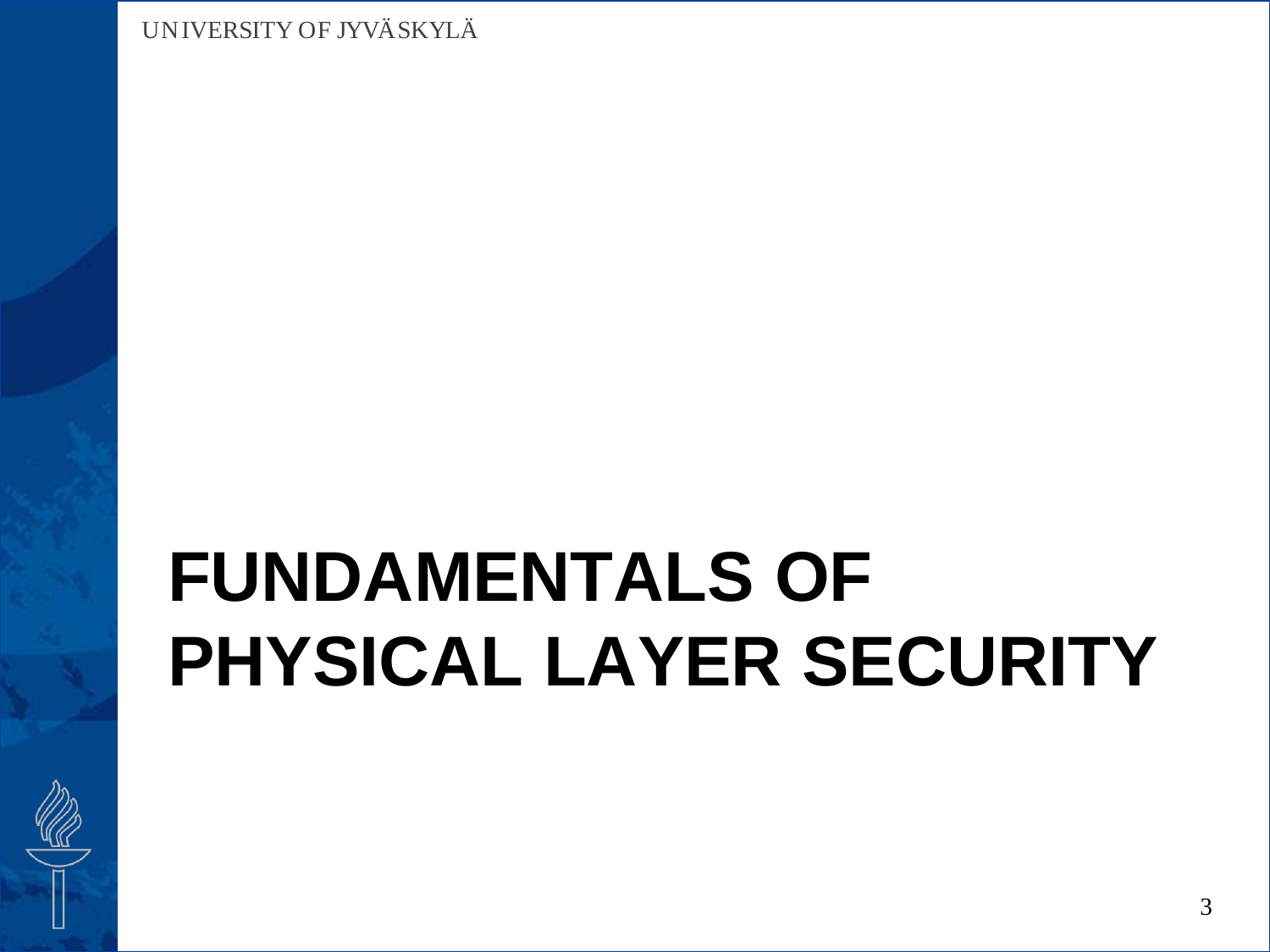# **FUNDAMENTALS OF PHYSICAL LAYER SECURITY**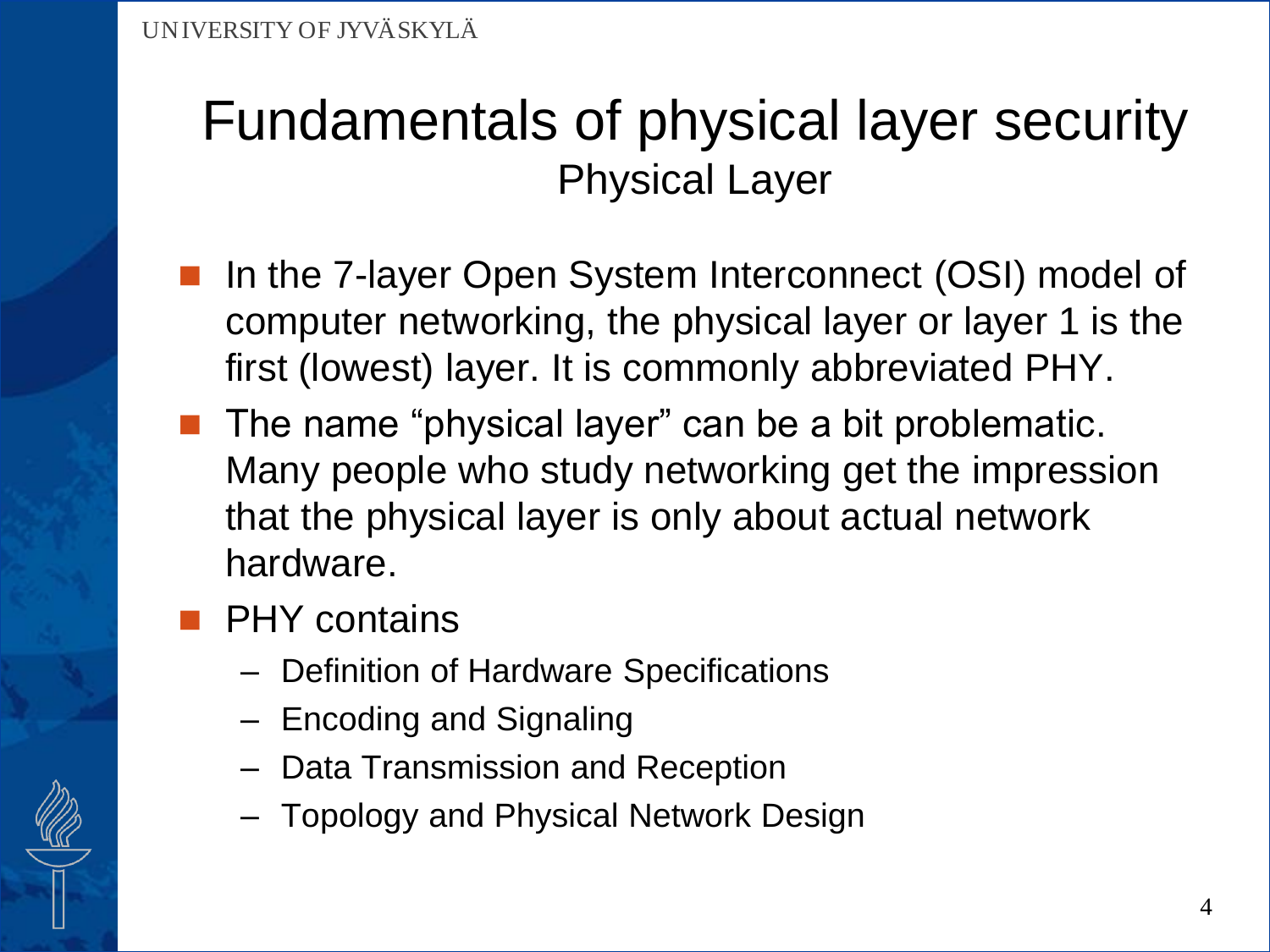- In the 7-layer Open System Interconnect (OSI) model of computer networking, the physical layer or layer 1 is the first (lowest) layer. It is commonly abbreviated PHY.
- The name "physical layer" can be a bit problematic. Many people who study networking get the impression that the physical layer is only about actual network hardware.
- PHY contains
	- Definition of Hardware Specifications
	- Encoding and Signaling
	- Data Transmission and Reception
	- Topology and Physical Network Design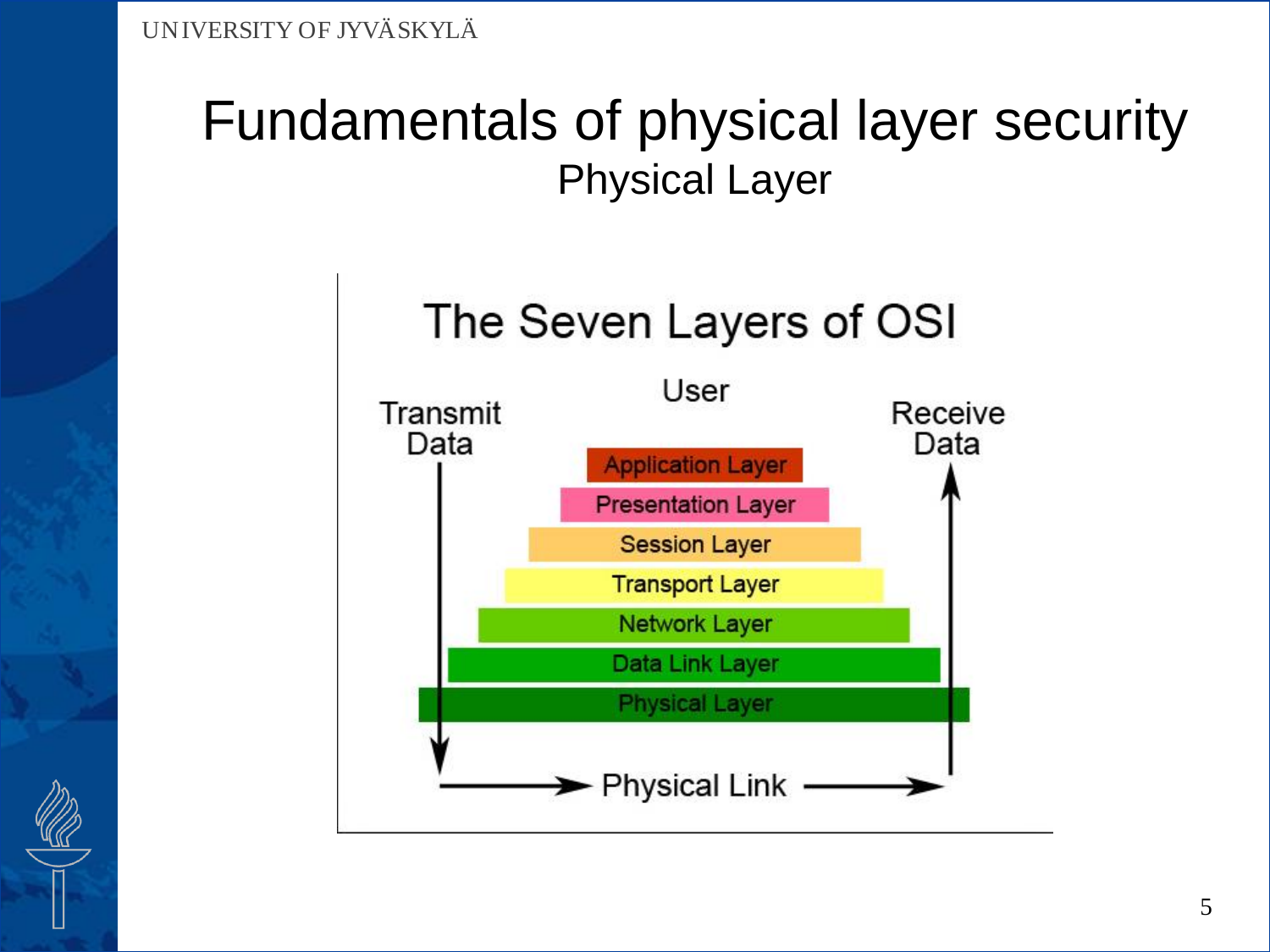

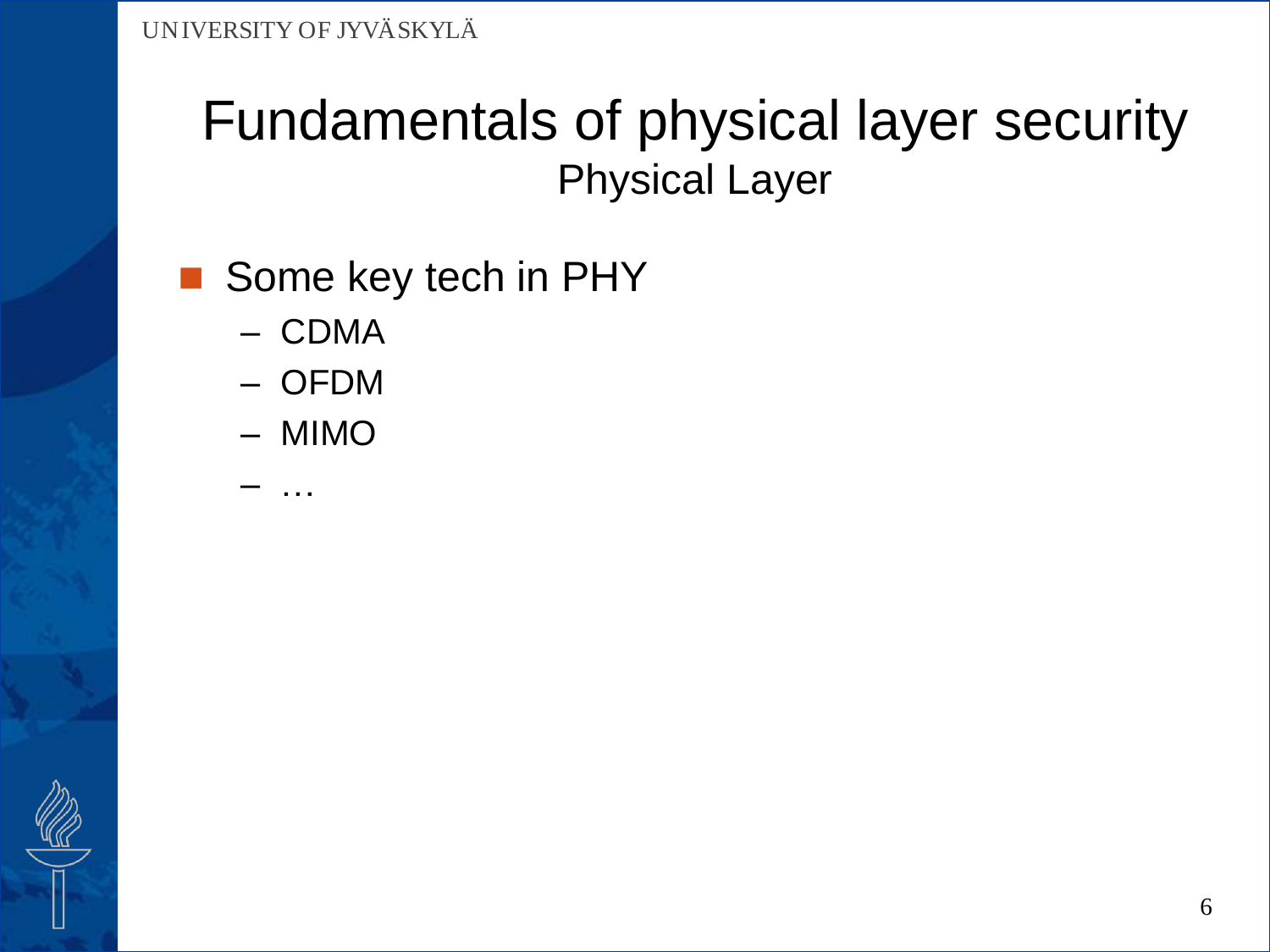### Some key tech in PHY

- CDMA
- OFDM
- MIMO

– …

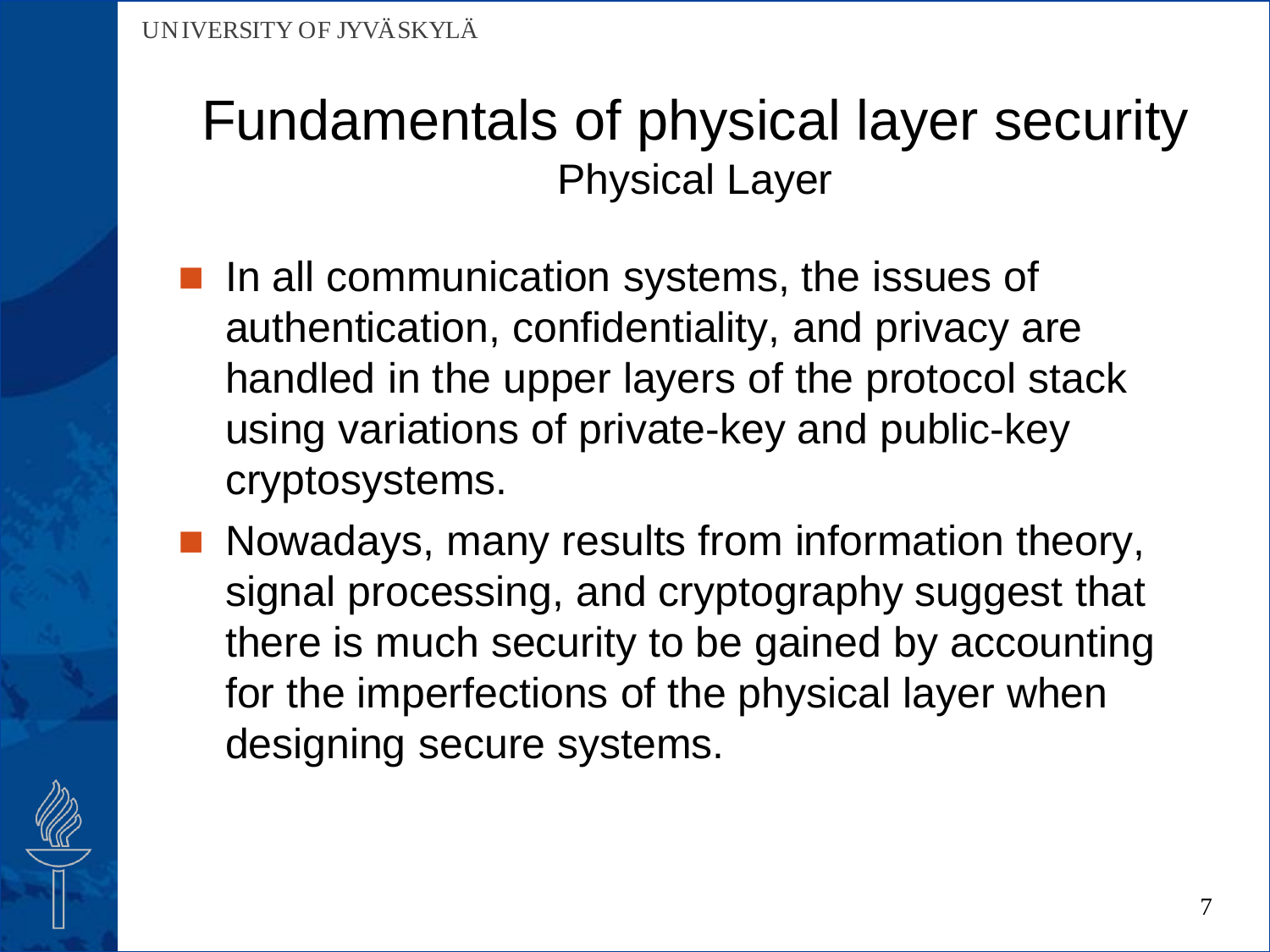- **If** In all communication systems, the issues of authentication, confidentiality, and privacy are handled in the upper layers of the protocol stack using variations of private-key and public-key cryptosystems.
- **Nowadays, many results from information theory,** signal processing, and cryptography suggest that there is much security to be gained by accounting for the imperfections of the physical layer when designing secure systems.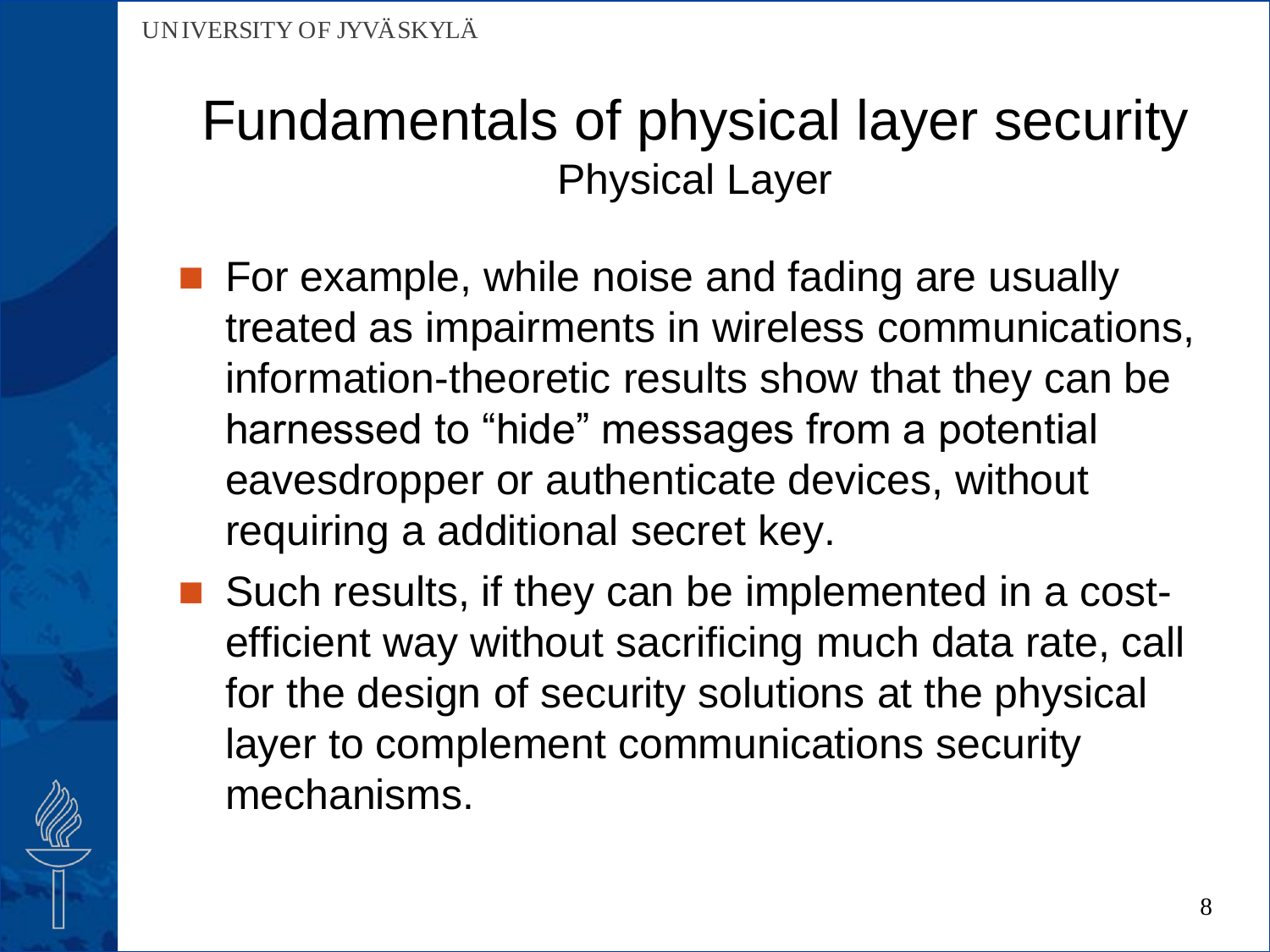- **For example, while noise and fading are usually** treated as impairments in wireless communications, information-theoretic results show that they can be harnessed to "hide" messages from a potential eavesdropper or authenticate devices, without requiring a additional secret key.
- Such results, if they can be implemented in a costefficient way without sacrificing much data rate, call for the design of security solutions at the physical layer to complement communications security mechanisms.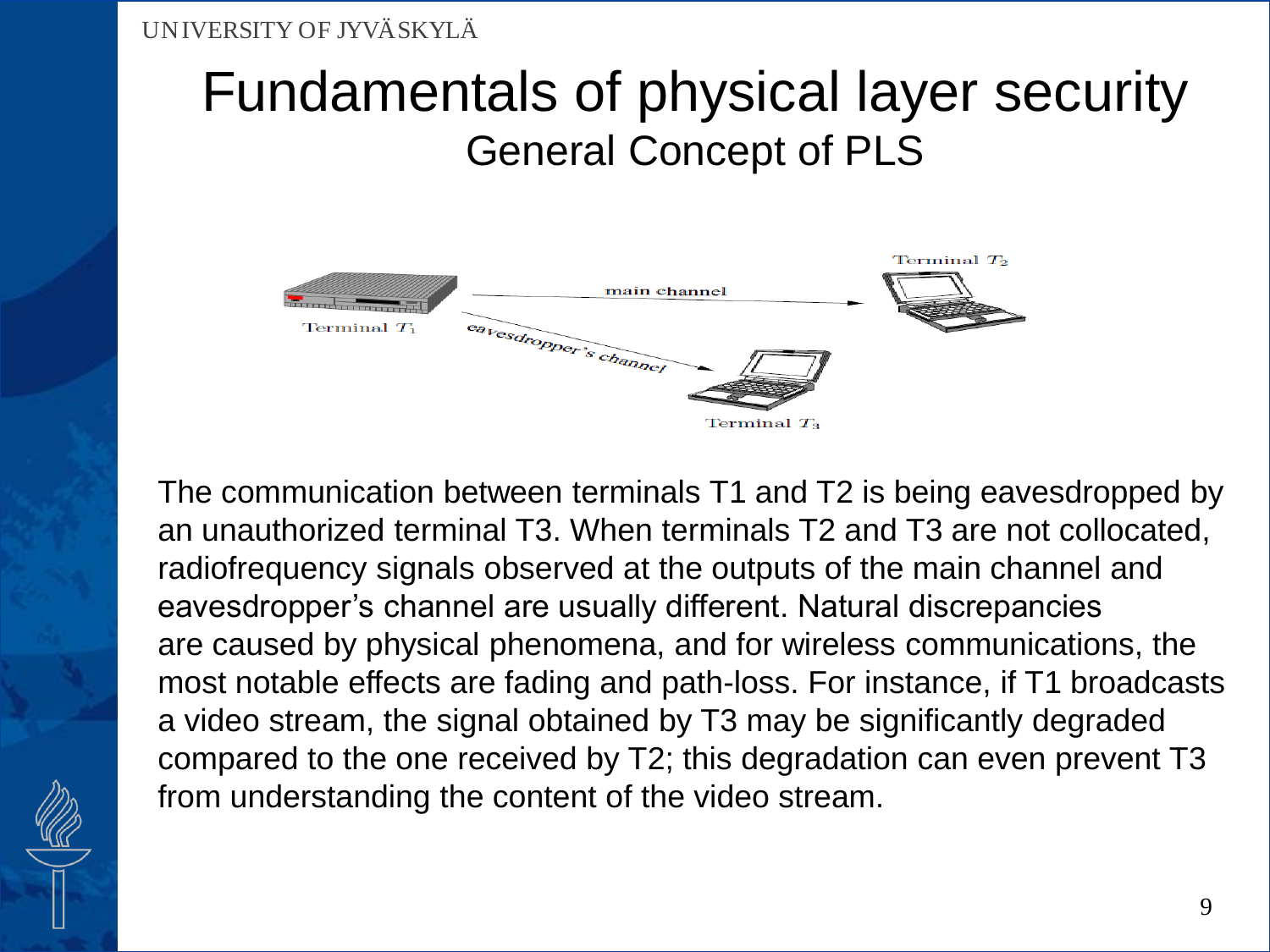### Fundamentals of physical layer security General Concept of PLS



The communication between terminals T1 and T2 is being eavesdropped by an unauthorized terminal T3. When terminals T2 and T3 are not collocated, radiofrequency signals observed at the outputs of the main channel and eavesdropper's channel are usually different. Natural discrepancies are caused by physical phenomena, and for wireless communications, the most notable effects are fading and path-loss. For instance, if T1 broadcasts a video stream, the signal obtained by T3 may be significantly degraded compared to the one received by T2; this degradation can even prevent T3 from understanding the content of the video stream.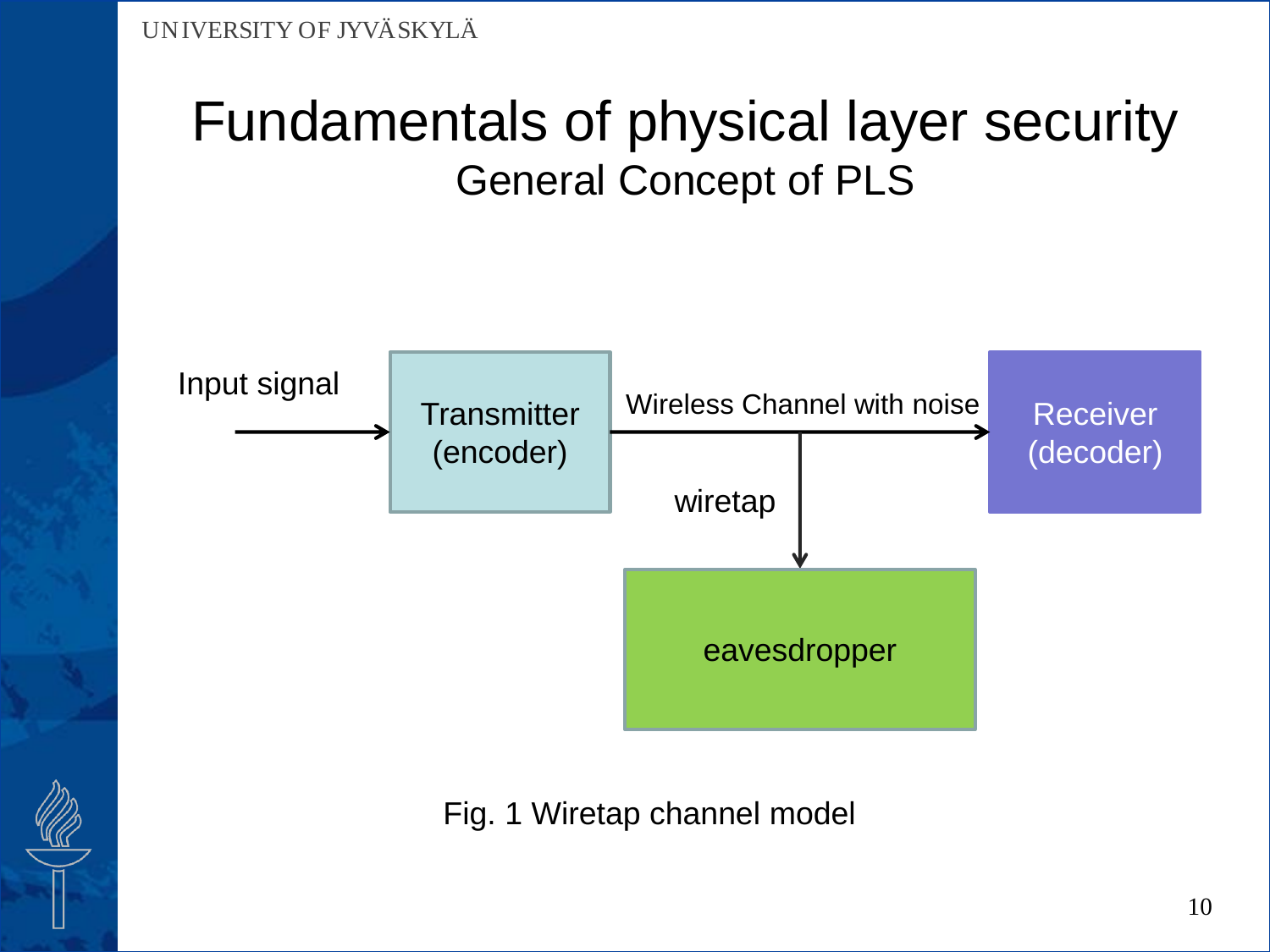### Fundamentals of physical layer security General Concept of PLS



Fig. 1 Wiretap channel model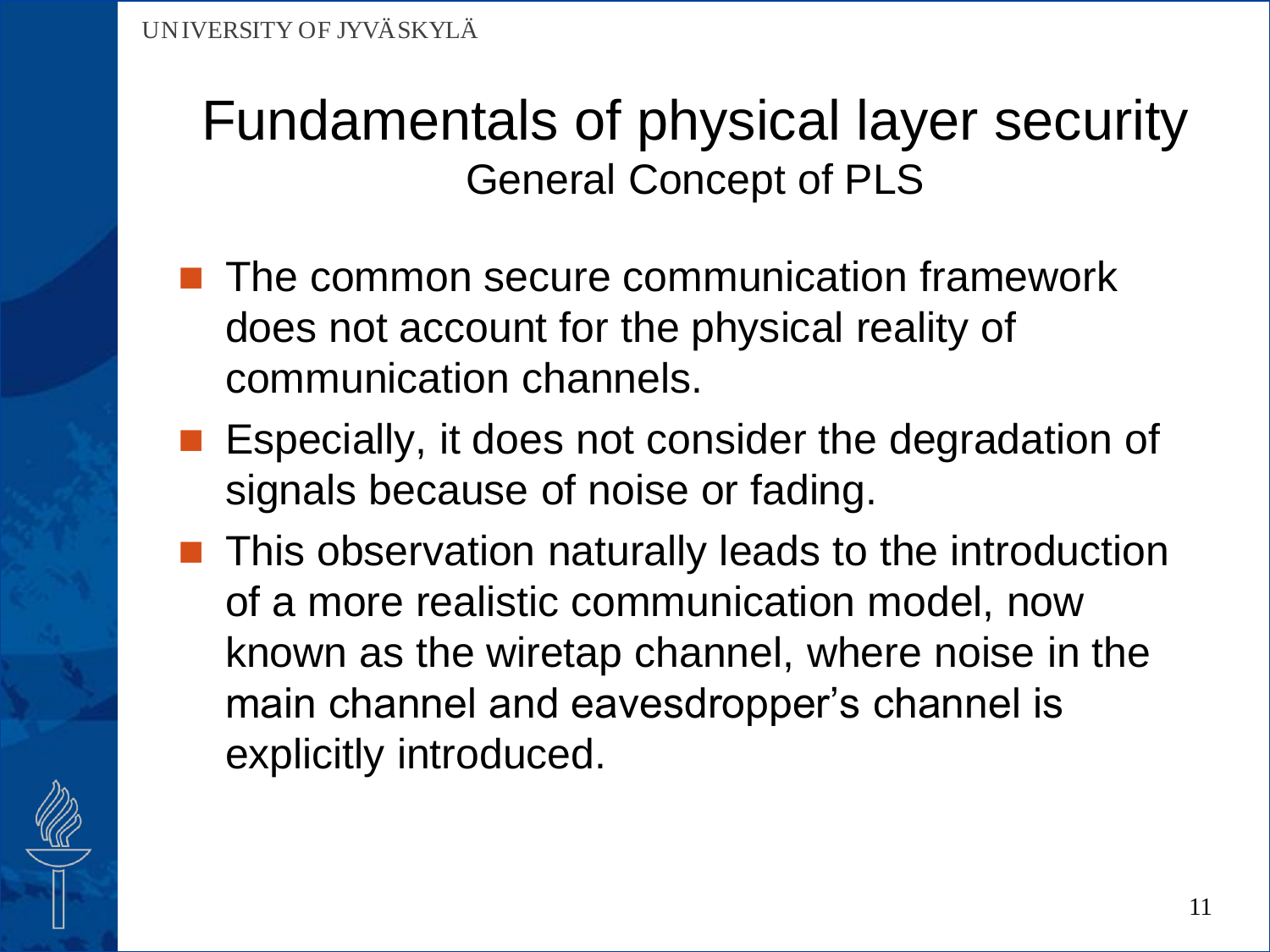### Fundamentals of physical layer security General Concept of PLS

- The common secure communication framework does not account for the physical reality of communication channels.
- **Expecially, it does not consider the degradation of** signals because of noise or fading.
- **This observation naturally leads to the introduction** of a more realistic communication model, now known as the wiretap channel, where noise in the main channel and eavesdropper's channel is explicitly introduced.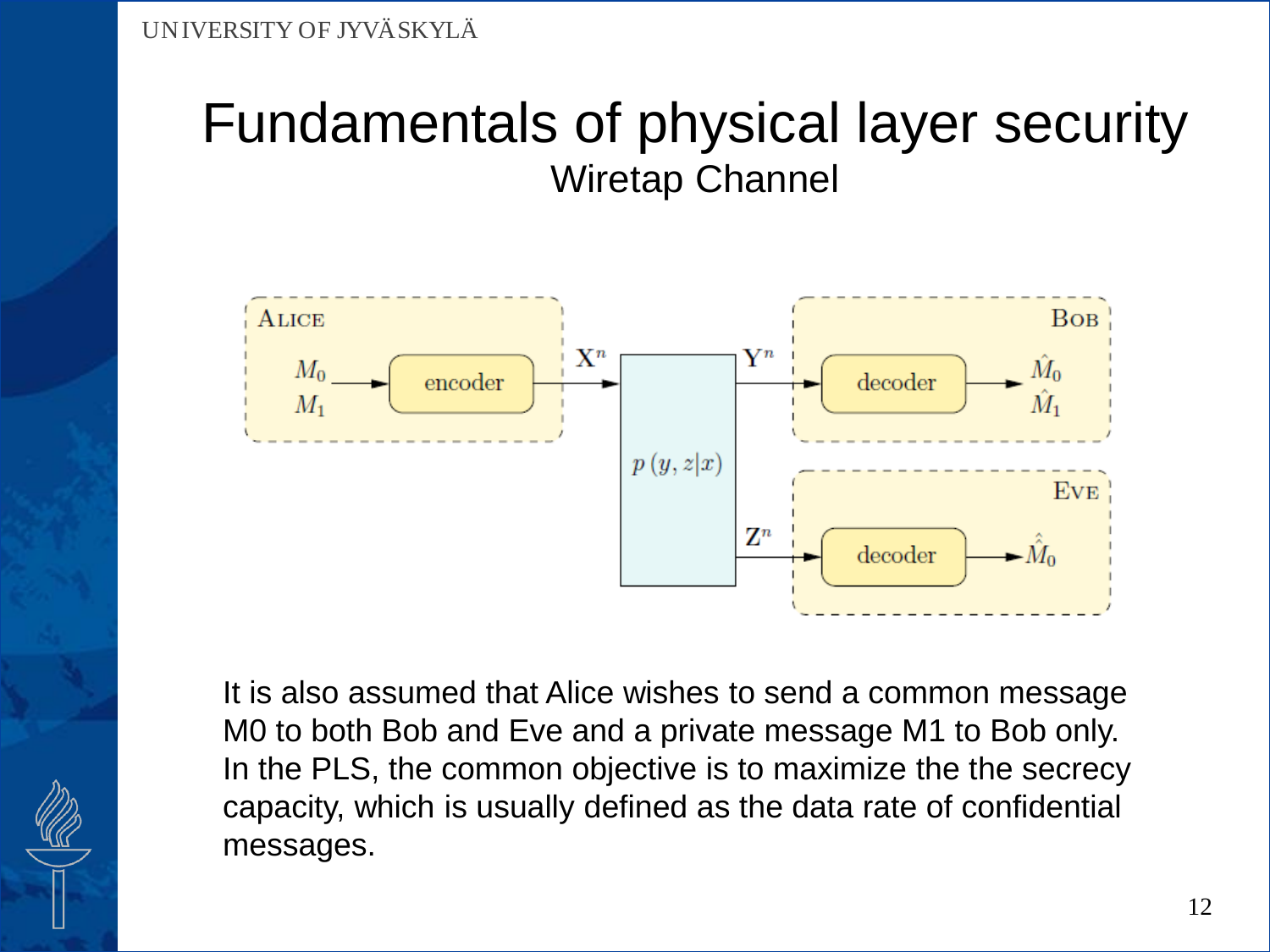

It is also assumed that Alice wishes to send a common message M0 to both Bob and Eve and a private message M1 to Bob only. In the PLS, the common objective is to maximize the the secrecy capacity, which is usually defined as the data rate of confidential messages.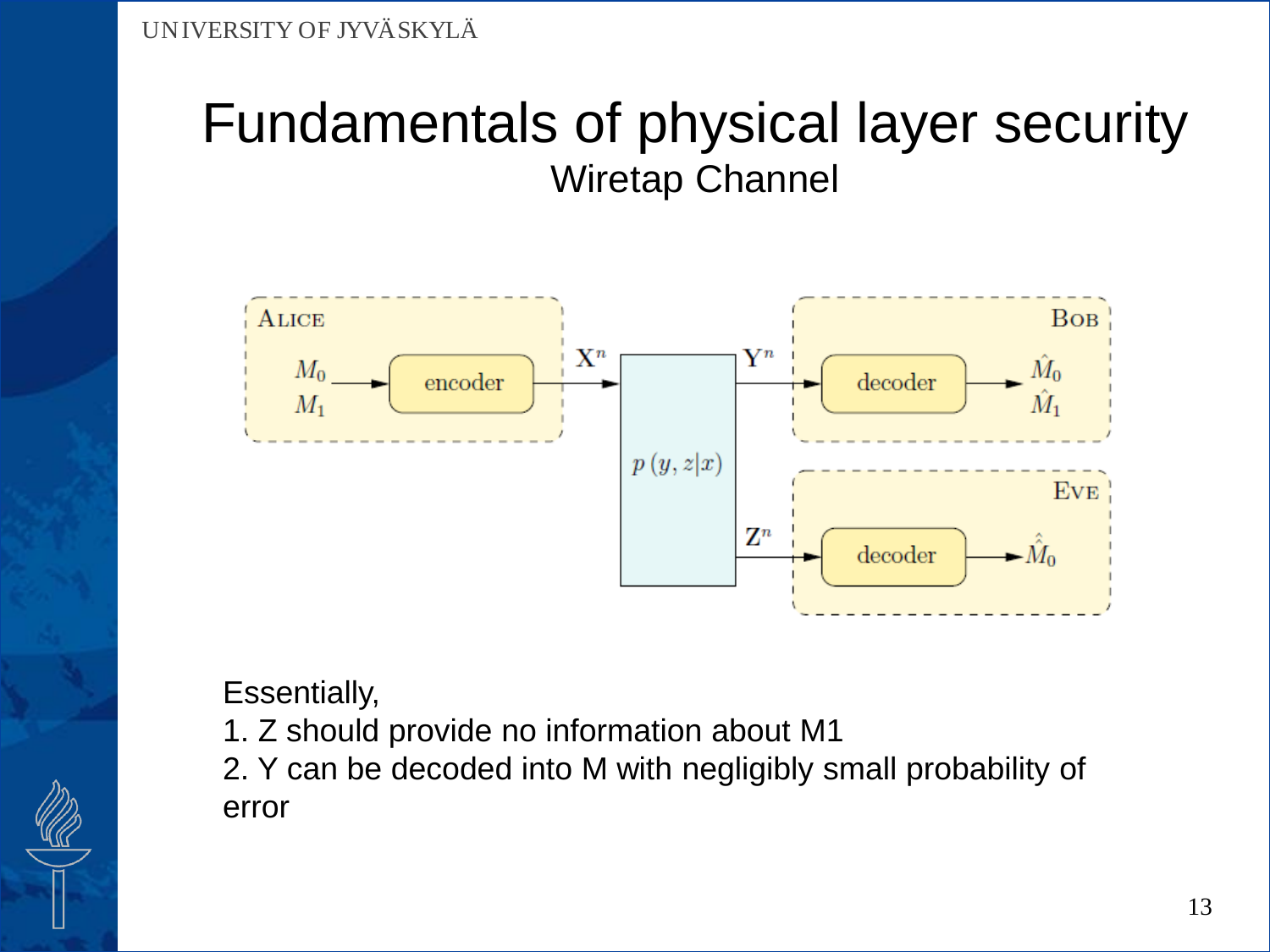

Essentially,

1. Z should provide no information about M1

2. Y can be decoded into M with negligibly small probability of error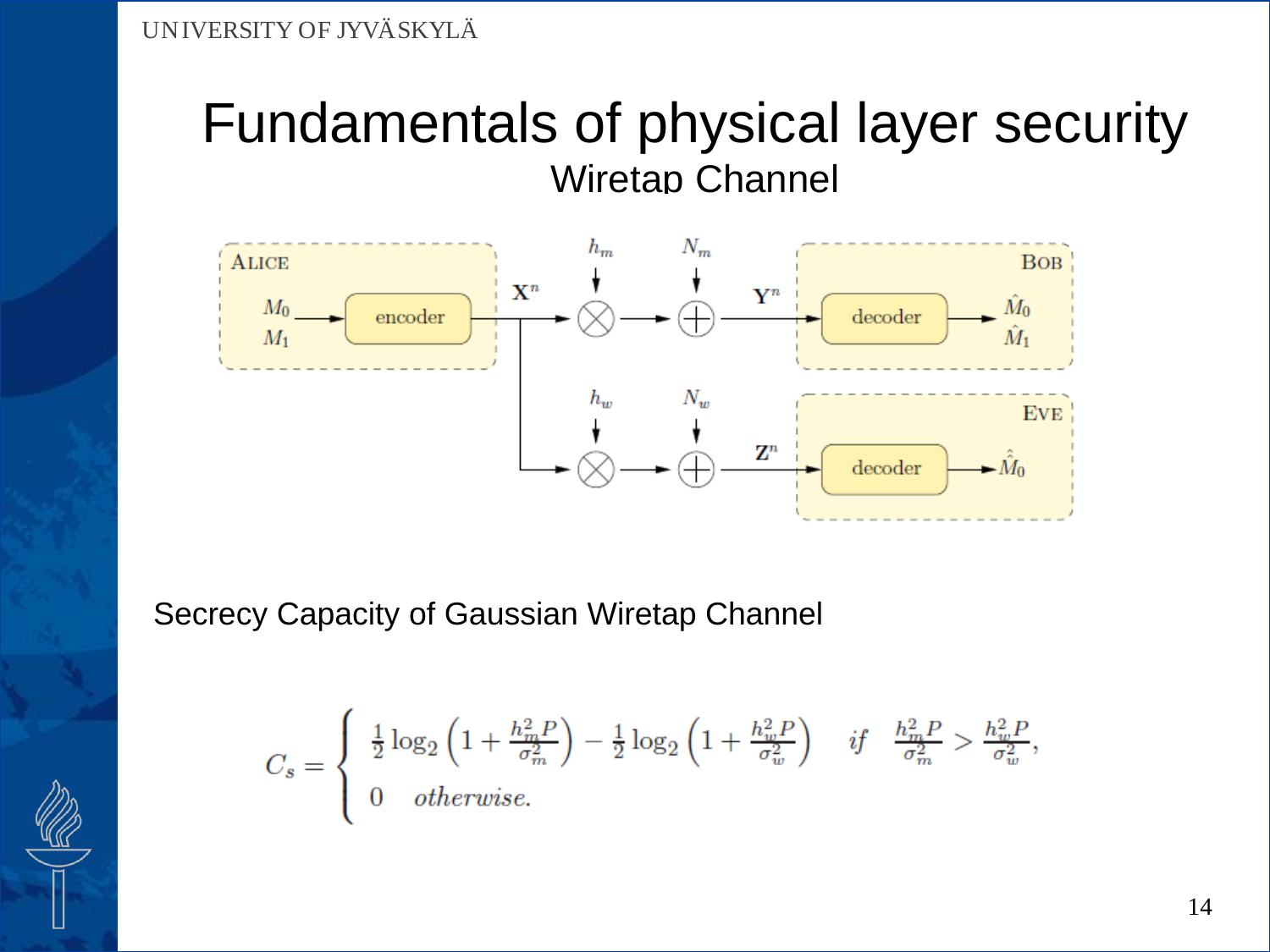

Secrecy Capacity of Gaussian Wiretap Channel

$$
C_s = \left\{ \begin{array}{ll} \frac{1}{2}\log_2\left(1+\frac{h_m^2P}{\sigma_m^2}\right)-\frac{1}{2}\log_2\left(1+\frac{h_w^2P}{\sigma_w^2}\right) & \textit{if} \quad \frac{h_m^2P}{\sigma_m^2} > \frac{h_w^2P}{\sigma_w^2}, \\ 0 & \textit{otherwise}. \end{array} \right.
$$

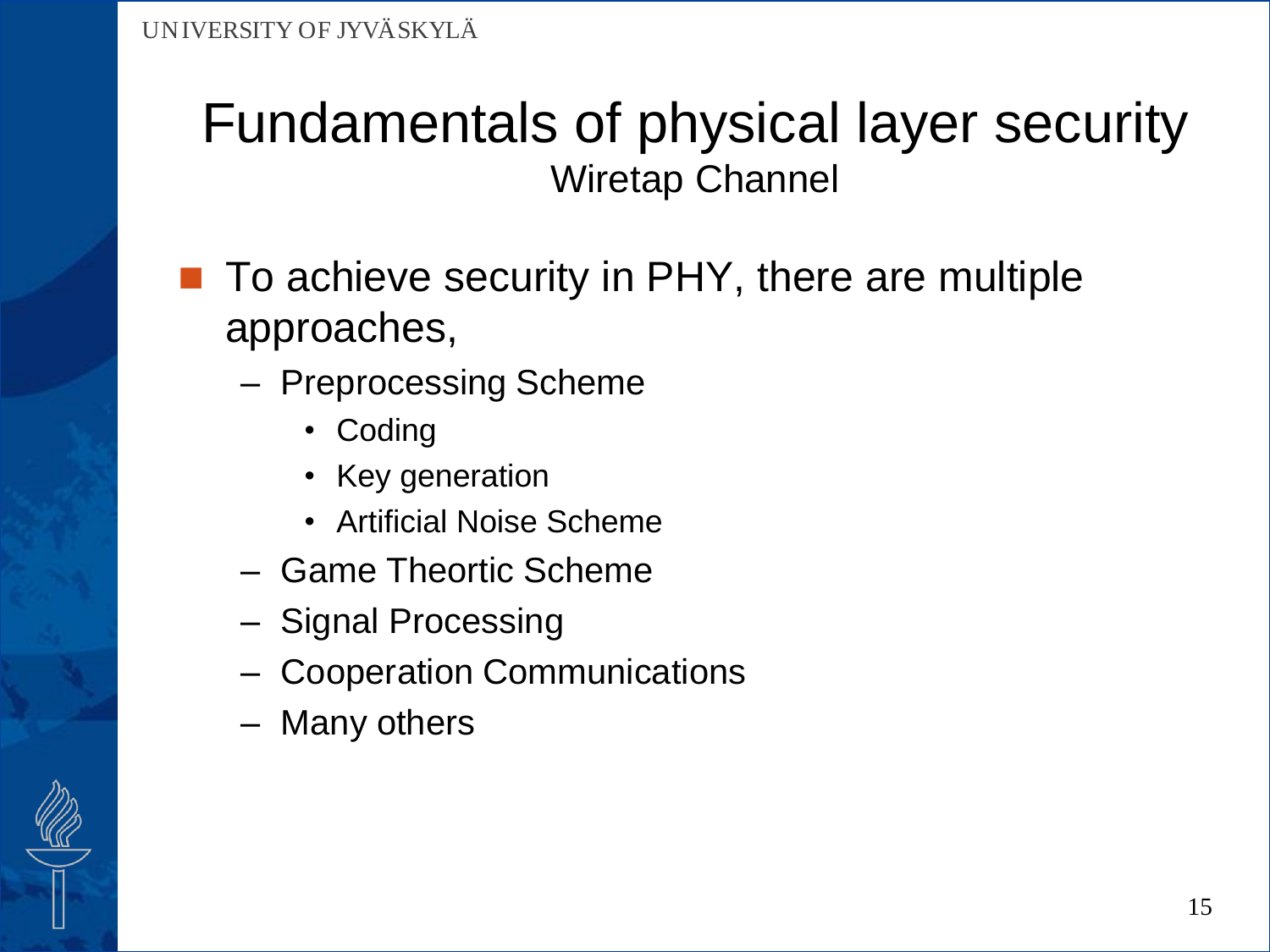- To achieve security in PHY, there are multiple approaches,
	- Preprocessing Scheme
		- Coding
		- Key generation
		- Artificial Noise Scheme
	- Game Theortic Scheme
	- Signal Processing
	- Cooperation Communications
	- Many others

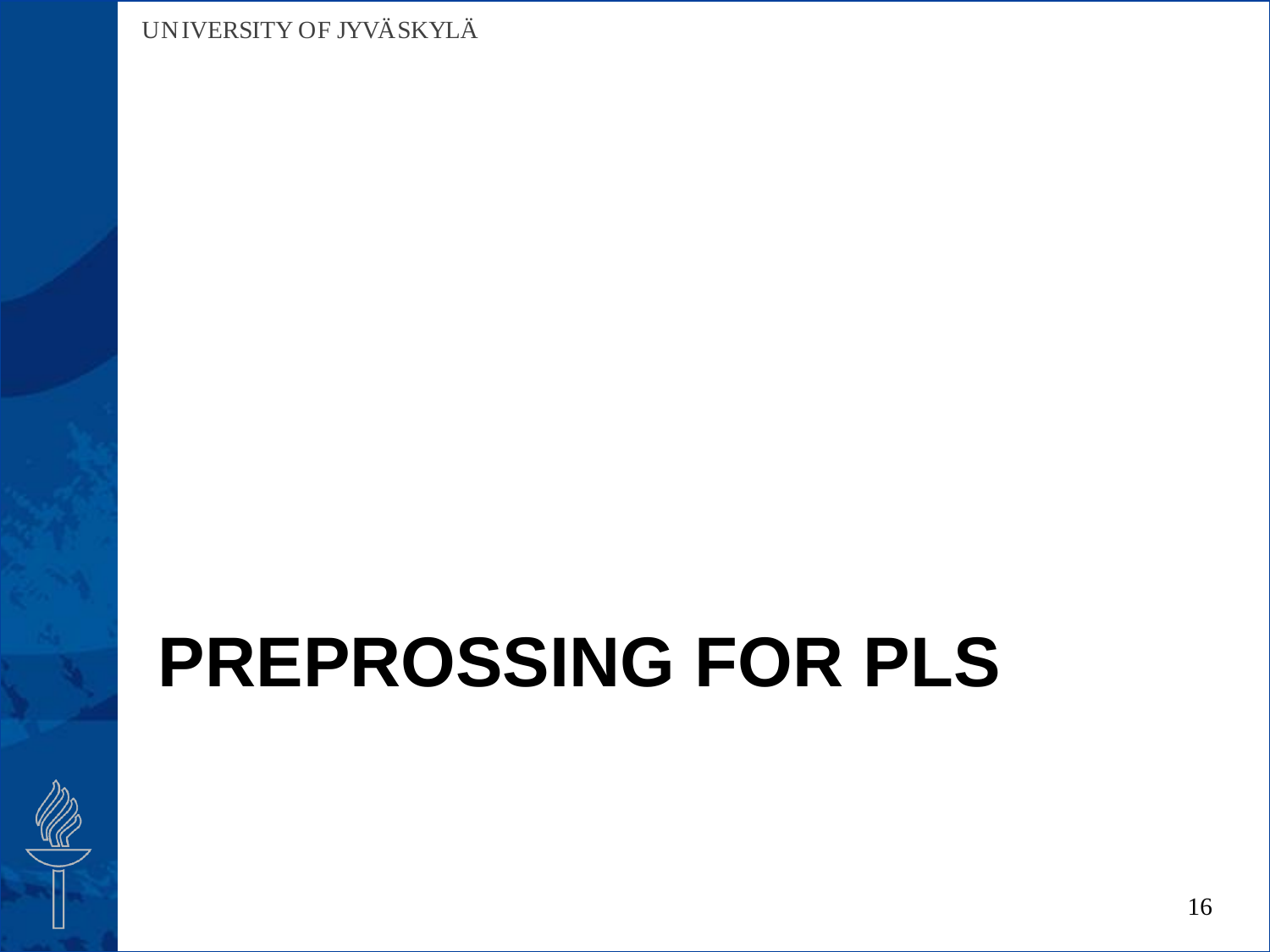# **PREPROSSING FOR PLS**

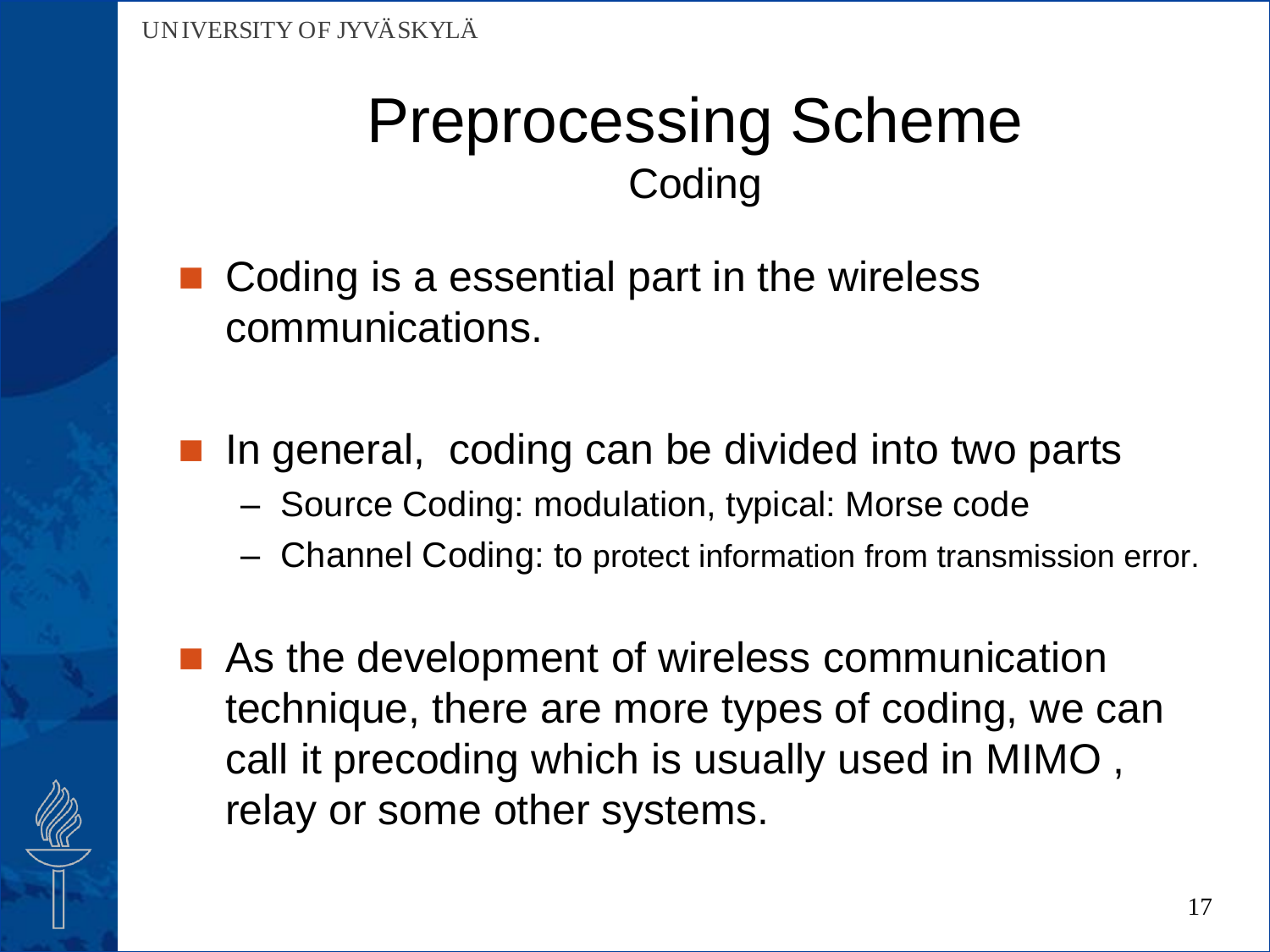### Preprocessing Scheme **Coding**

- Coding is a essential part in the wireless communications.
- In general, coding can be divided into two parts
	- Source Coding: modulation, typical: Morse code
	- Channel Coding: to protect information from transmission error.
- As the development of wireless communication technique, there are more types of coding, we can call it precoding which is usually used in MIMO , relay or some other systems.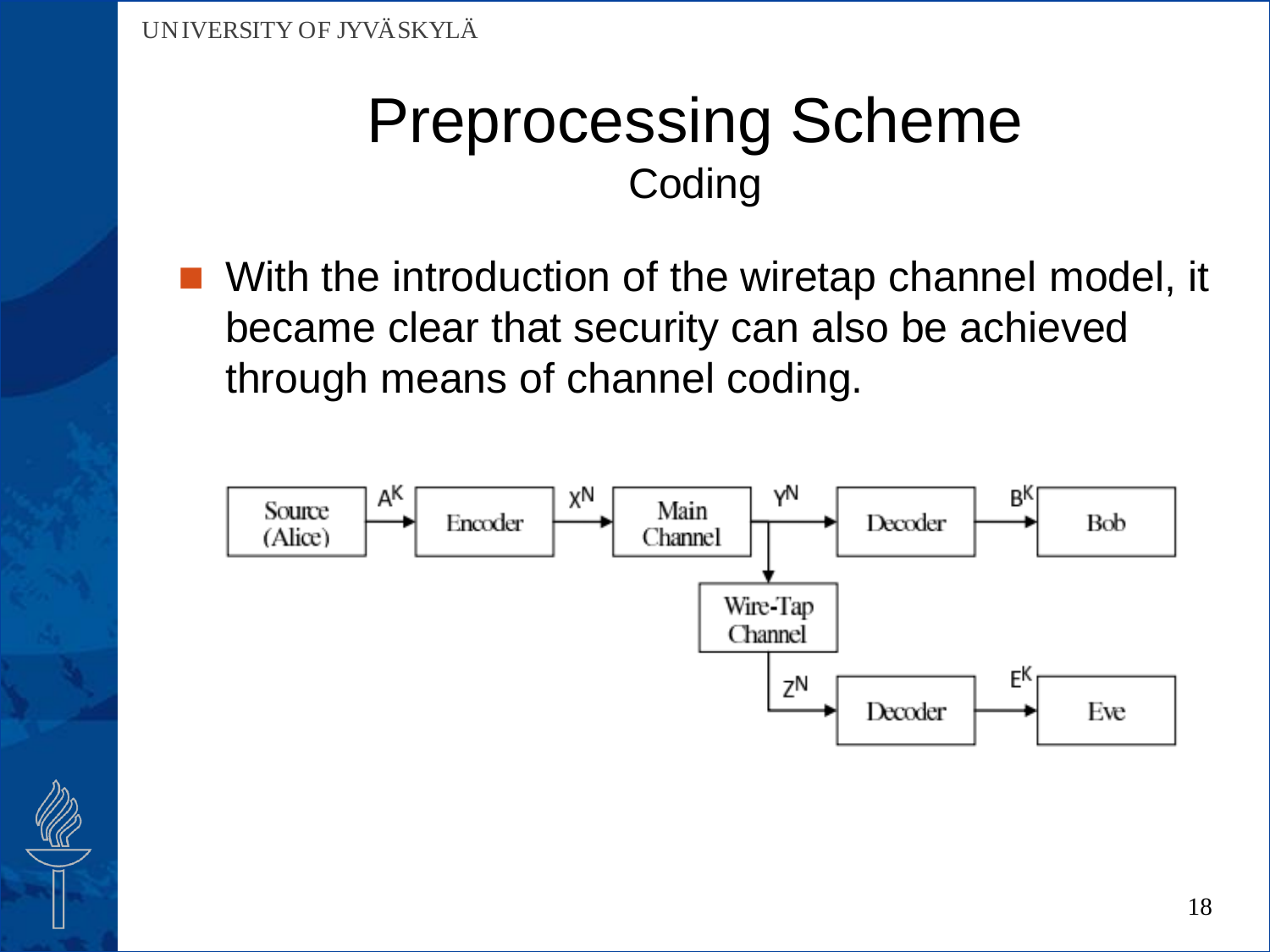### Preprocessing Scheme **Coding**

 With the introduction of the wiretap channel model, it became clear that security can also be achieved through means of channel coding.



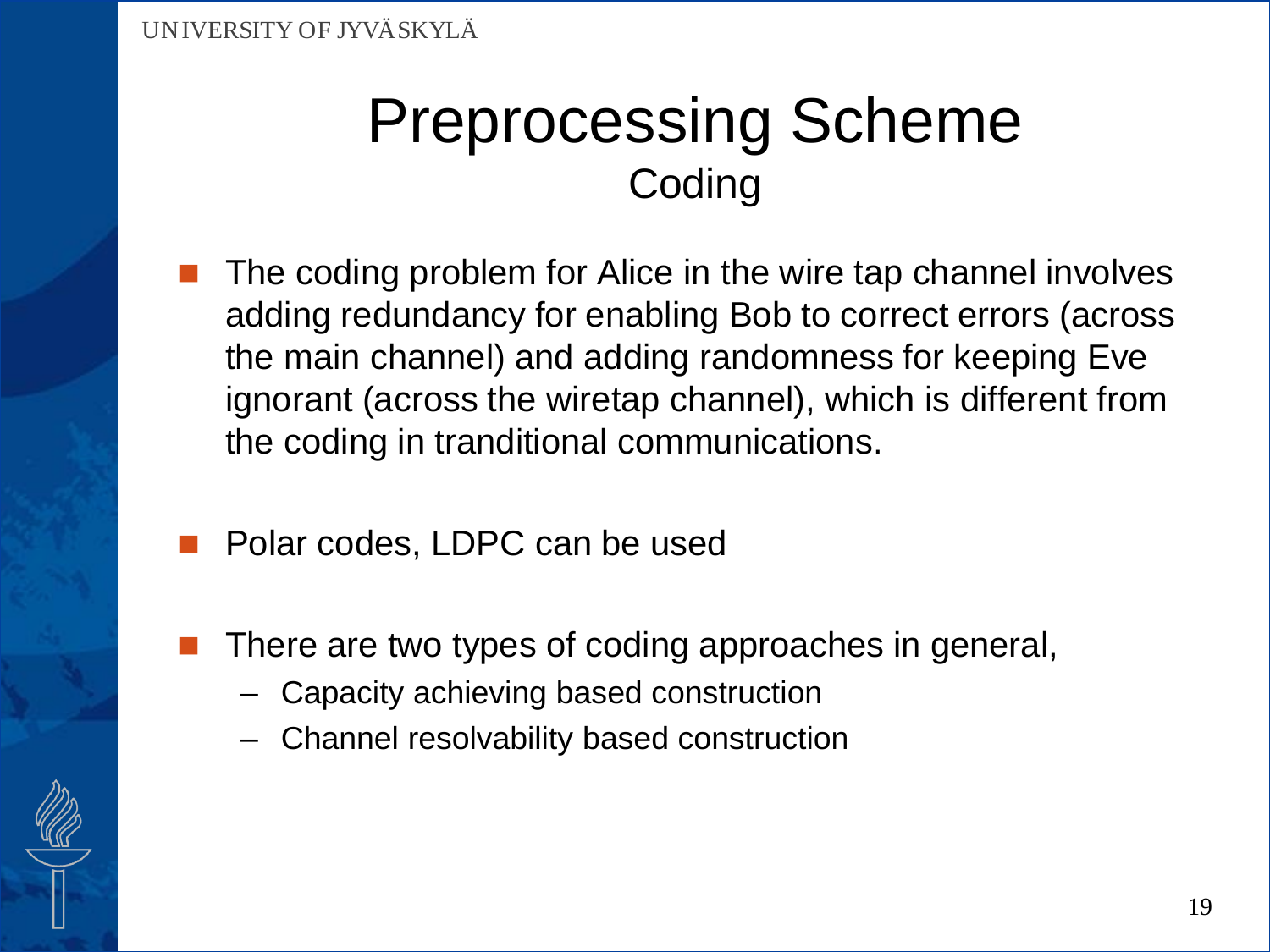### Preprocessing Scheme **Coding**

- The coding problem for Alice in the wire tap channel involves adding redundancy for enabling Bob to correct errors (across the main channel) and adding randomness for keeping Eve ignorant (across the wiretap channel), which is different from the coding in tranditional communications.
- Polar codes, LDPC can be used
- There are two types of coding approaches in general,
	- Capacity achieving based construction
	- Channel resolvability based construction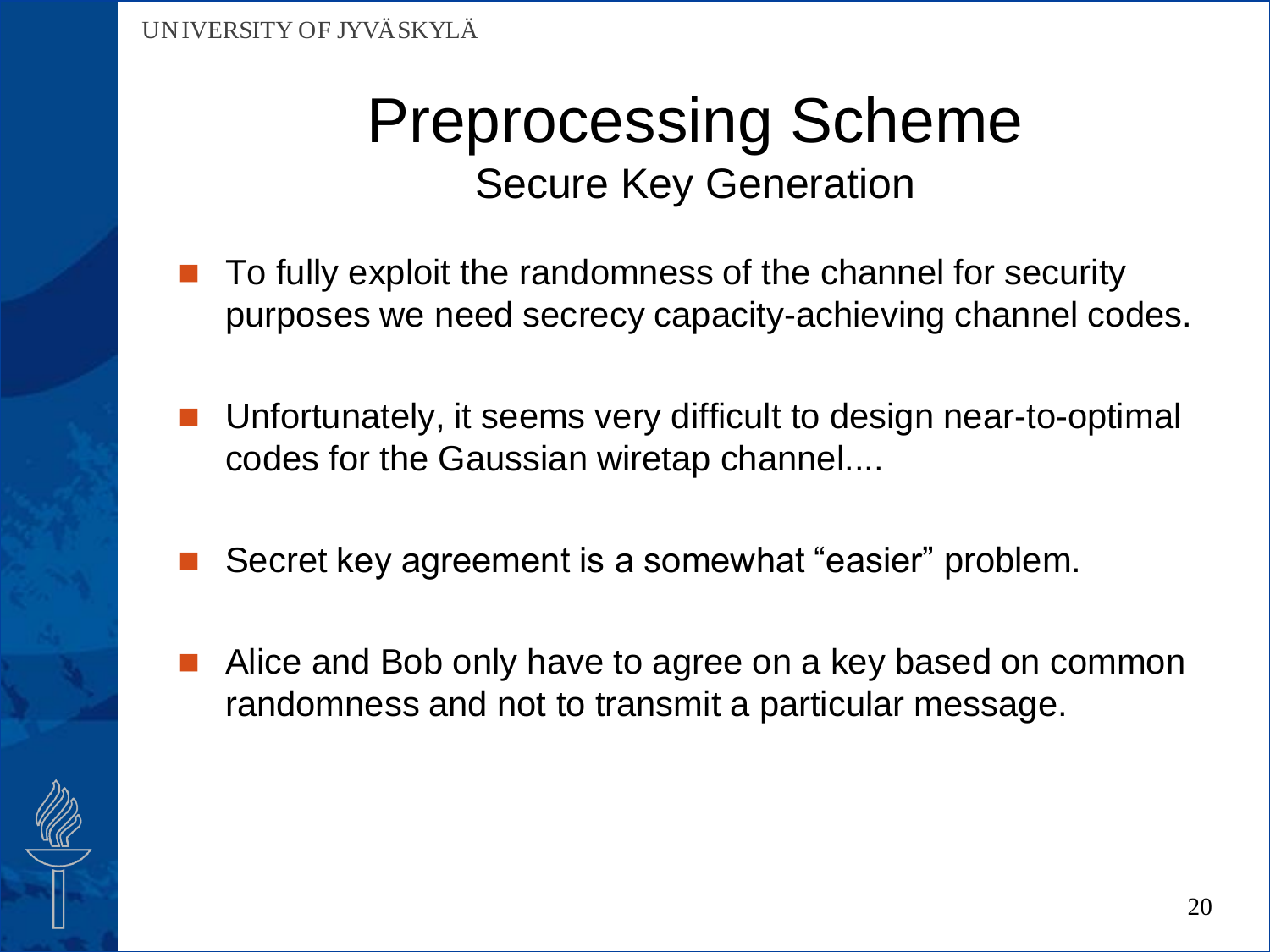- To fully exploit the randomness of the channel for security purposes we need secrecy capacity-achieving channel codes.
- Unfortunately, it seems very difficult to design near-to-optimal codes for the Gaussian wiretap channel....
- Secret key agreement is a somewhat "easier" problem.
- Alice and Bob only have to agree on a key based on common randomness and not to transmit a particular message.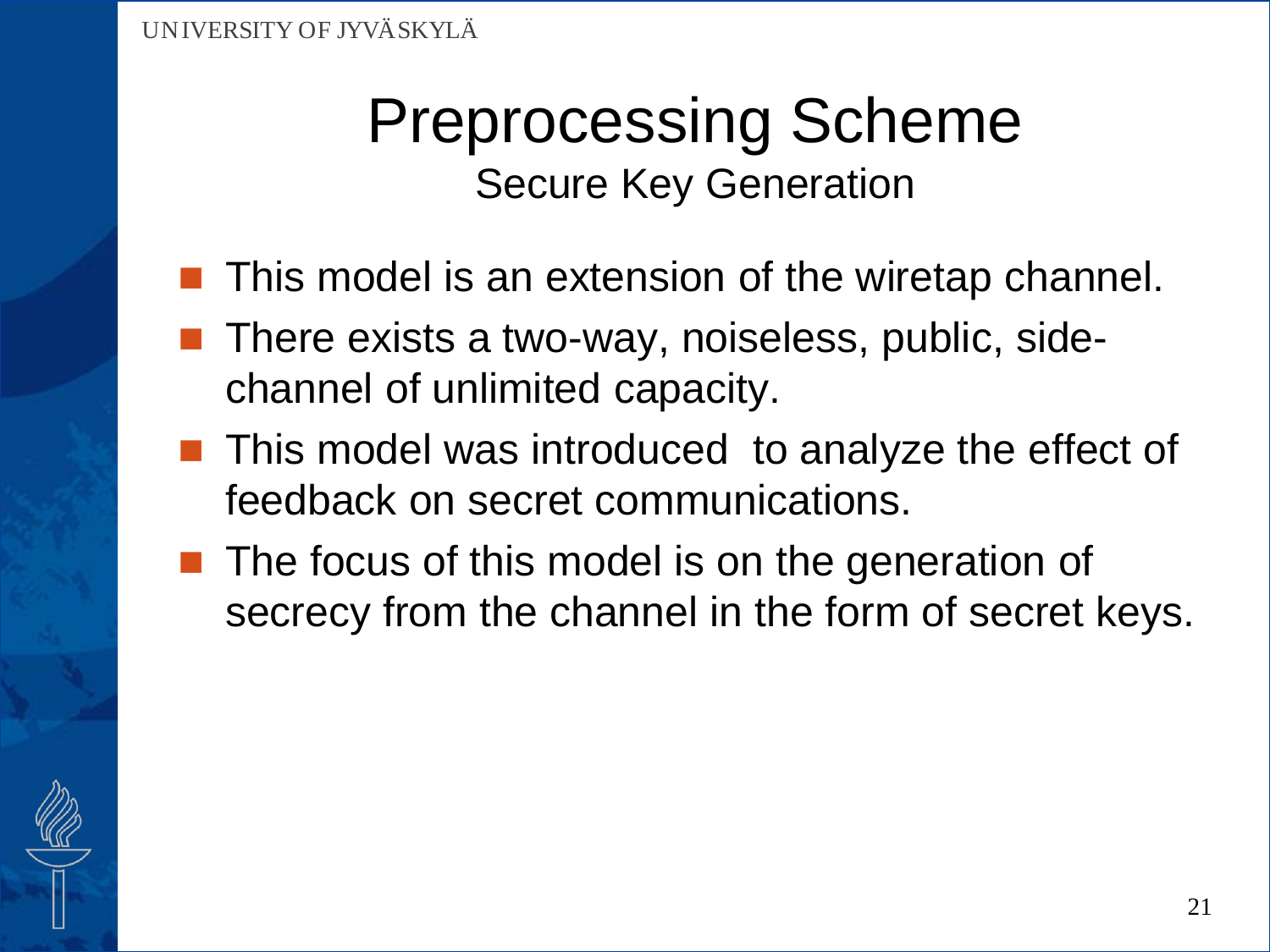- **This model is an extension of the wiretap channel.**
- There exists a two-way, noiseless, public, sidechannel of unlimited capacity.
- **This model was introduced to analyze the effect of** feedback on secret communications.
- $\blacksquare$  The focus of this model is on the generation of secrecy from the channel in the form of secret keys.

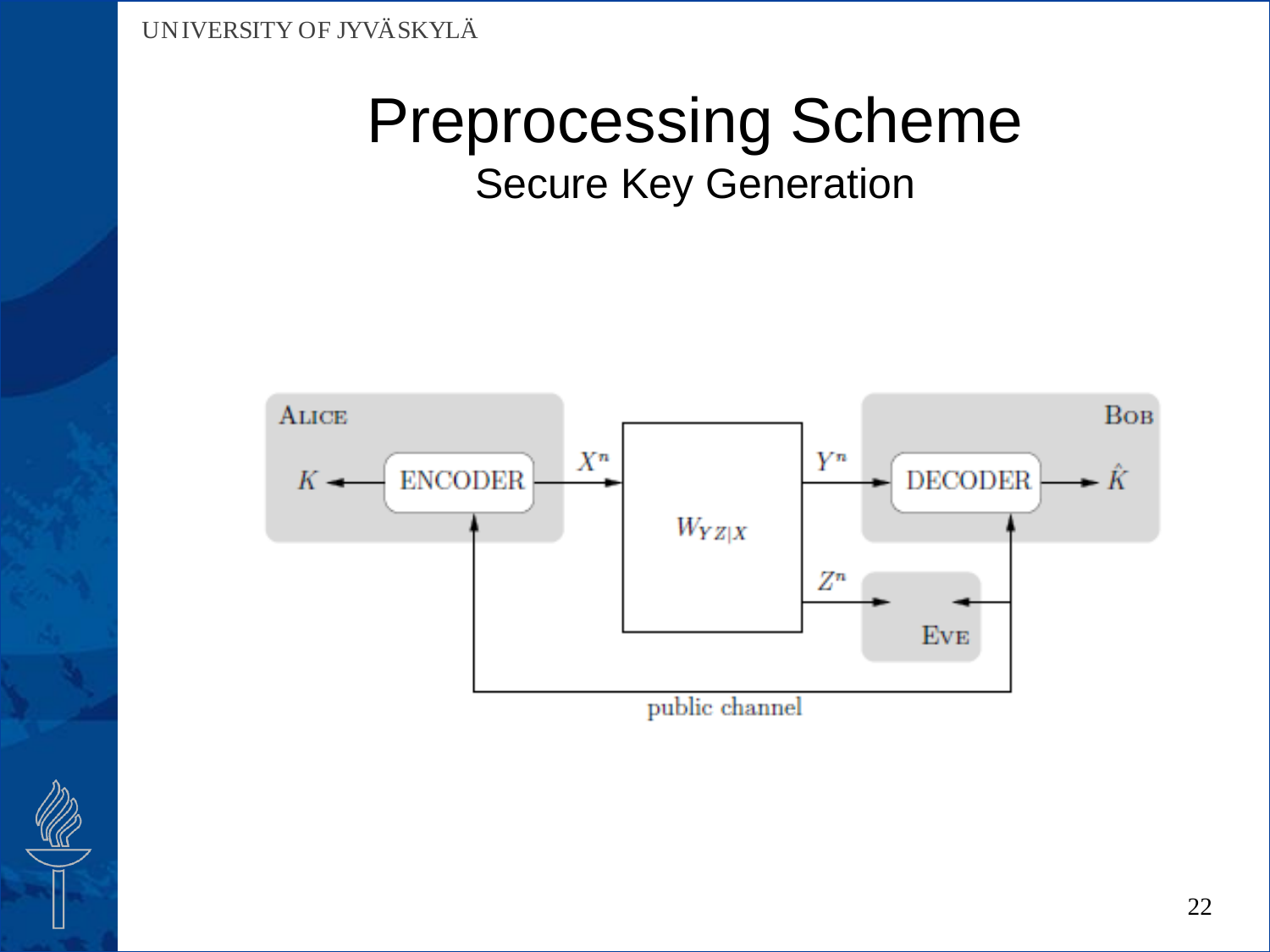

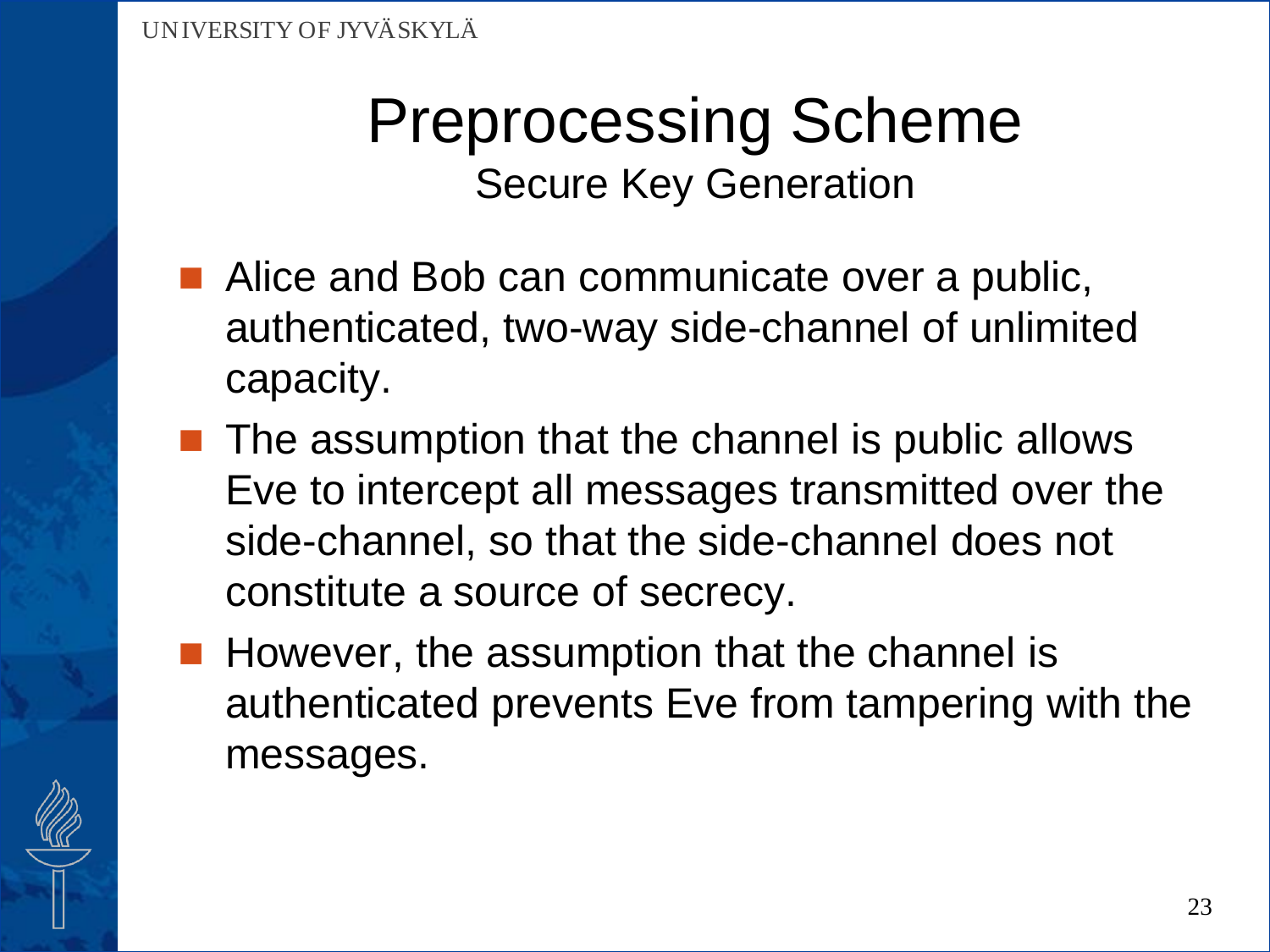- Alice and Bob can communicate over a public, authenticated, two-way side-channel of unlimited capacity.
- $\blacksquare$  The assumption that the channel is public allows Eve to intercept all messages transmitted over the side-channel, so that the side-channel does not constitute a source of secrecy.
- **However, the assumption that the channel is** authenticated prevents Eve from tampering with the messages.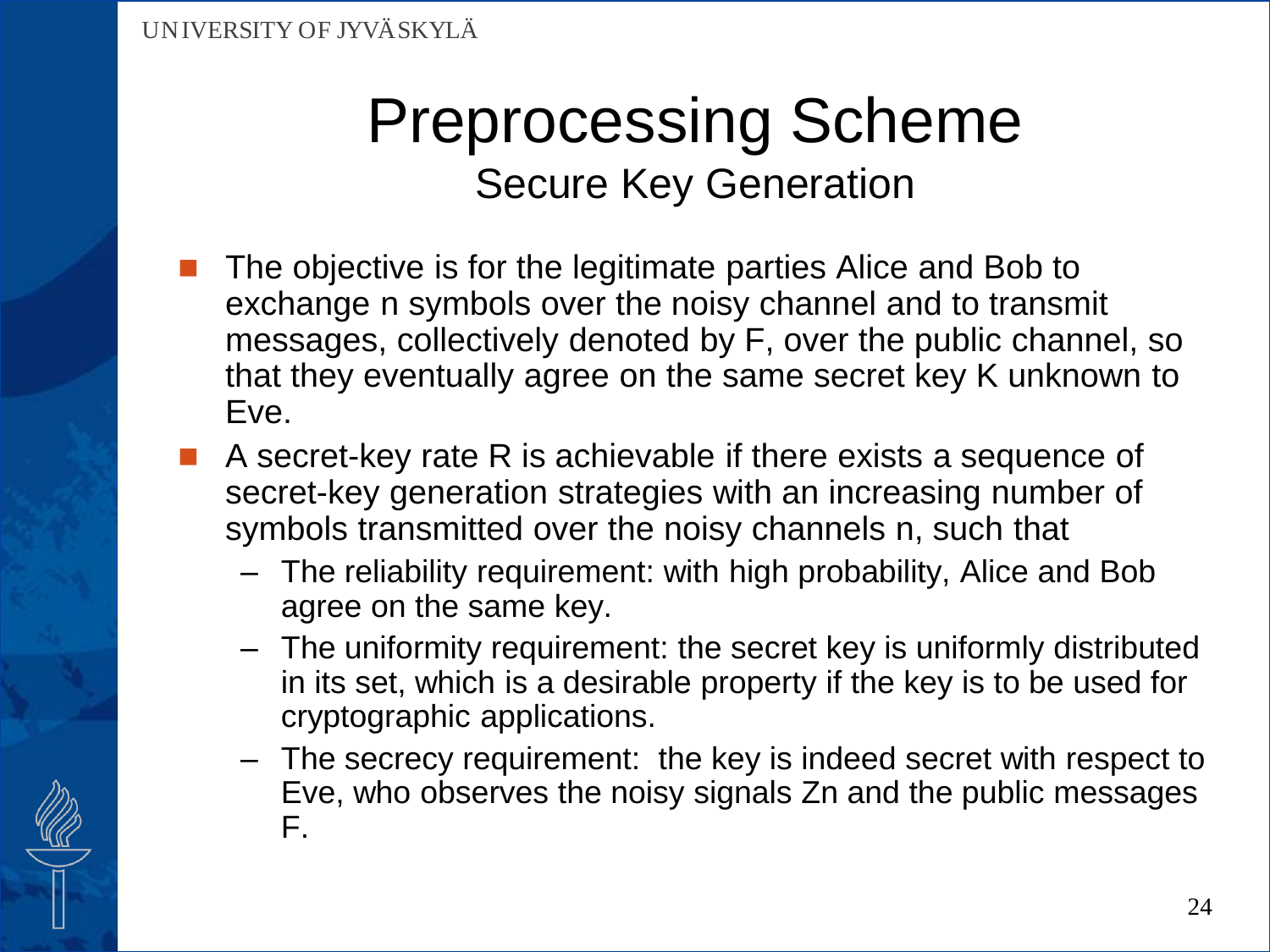- The objective is for the legitimate parties Alice and Bob to exchange n symbols over the noisy channel and to transmit messages, collectively denoted by F, over the public channel, so that they eventually agree on the same secret key K unknown to Eve.
- A secret-key rate R is achievable if there exists a sequence of secret-key generation strategies with an increasing number of symbols transmitted over the noisy channels n, such that
	- The reliability requirement: with high probability, Alice and Bob agree on the same key.
	- The uniformity requirement: the secret key is uniformly distributed in its set, which is a desirable property if the key is to be used for cryptographic applications.
	- The secrecy requirement: the key is indeed secret with respect to Eve, who observes the noisy signals Zn and the public messages F.

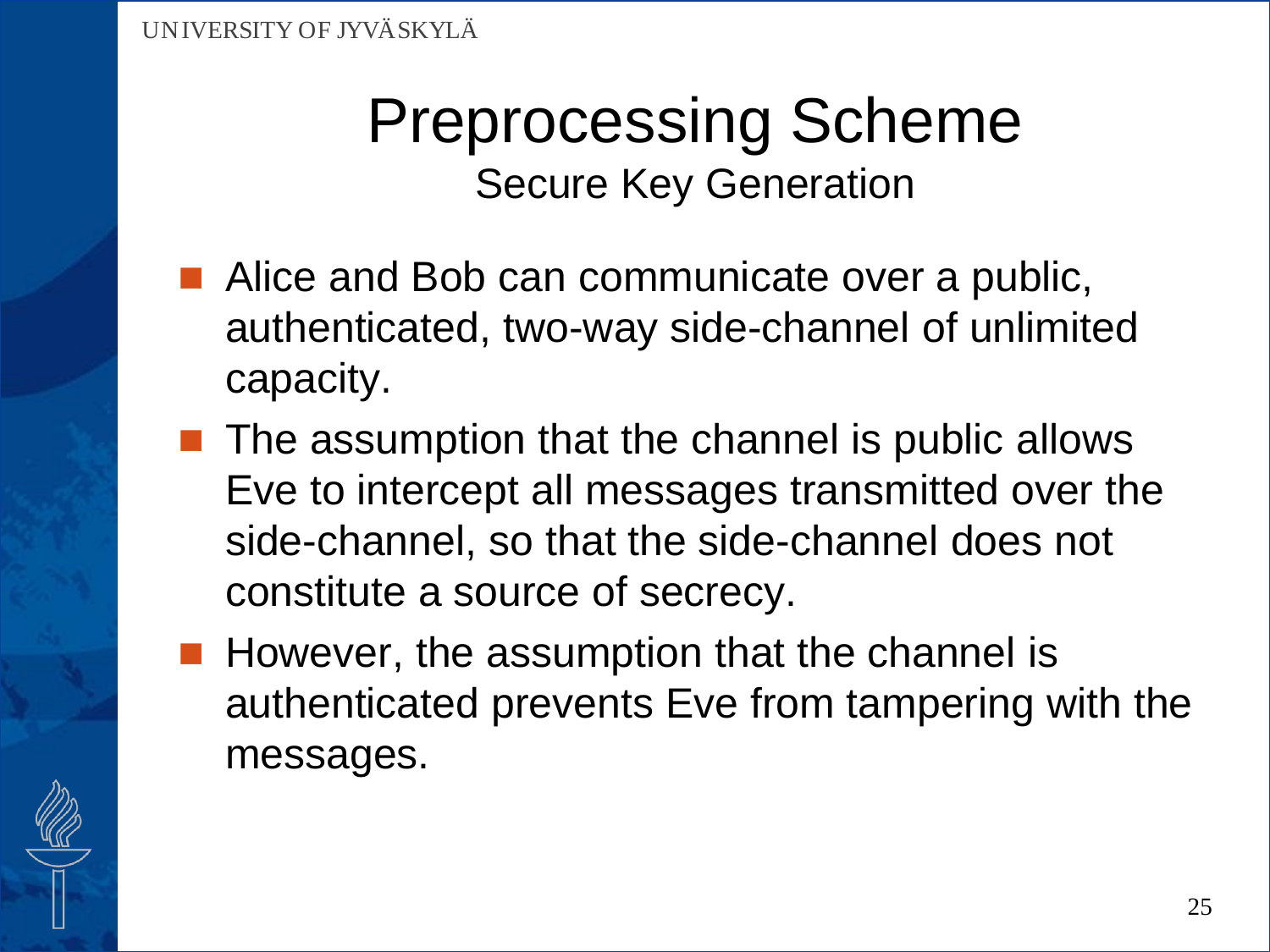- Alice and Bob can communicate over a public, authenticated, two-way side-channel of unlimited capacity.
- $\blacksquare$  The assumption that the channel is public allows Eve to intercept all messages transmitted over the side-channel, so that the side-channel does not constitute a source of secrecy.
- $\blacksquare$  However, the assumption that the channel is authenticated prevents Eve from tampering with the messages.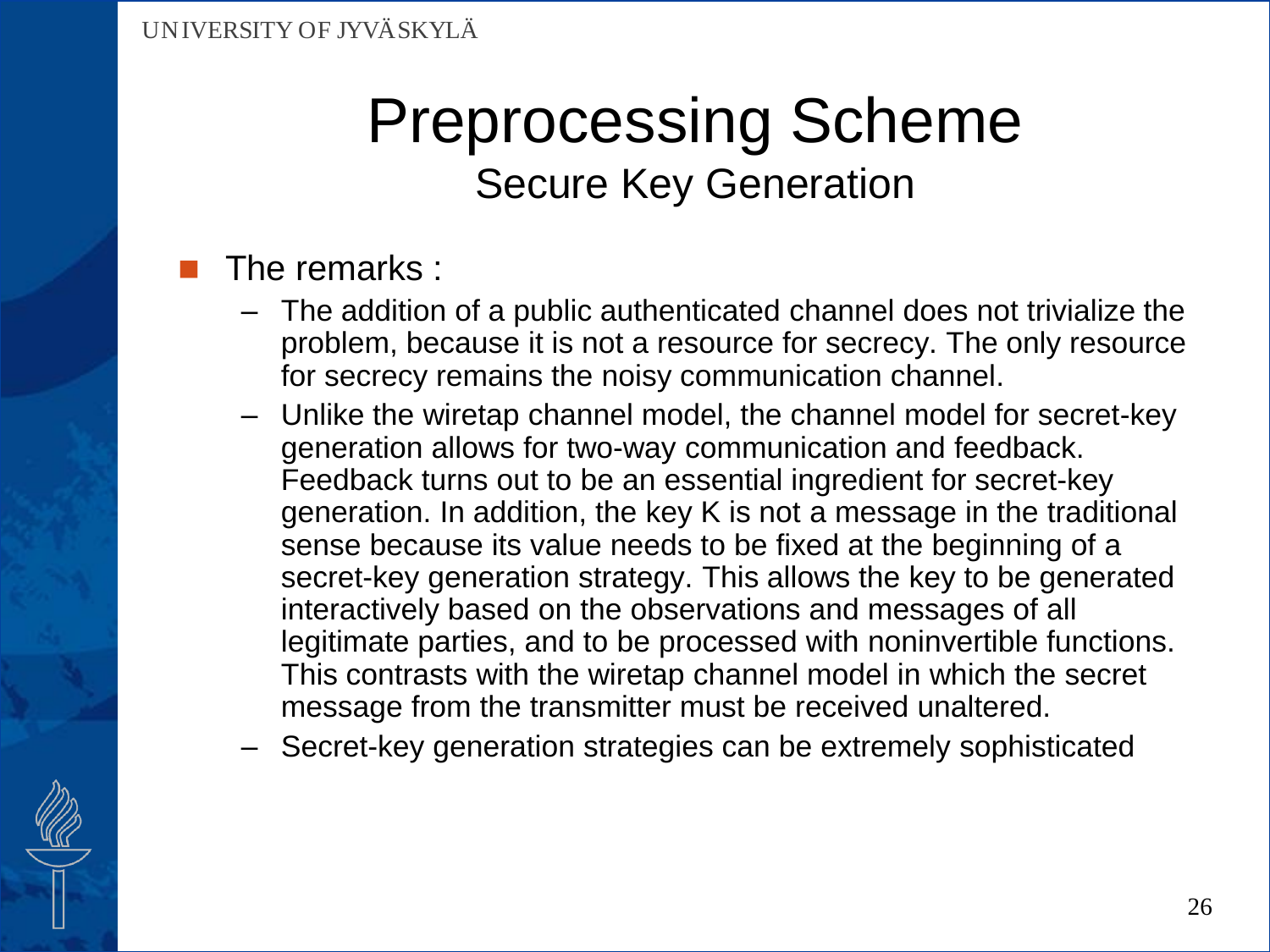### The remarks :

- The addition of a public authenticated channel does not trivialize the problem, because it is not a resource for secrecy. The only resource for secrecy remains the noisy communication channel.
- Unlike the wiretap channel model, the channel model for secret-key generation allows for two-way communication and feedback. Feedback turns out to be an essential ingredient for secret-key generation. In addition, the key K is not a message in the traditional sense because its value needs to be fixed at the beginning of a secret-key generation strategy. This allows the key to be generated interactively based on the observations and messages of all legitimate parties, and to be processed with noninvertible functions. This contrasts with the wiretap channel model in which the secret message from the transmitter must be received unaltered.
- Secret-key generation strategies can be extremely sophisticated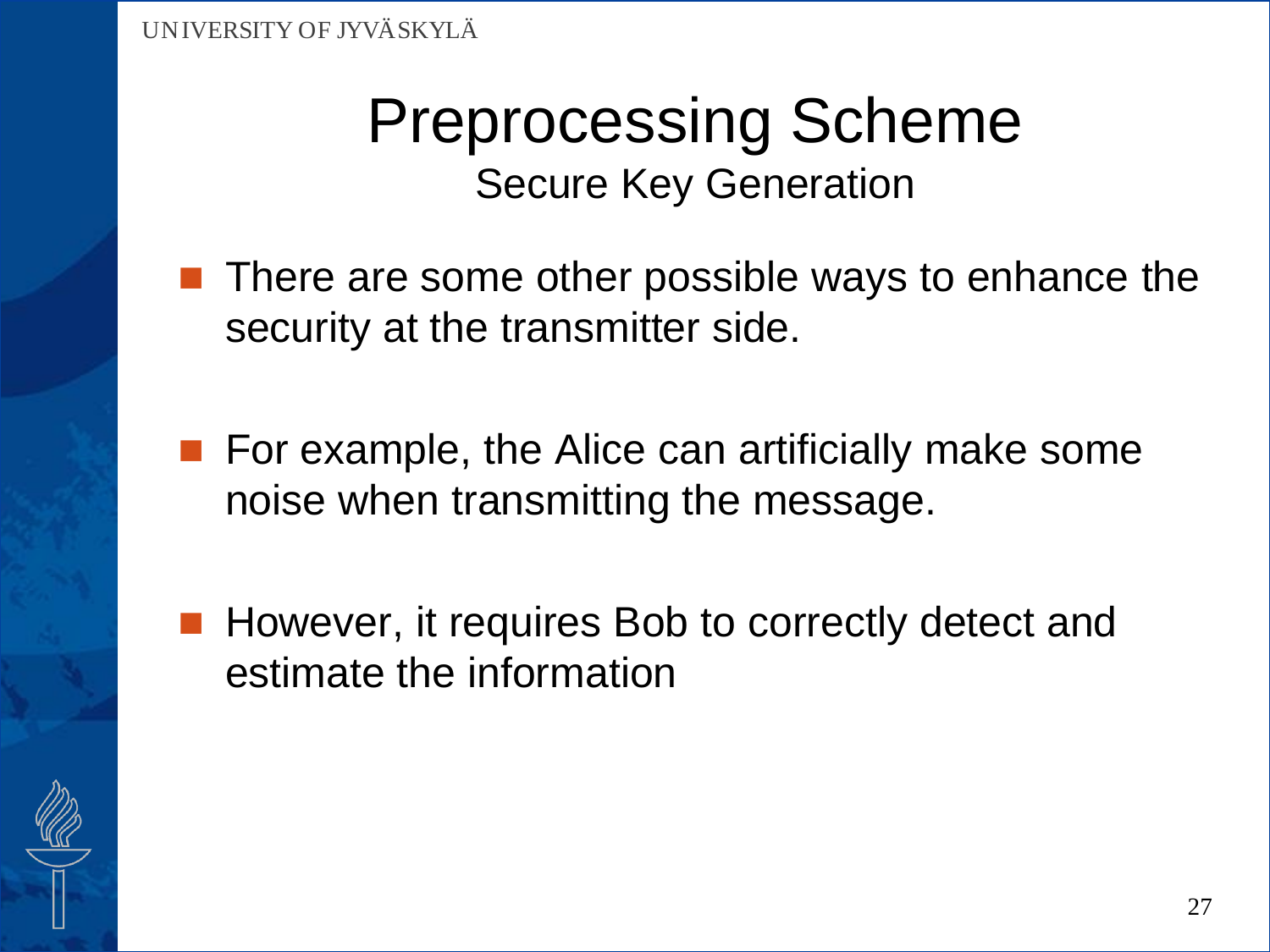- **There are some other possible ways to enhance the** security at the transmitter side.
- **For example, the Alice can artificially make some** noise when transmitting the message.
- However, it requires Bob to correctly detect and estimate the information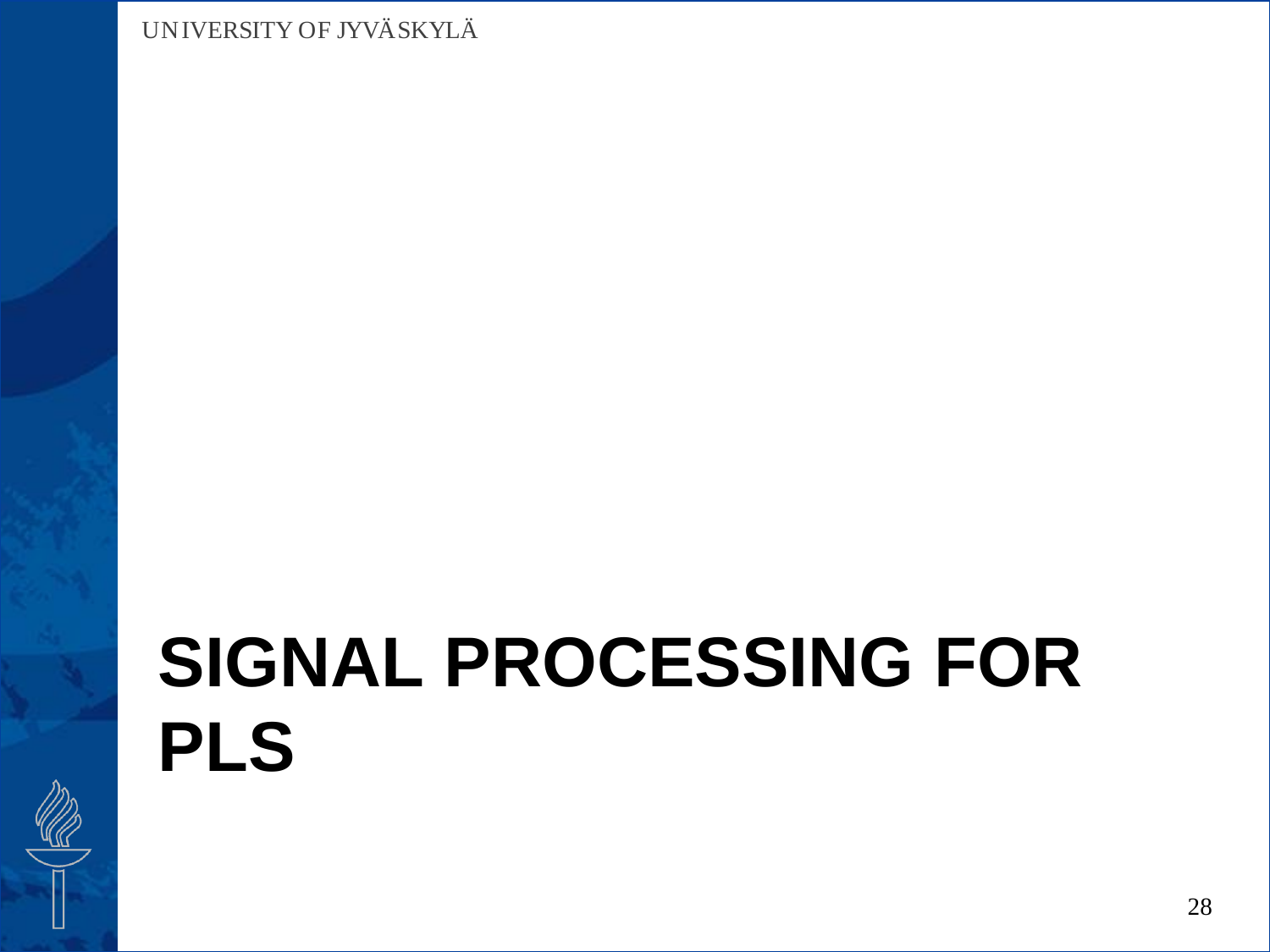# **SIGNAL PROCESSING FOR PLS**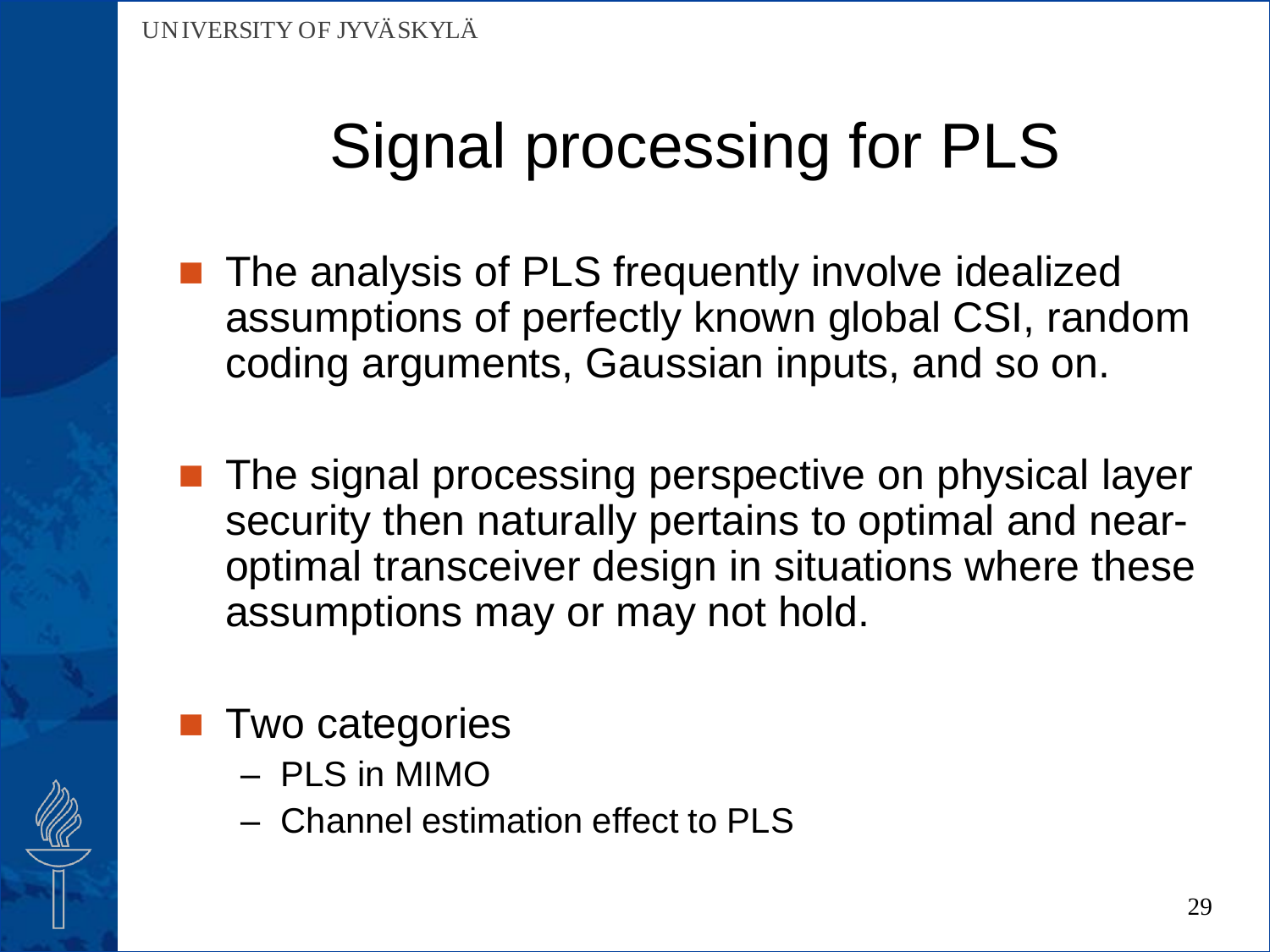- The analysis of PLS frequently involve idealized assumptions of perfectly known global CSI, random coding arguments, Gaussian inputs, and so on.
- The signal processing perspective on physical layer security then naturally pertains to optimal and nearoptimal transceiver design in situations where these assumptions may or may not hold.

### Two categories

- PLS in MIMO
- Channel estimation effect to PLS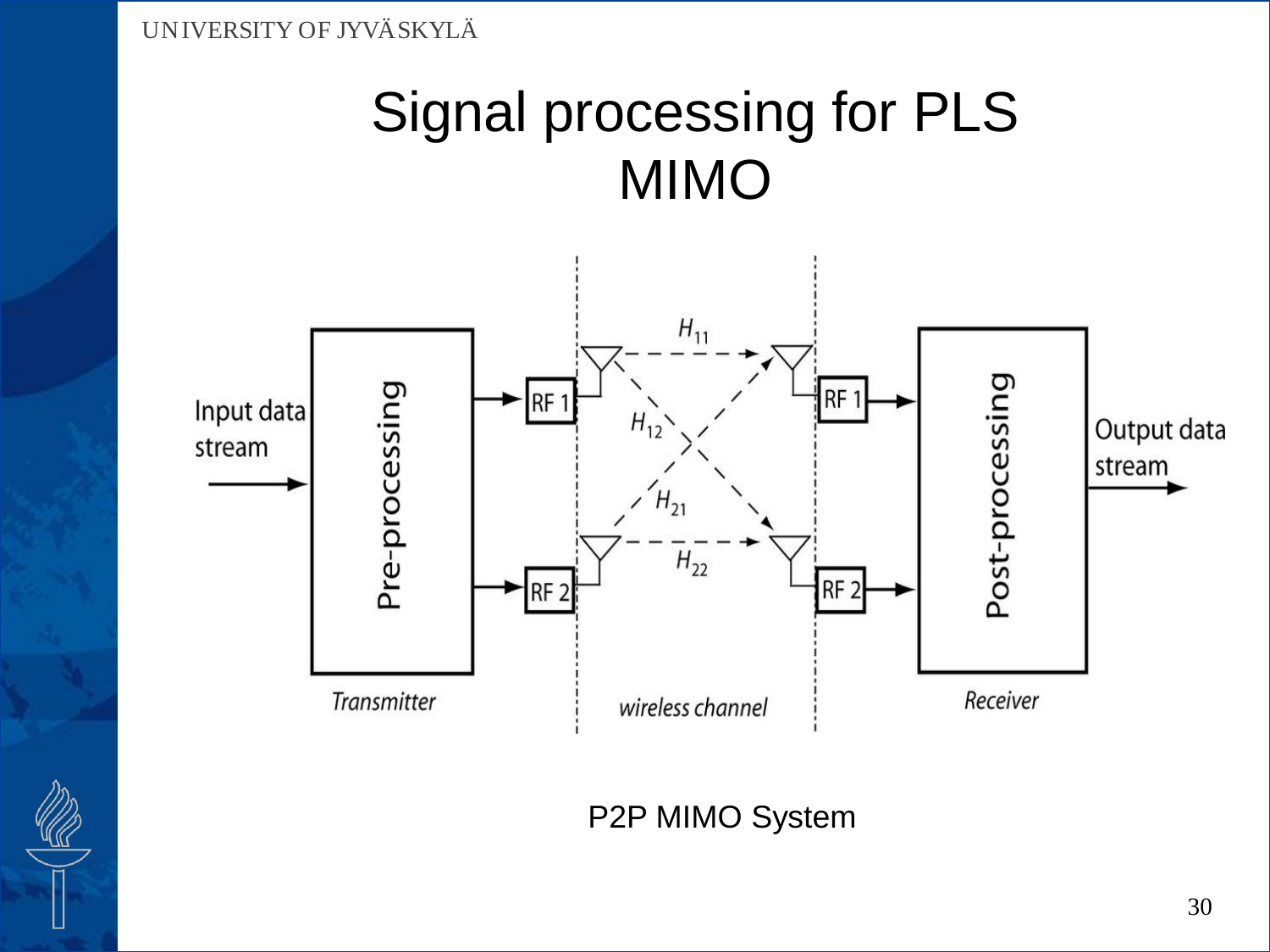

P2P MIMO System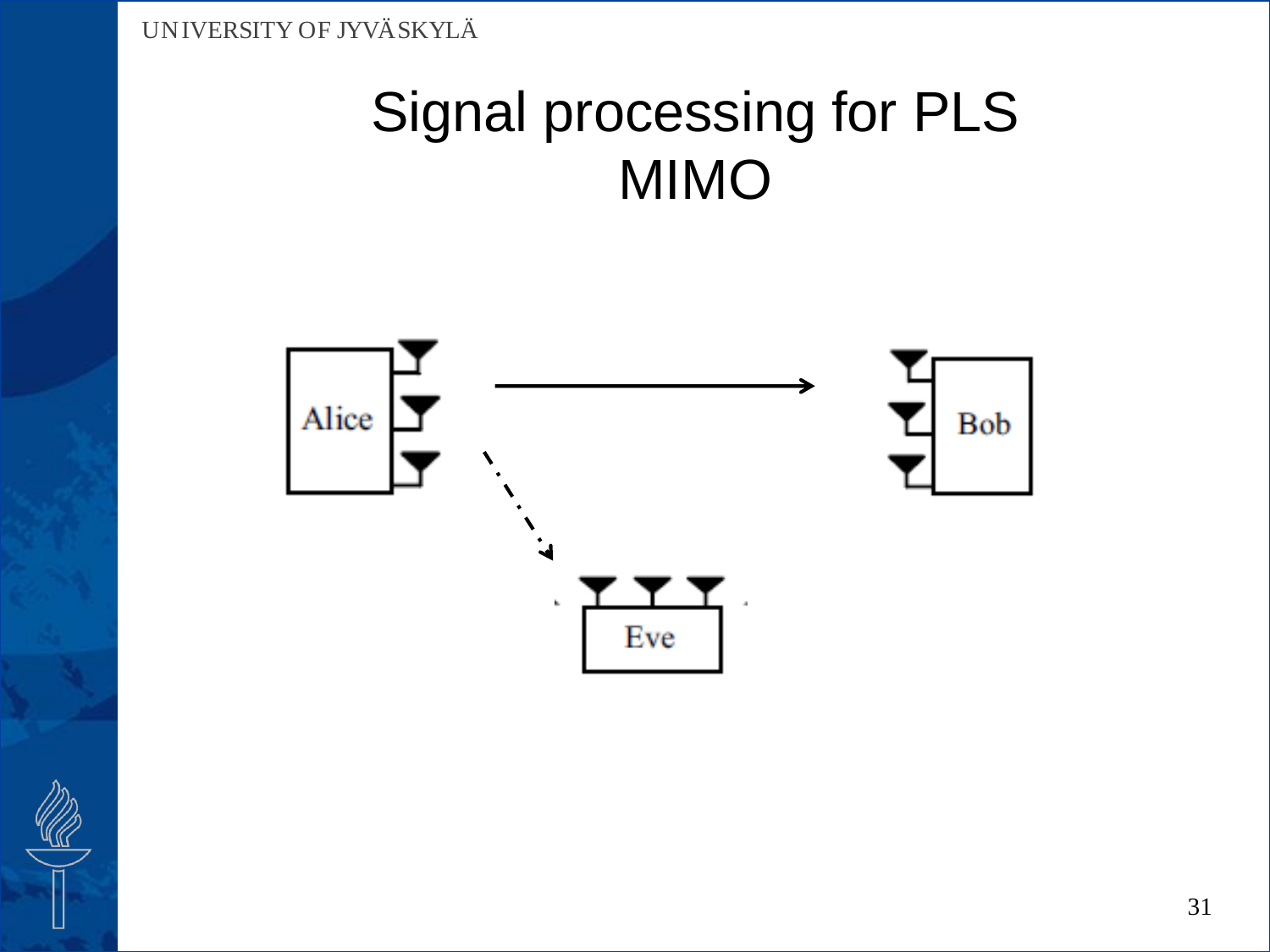

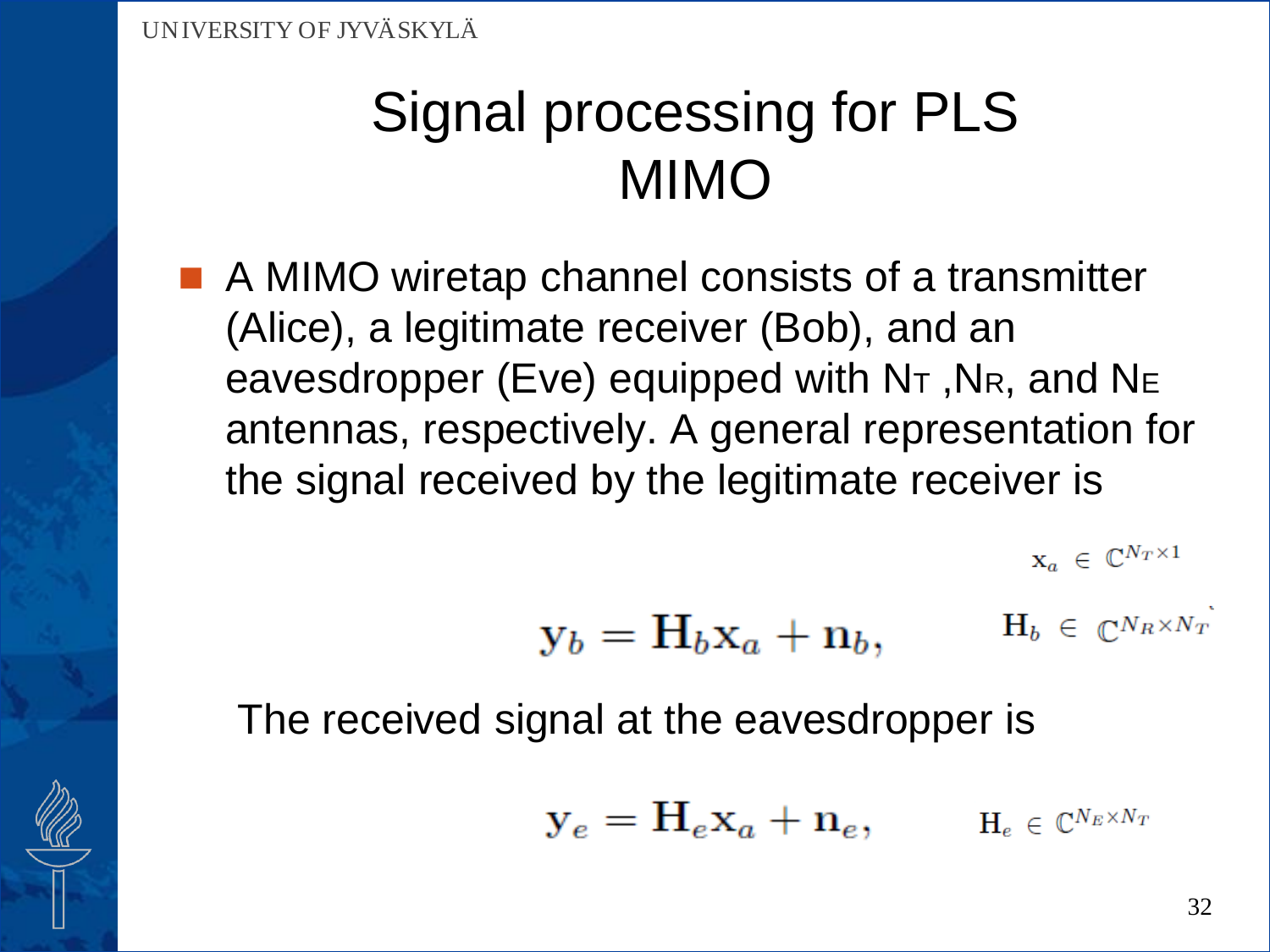A MIMO wiretap channel consists of a transmitter (Alice), a legitimate receiver (Bob), and an eavesdropper (Eve) equipped with N<sub>T</sub>, NR, and NE antennas, respectively. A general representation for the signal received by the legitimate receiver is

$$
\boldsymbol{\mathrm{x}}_a~\in~\mathbb{C}^{N_T \times 1}
$$

$$
\mathbf{y}_b = \mathbf{H}_b \mathbf{x}_a + \mathbf{n}_b, \qquad \quad \mathbf{H}_b \,\in\, \mathbb{C}^{N_R \times N_T}
$$

The received signal at the eavesdropper is

$$
\mathbf{y}_e = \mathbf{H}_e \mathbf{x}_a + \mathbf{n}_e, \qquad \mathbf{H}_e \in \mathbb{C}^{N_E \times N_T}
$$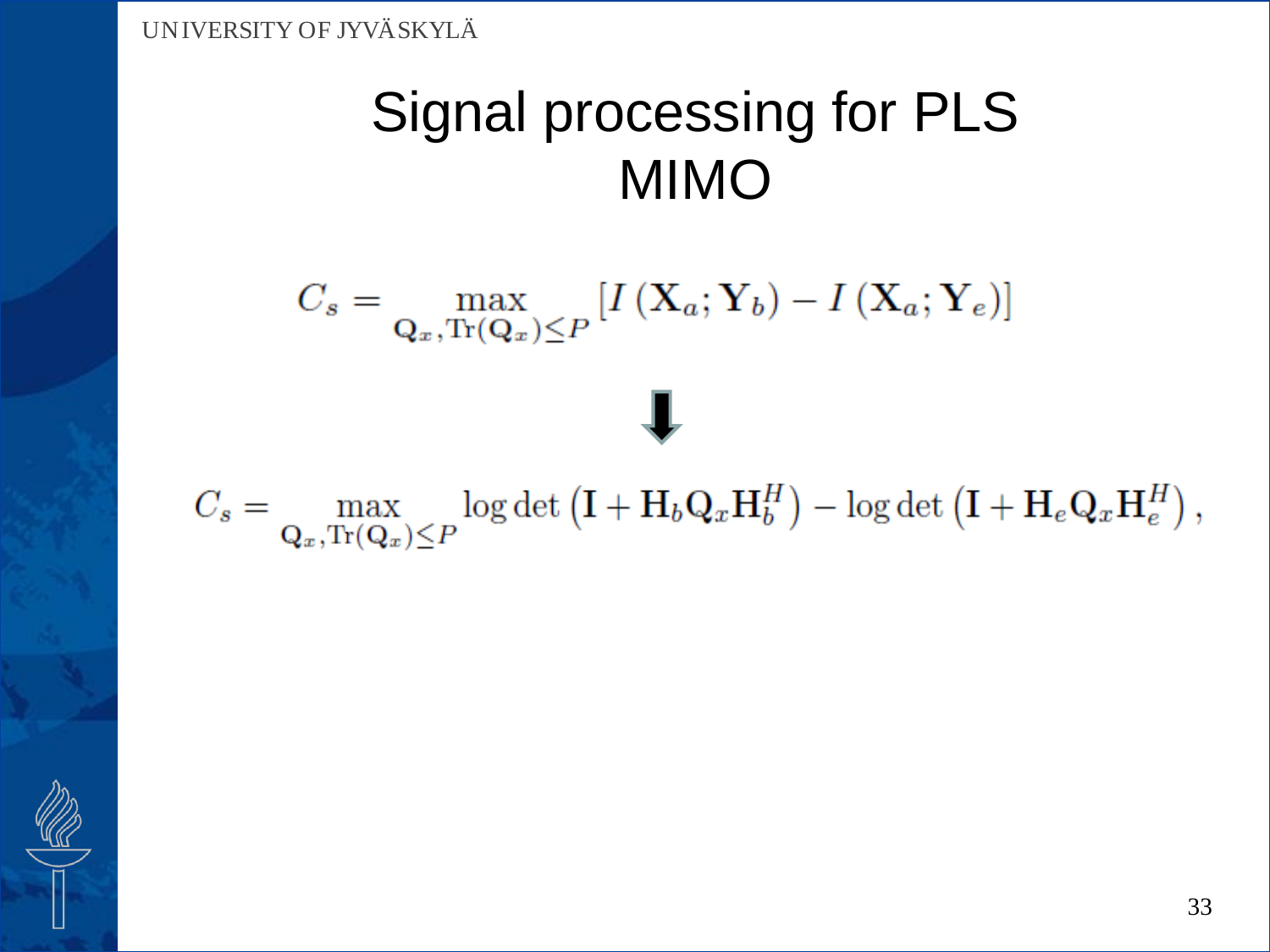$C_s = \max_{\mathbf{Q}_x, \text{Tr}(\mathbf{Q}_x) \leq P} \left[ I\left( \mathbf{X}_a; \mathbf{Y}_b \right) - I\left( \mathbf{X}_a; \mathbf{Y}_e \right) \right]$ 

 $C_s = \max_{\mathbf{Q}_x, \text{Tr}(\mathbf{Q}_x) \leq P} \log \det \left(\mathbf{I} + \mathbf{H}_b \mathbf{Q}_x \mathbf{H}_b^H \right) - \log \det \left(\mathbf{I} + \mathbf{H}_e \mathbf{Q}_x \mathbf{H}_e^H \right),$ 

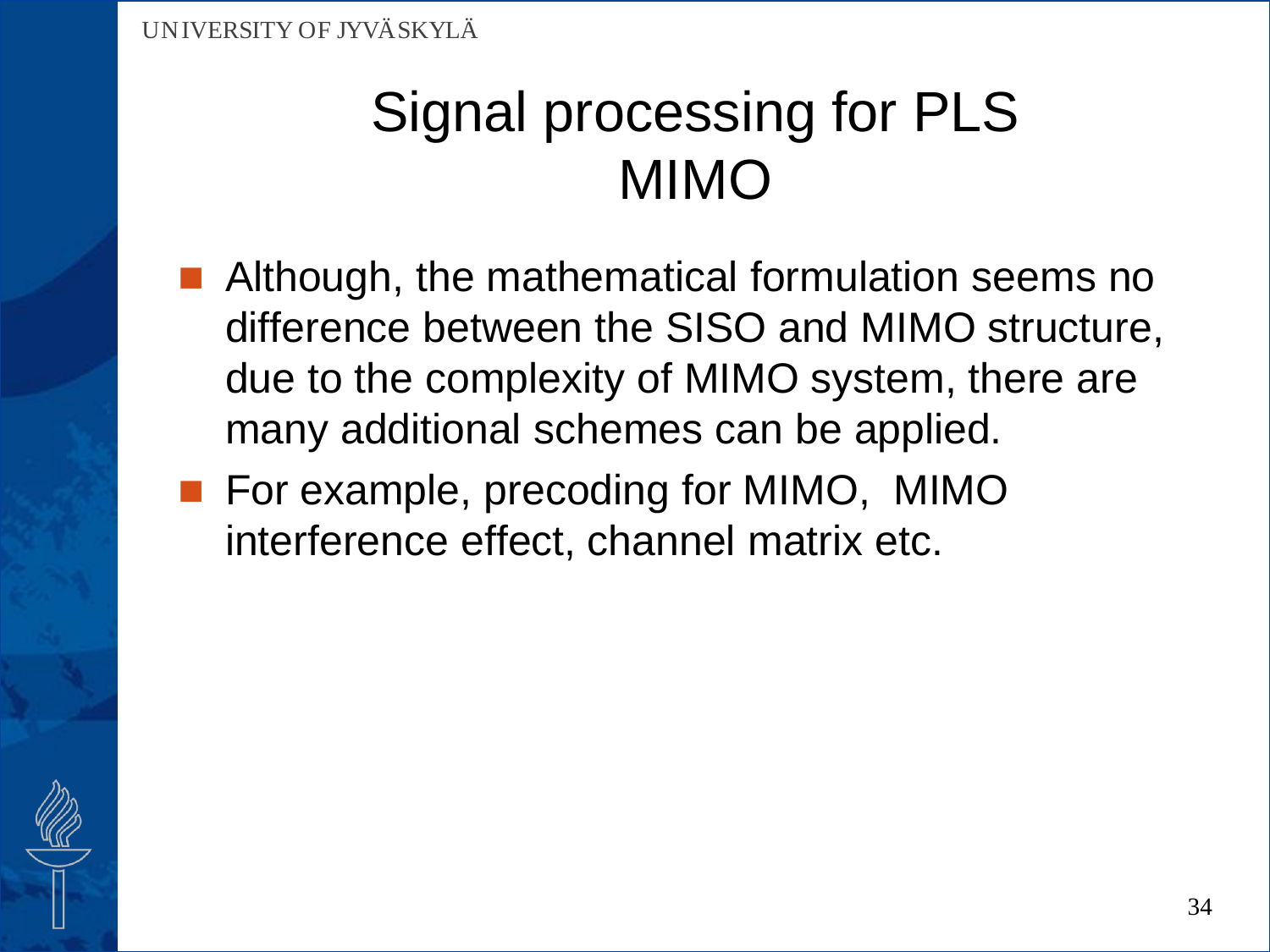- **Although, the mathematical formulation seems no** difference between the SISO and MIMO structure, due to the complexity of MIMO system, there are many additional schemes can be applied.
- **For example, precoding for MIMO, MIMO** interference effect, channel matrix etc.

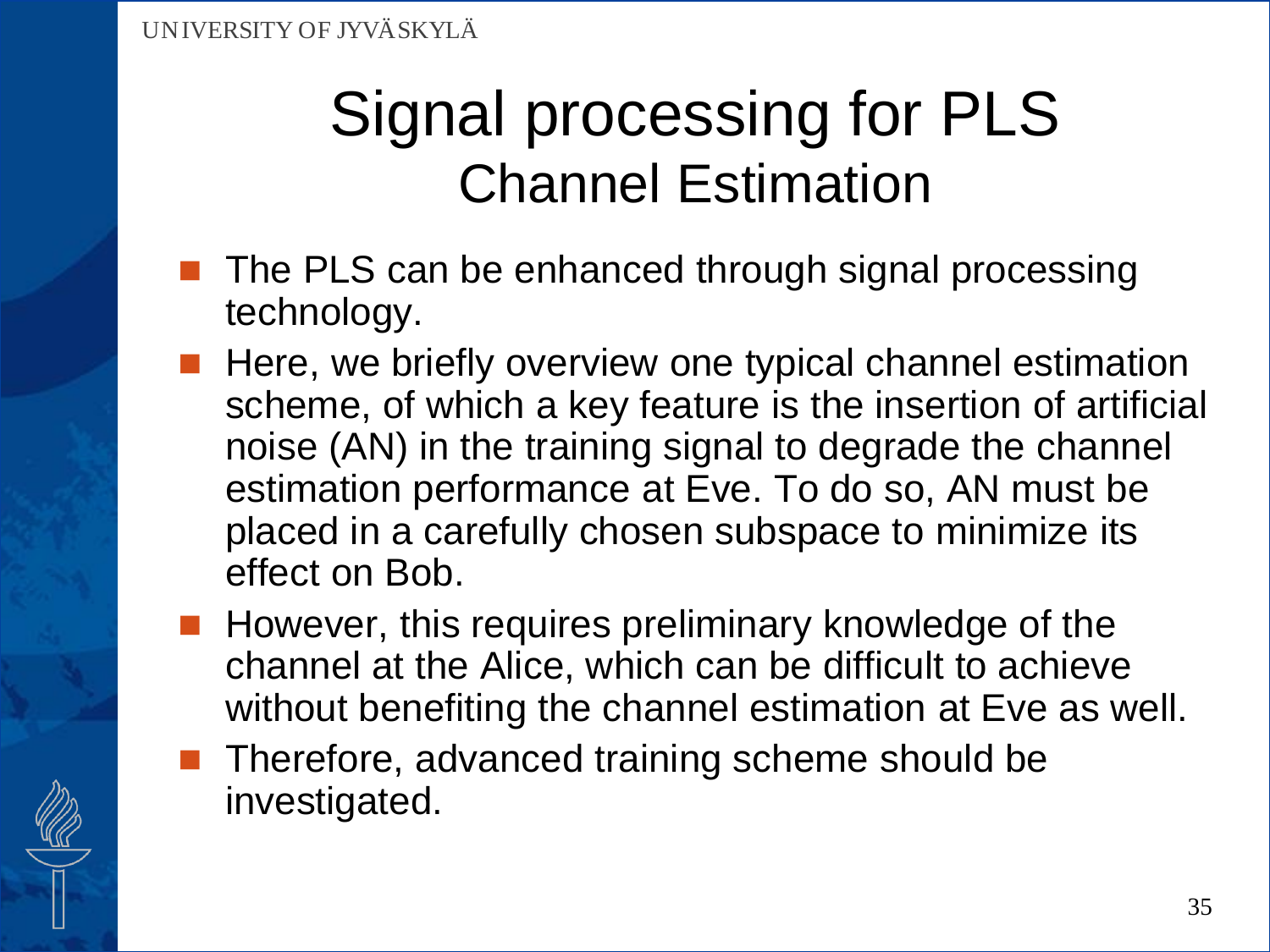## Signal processing for PLS Channel Estimation

- $\blacksquare$  The PLS can be enhanced through signal processing technology.
	- Here, we briefly overview one typical channel estimation scheme, of which a key feature is the insertion of artificial noise (AN) in the training signal to degrade the channel estimation performance at Eve. To do so, AN must be placed in a carefully chosen subspace to minimize its effect on Bob.
- $\blacksquare$  However, this requires preliminary knowledge of the channel at the Alice, which can be difficult to achieve without benefiting the channel estimation at Eve as well.
- Therefore, advanced training scheme should be investigated.

35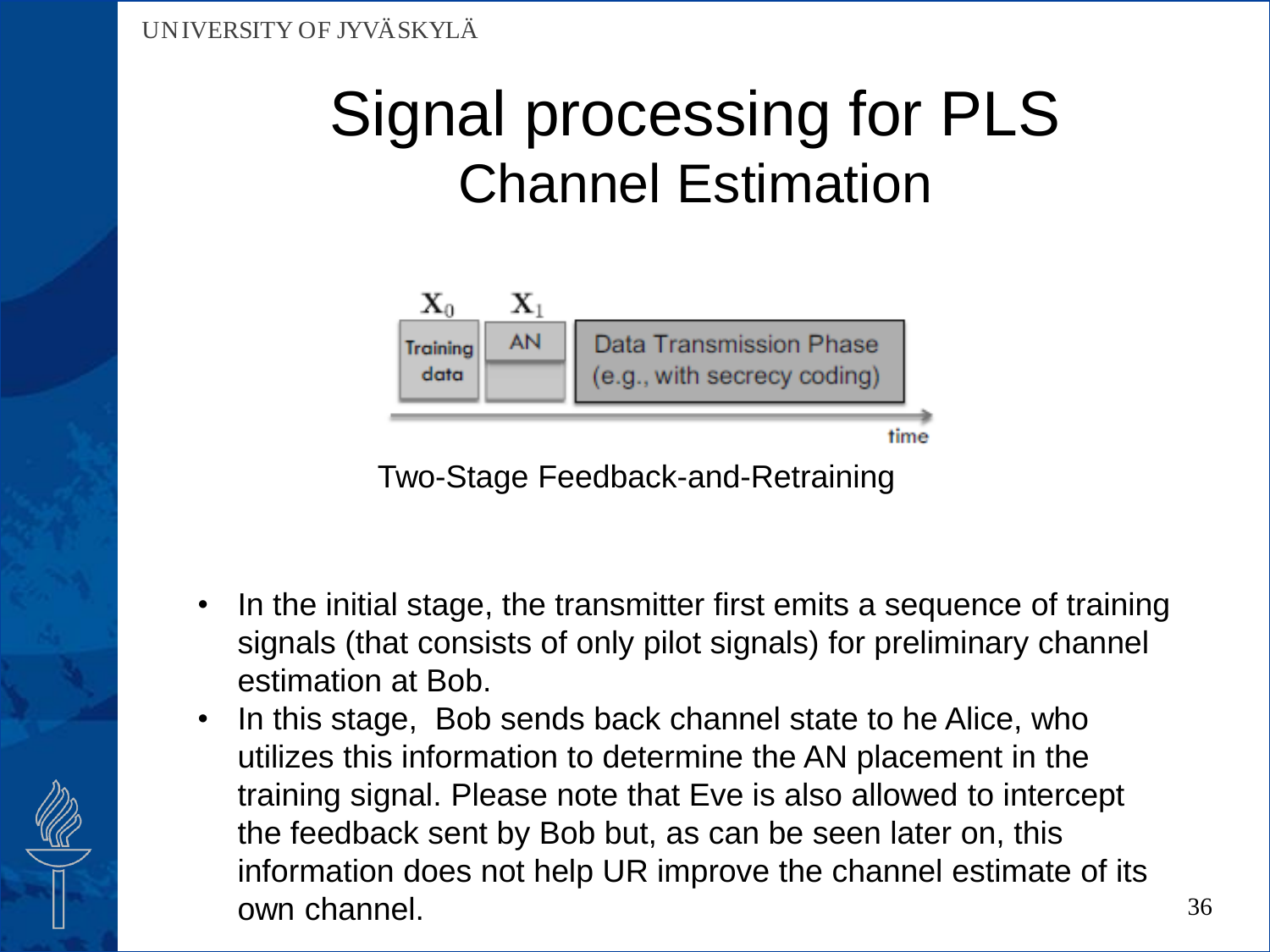## Signal processing for PLS Channel Estimation



Two-Stage Feedback-and-Retraining

- In the initial stage, the transmitter first emits a sequence of training signals (that consists of only pilot signals) for preliminary channel estimation at Bob.
- In this stage, Bob sends back channel state to he Alice, who utilizes this information to determine the AN placement in the training signal. Please note that Eve is also allowed to intercept the feedback sent by Bob but, as can be seen later on, this information does not help UR improve the channel estimate of its own channel.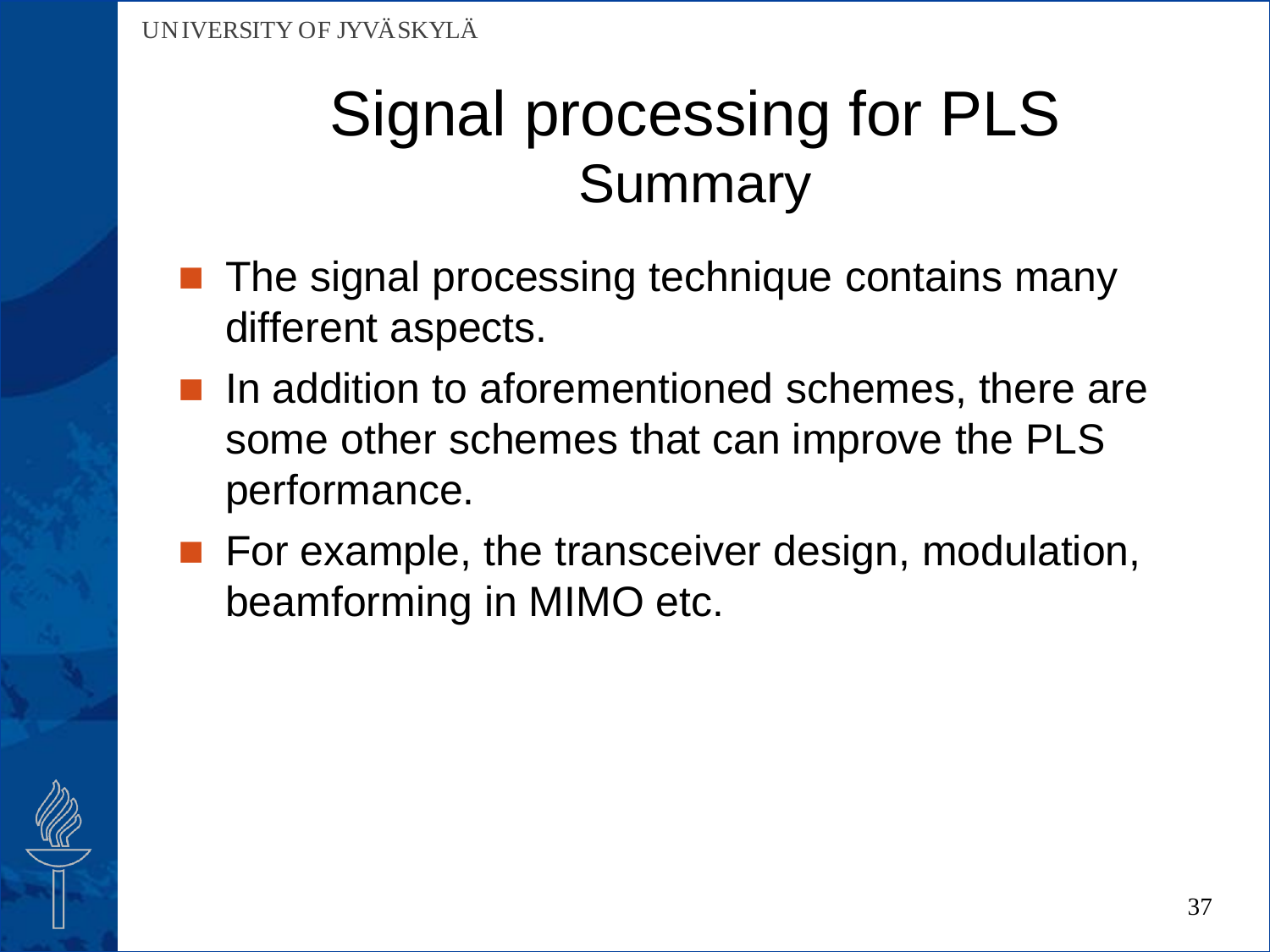## Signal processing for PLS Summary

- The signal processing technique contains many different aspects.
- In addition to aforementioned schemes, there are some other schemes that can improve the PLS performance.
- **For example, the transceiver design, modulation,** beamforming in MIMO etc.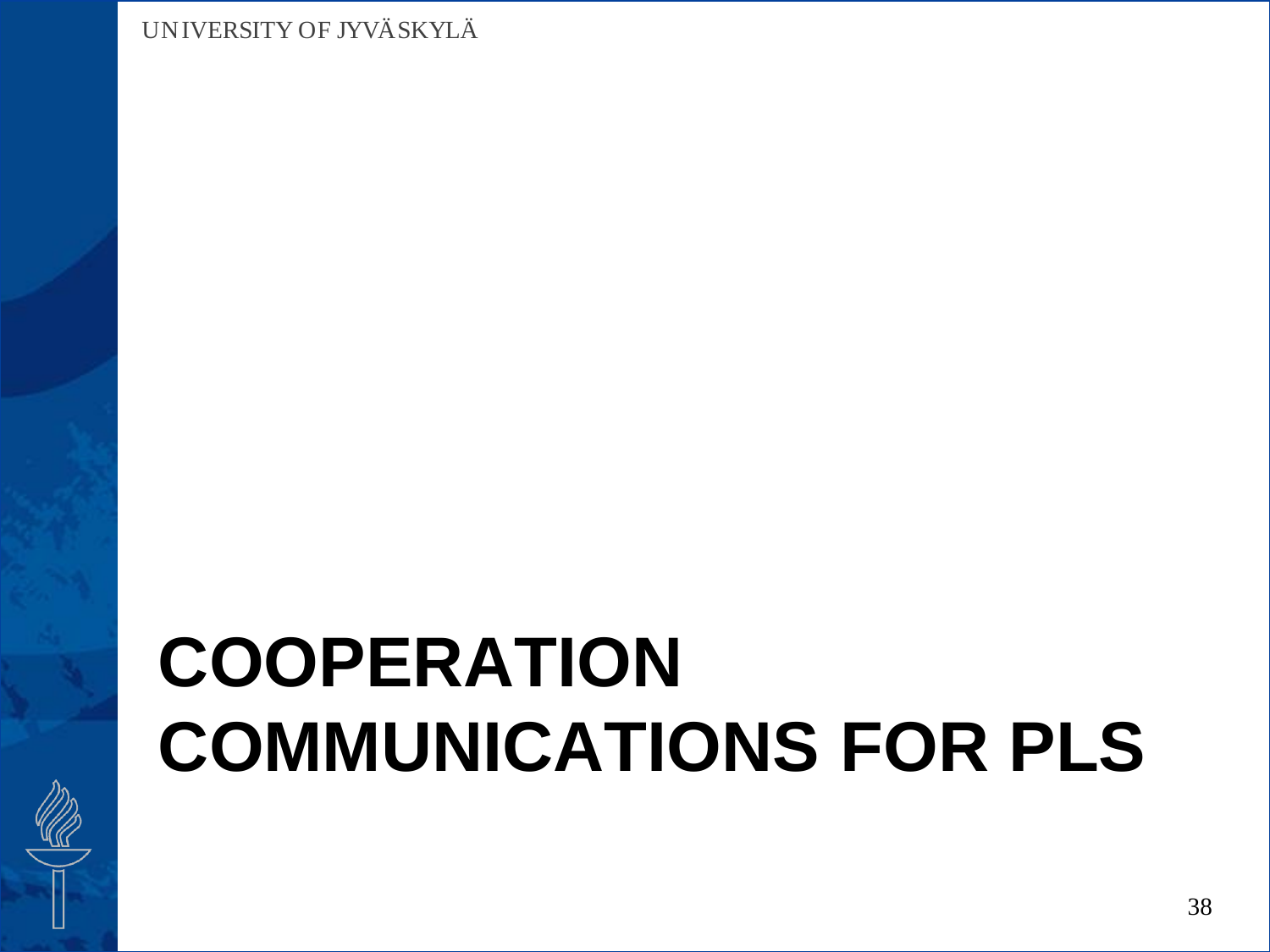# **COOPERATION COMMUNICATIONS FOR PLS**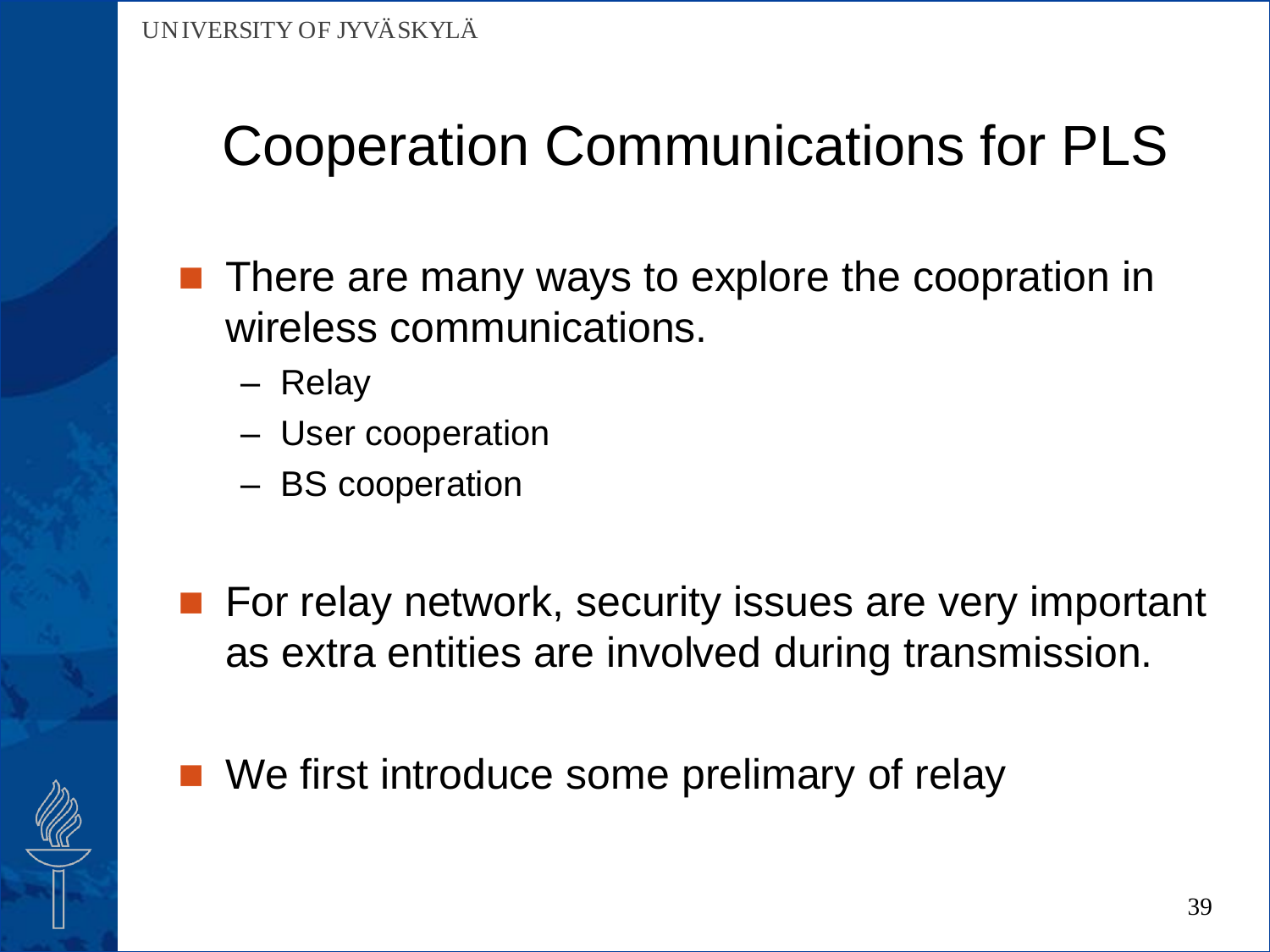- **There are many ways to explore the coopration in** wireless communications.
	- Relay
	- User cooperation
	- BS cooperation
- **For relay network, security issues are very important** as extra entities are involved during transmission.
- We first introduce some prelimary of relay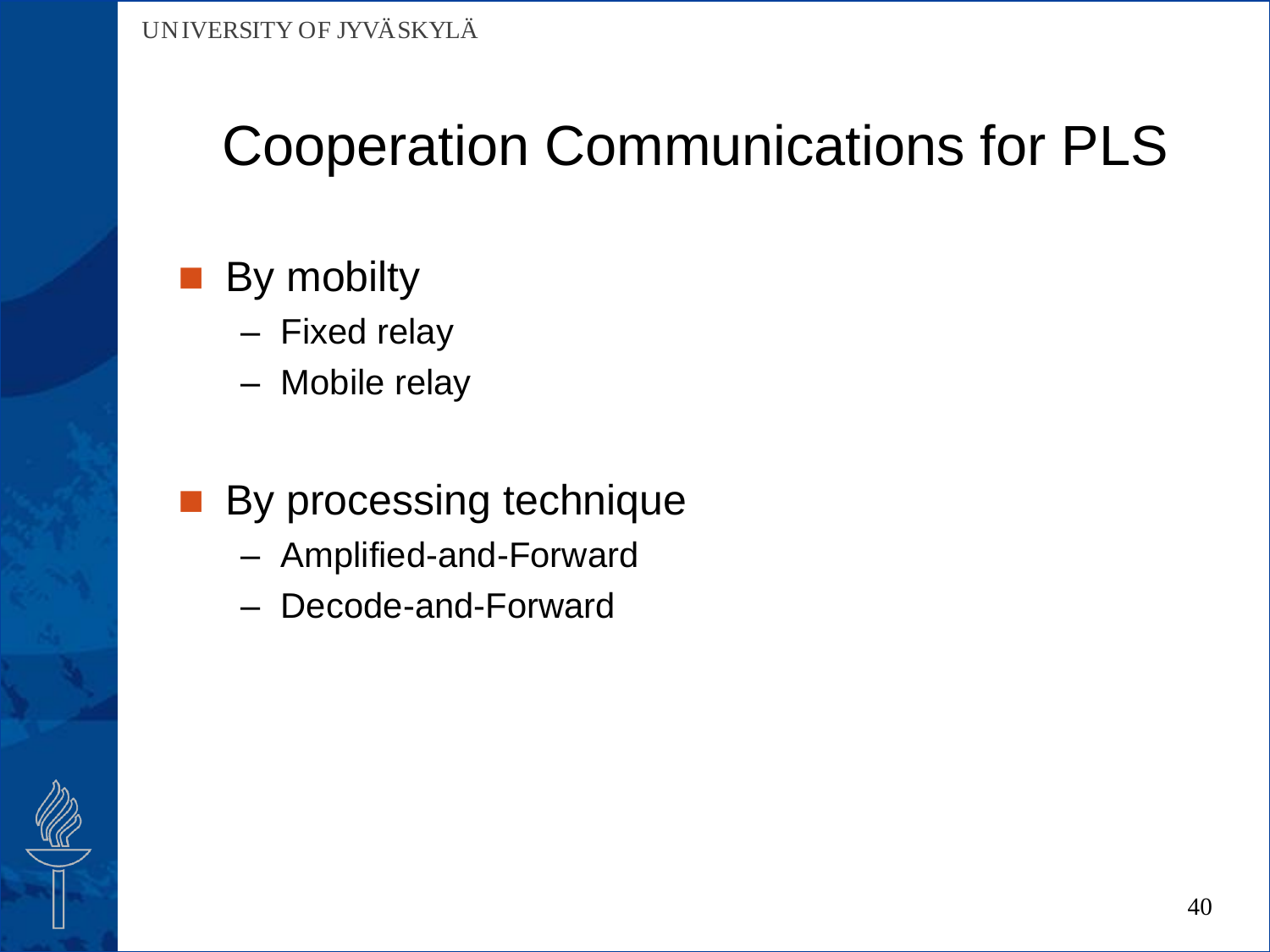### By mobilty

- Fixed relay
- Mobile relay
- By processing technique
	- Amplified-and-Forward
	- Decode-and-Forward

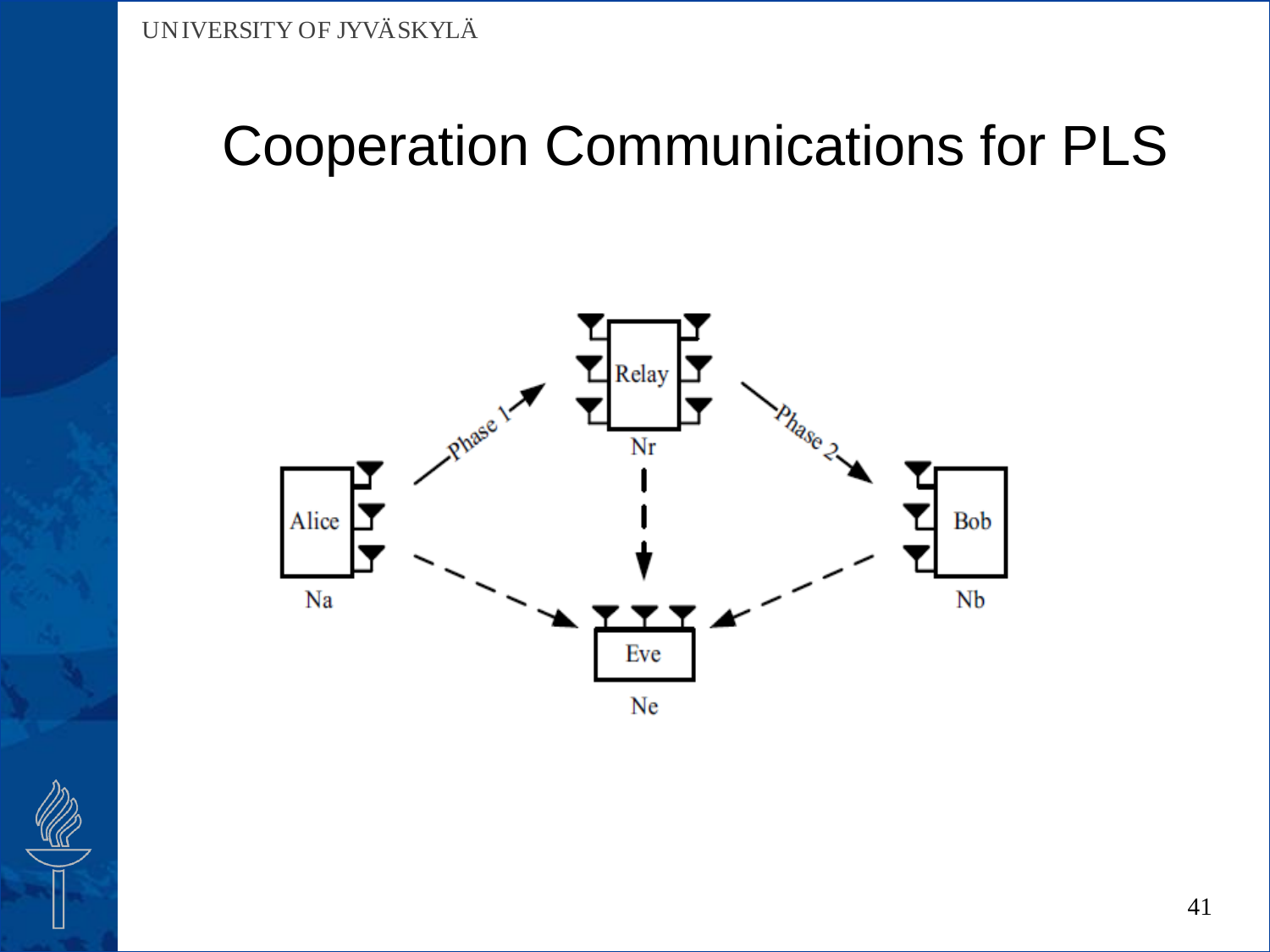



41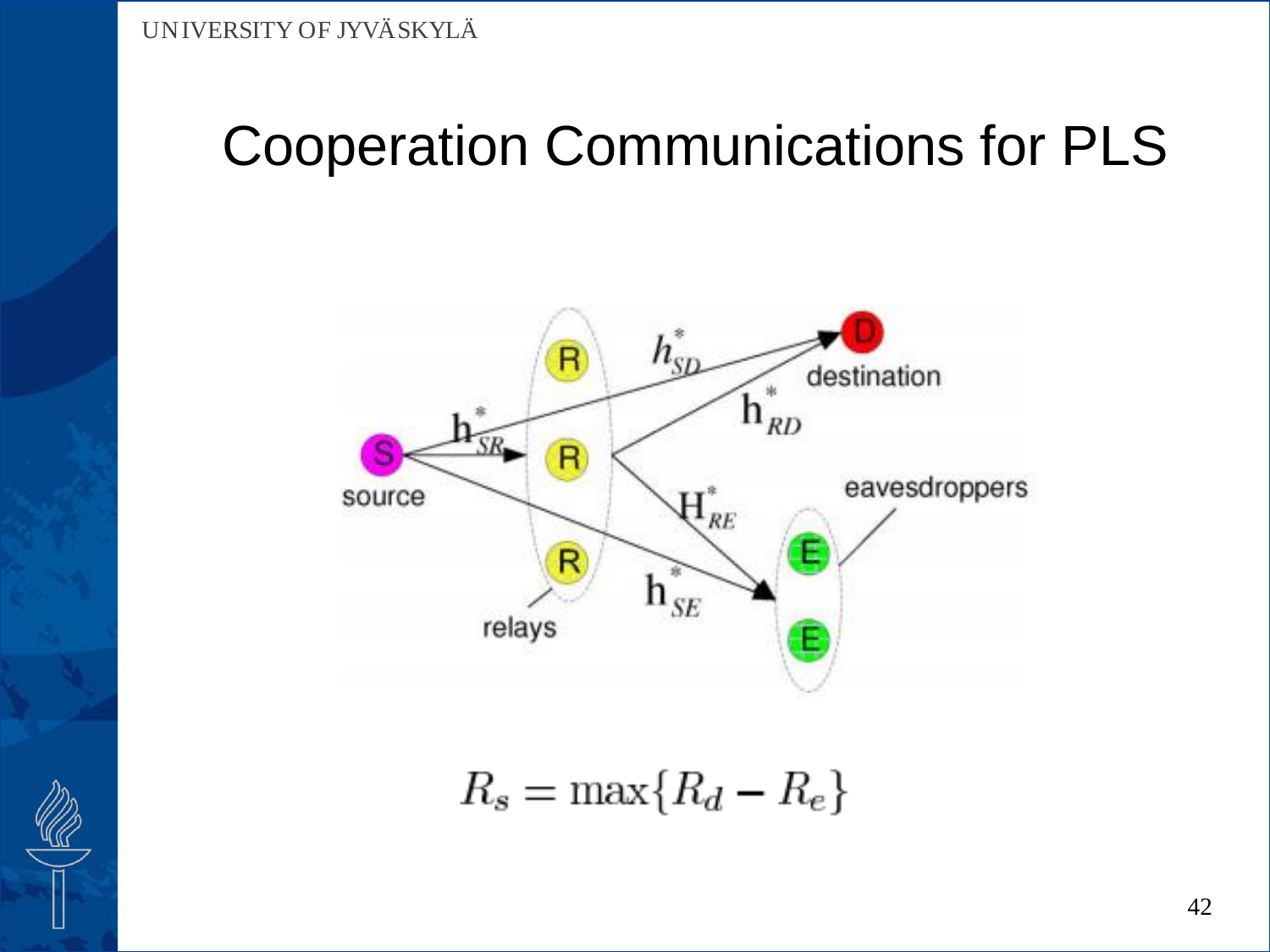

 $R_s = \max\{R_d - R_e\}$ 

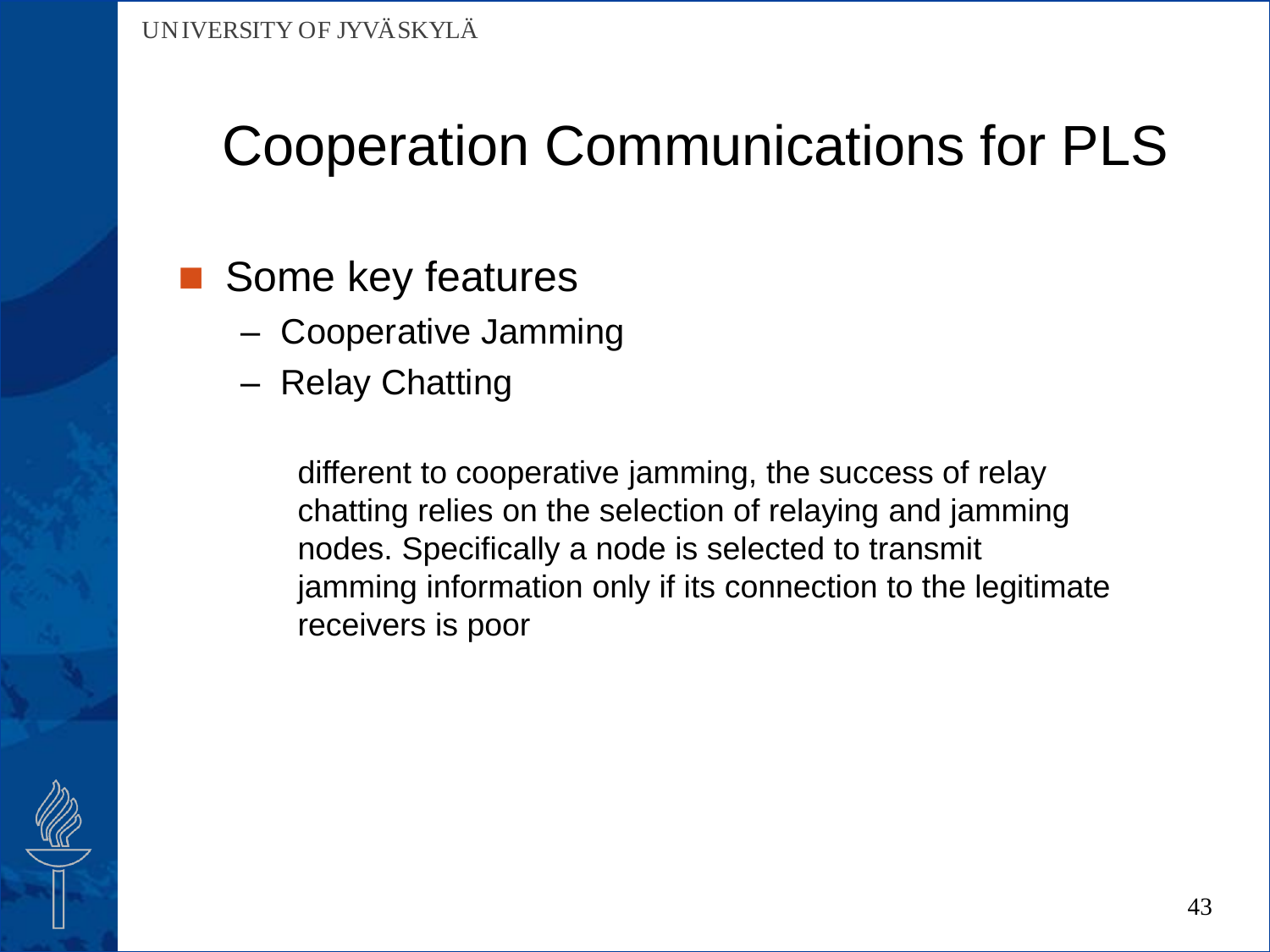- Some key features
	- Cooperative Jamming
	- Relay Chatting

different to cooperative jamming, the success of relay chatting relies on the selection of relaying and jamming nodes. Specifically a node is selected to transmit jamming information only if its connection to the legitimate receivers is poor

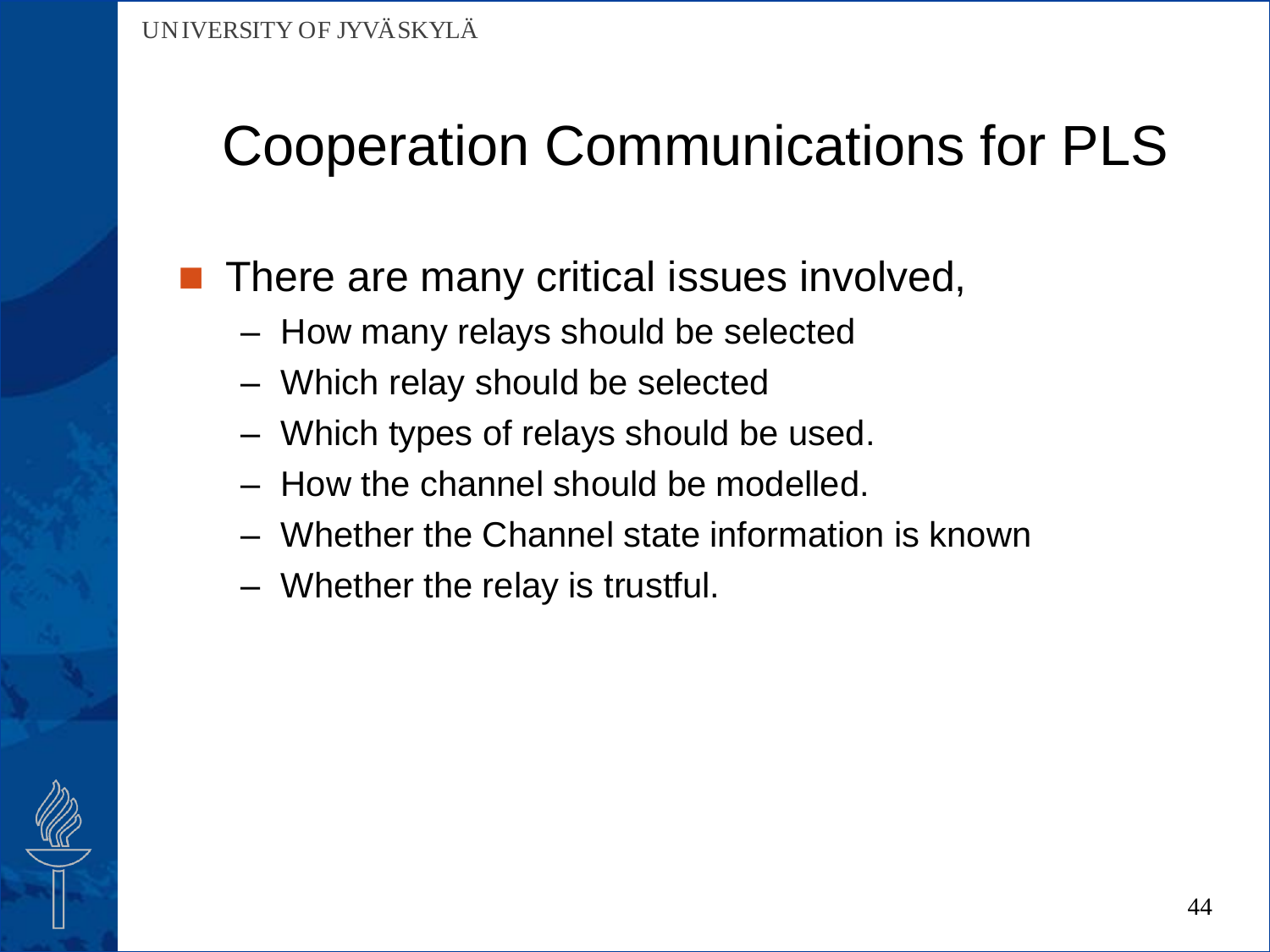### There are many critical issues involved,

- How many relays should be selected
- Which relay should be selected
- Which types of relays should be used.
- How the channel should be modelled.
- Whether the Channel state information is known
- Whether the relay is trustful.

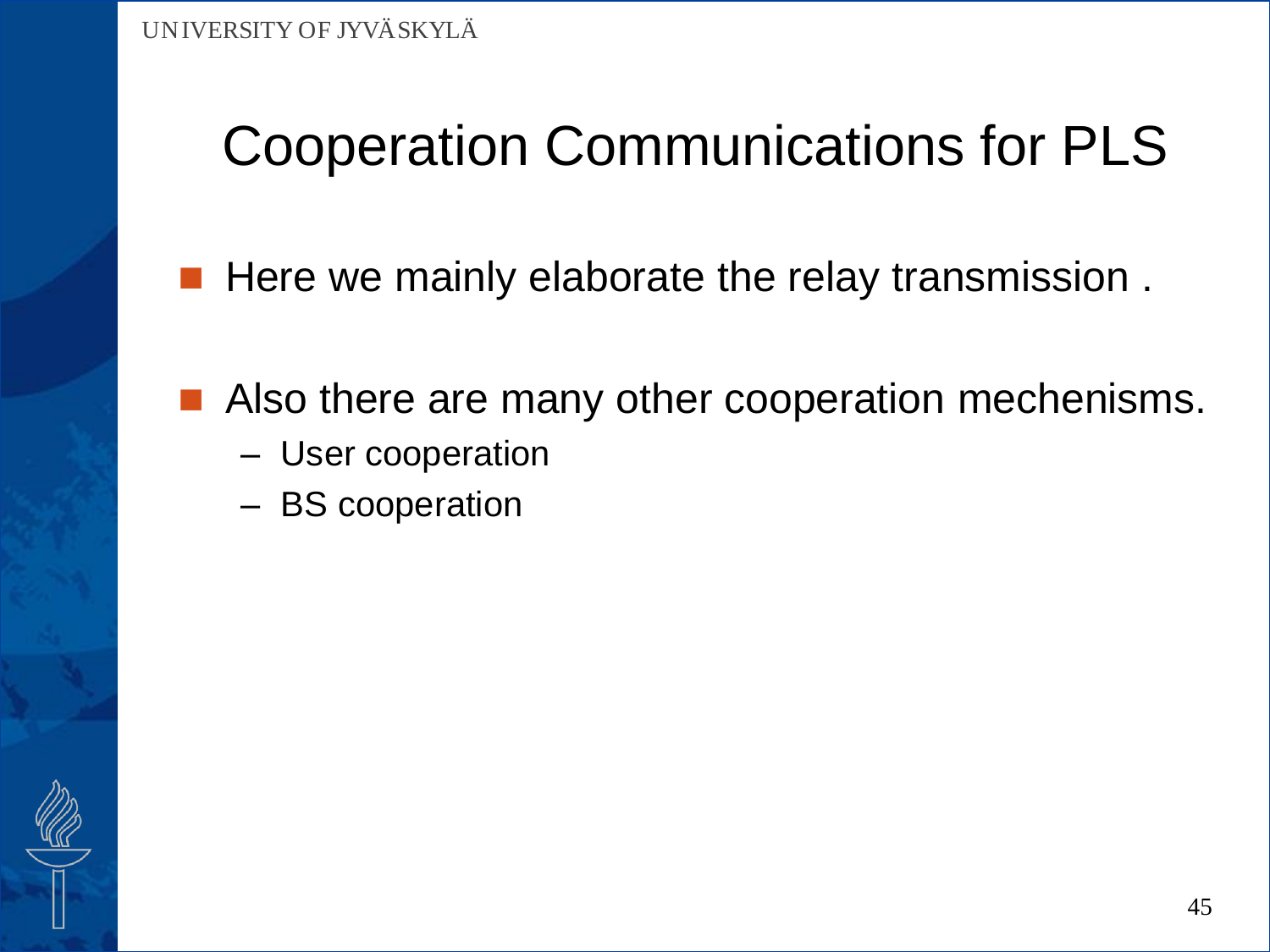- Here we mainly elaborate the relay transmission.
- Also there are many other cooperation mechenisms.
	- User cooperation
	- BS cooperation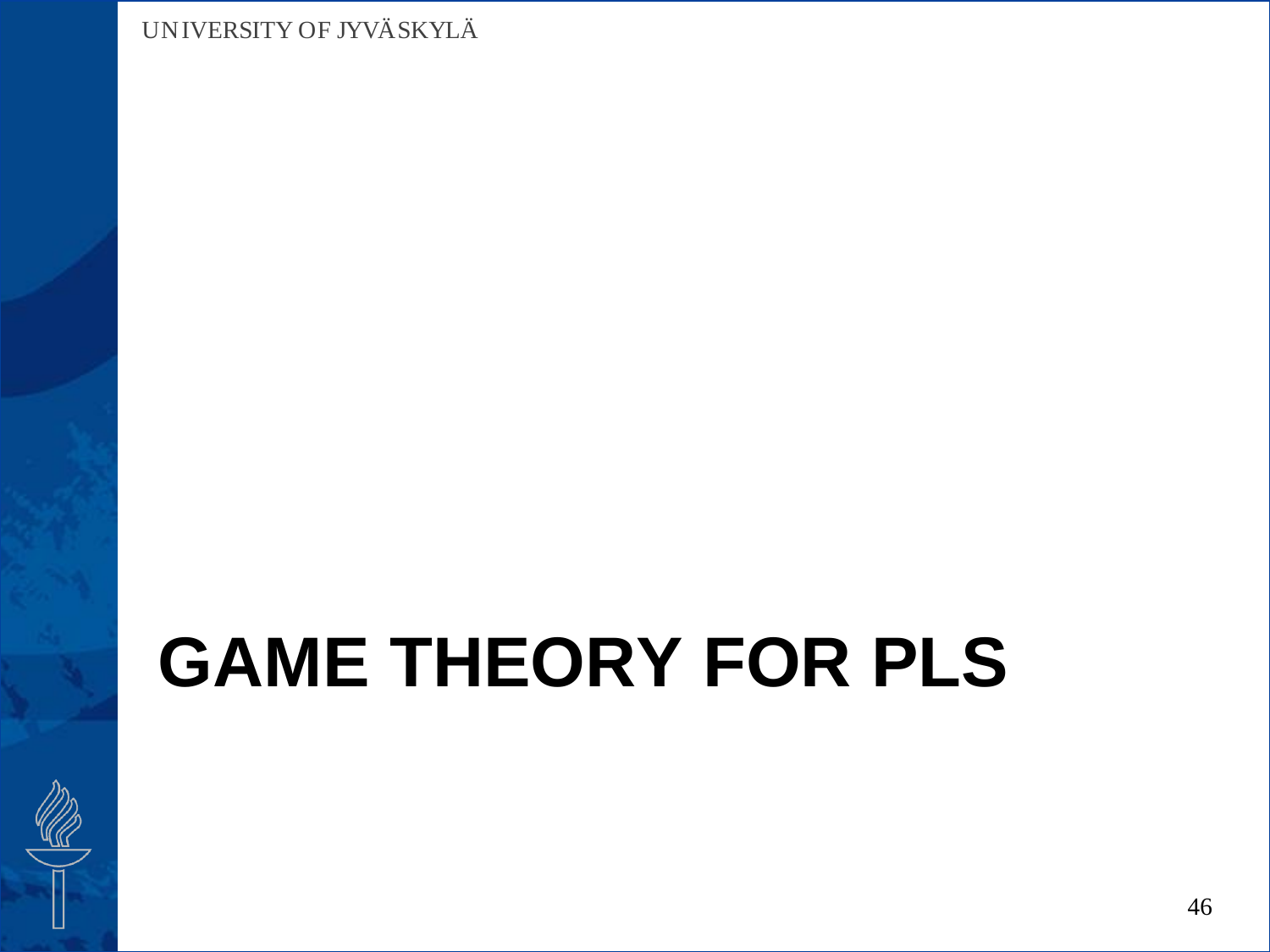# **GAME THEORY FOR PLS**

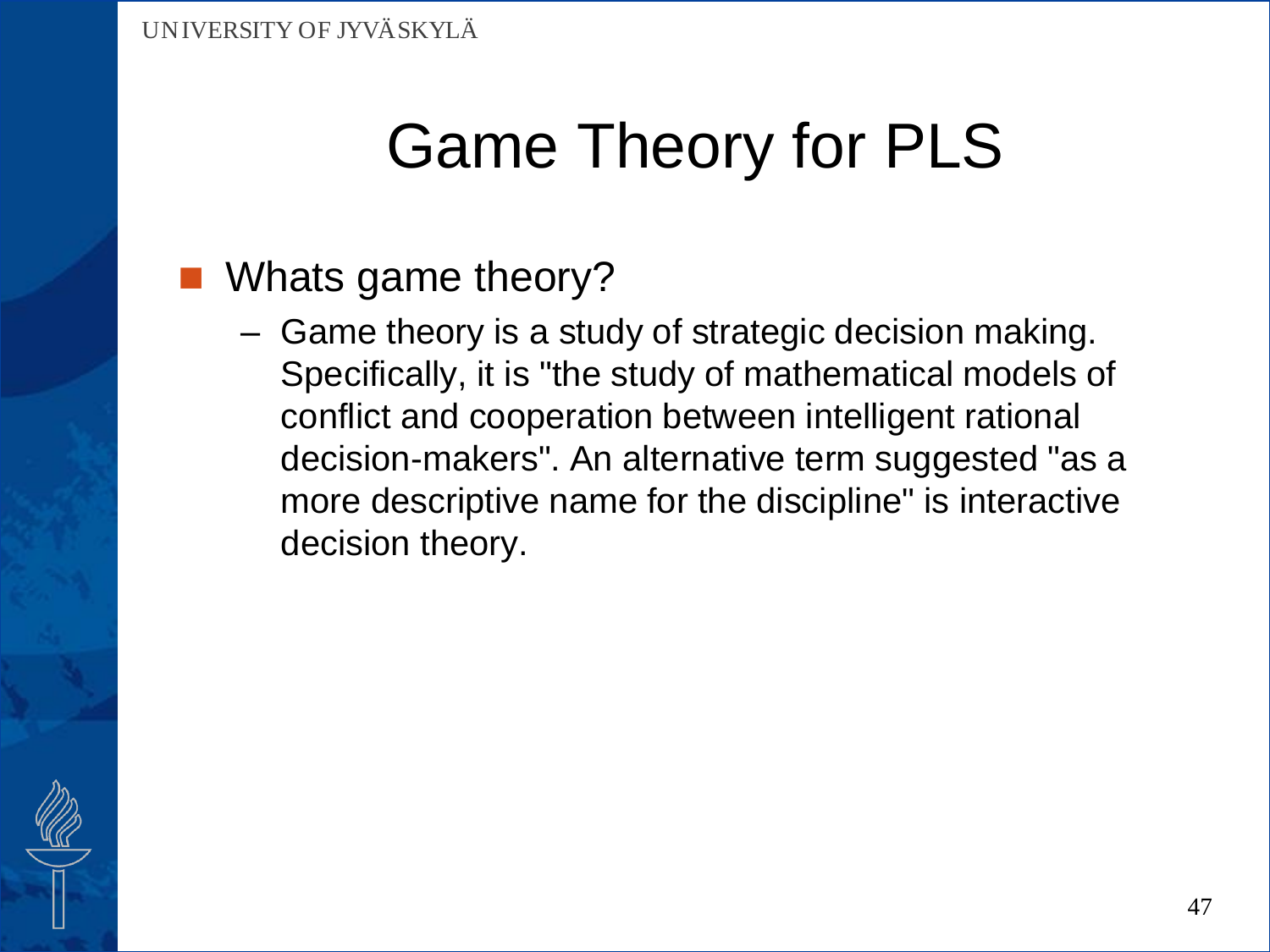### Whats game theory?

– Game theory is a study of strategic decision making. Specifically, it is "the study of mathematical models of conflict and cooperation between intelligent rational decision-makers". An alternative term suggested "as a more descriptive name for the discipline" is interactive decision theory.

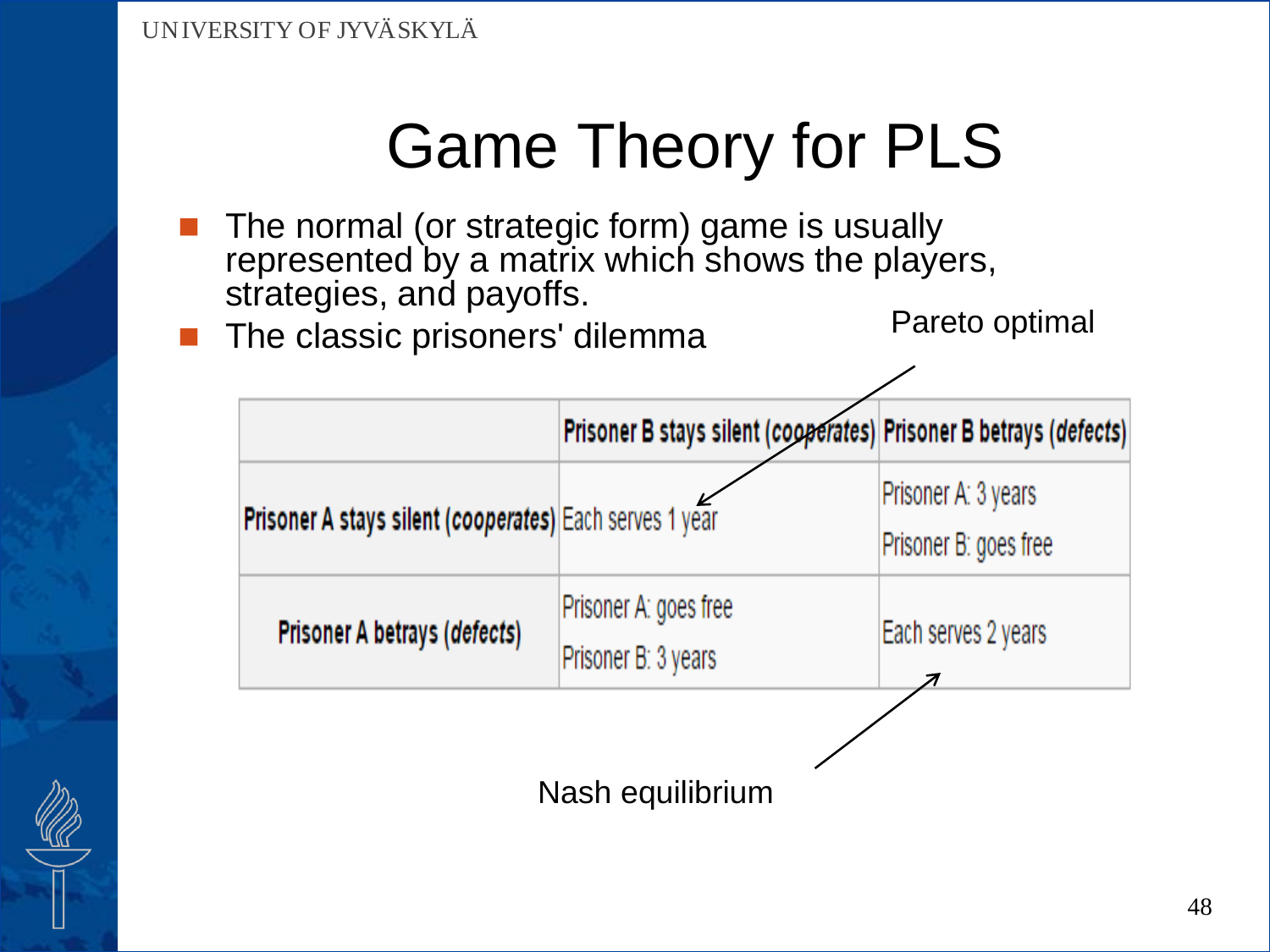- The normal (or strategic form) game is usually represented by a matrix which shows the players, strategies, and payoffs.
- The classic prisoners' dilemma

Pareto optimal

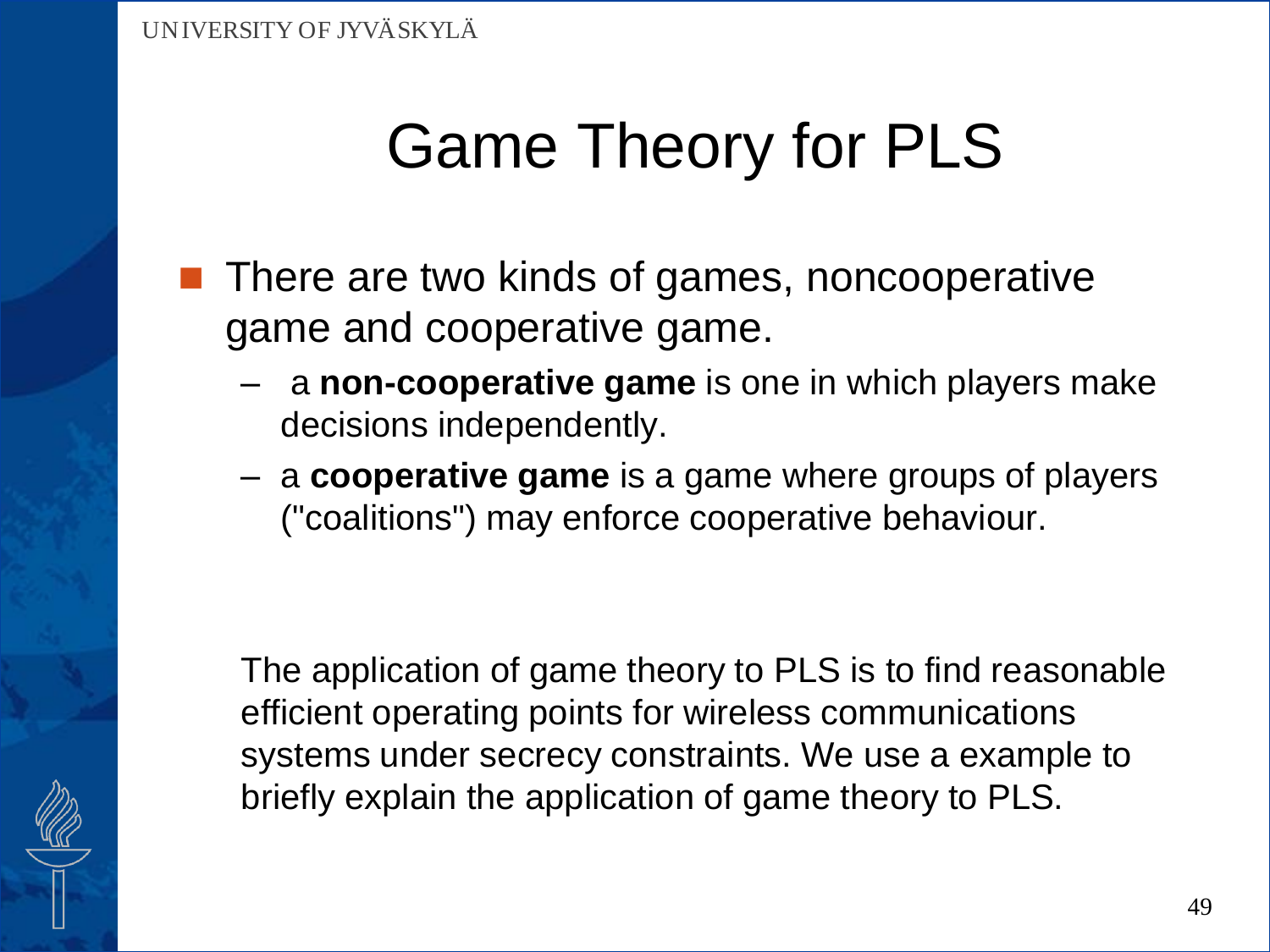- **There are two kinds of games, noncooperative** game and cooperative game.
	- a **non-cooperative game** is one in which players make decisions independently.
	- a **cooperative game** is a game where groups of players ("coalitions") may enforce cooperative behaviour.

The application of game theory to PLS is to find reasonable efficient operating points for wireless communications systems under secrecy constraints. We use a example to briefly explain the application of game theory to PLS.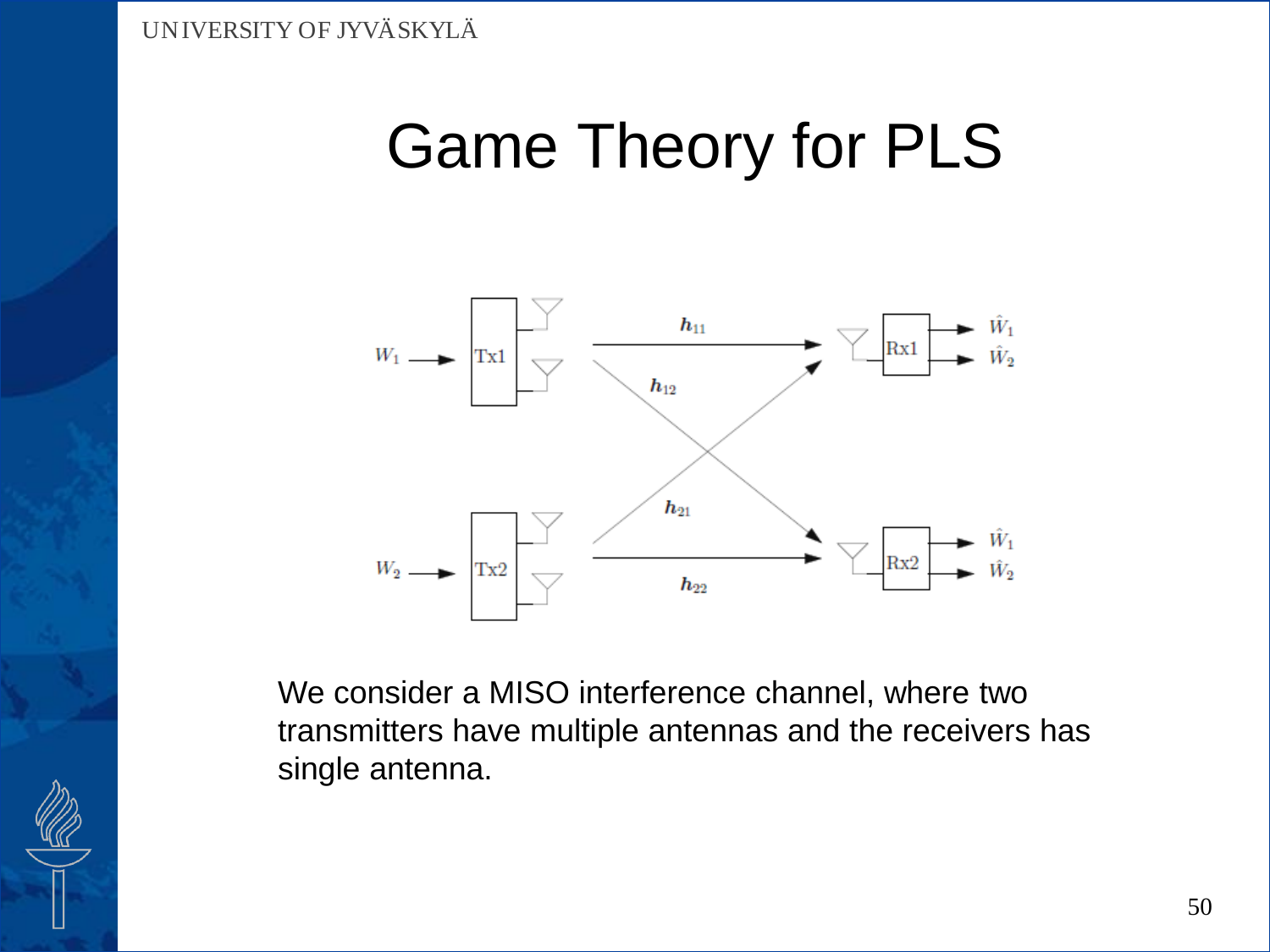

We consider a MISO interference channel, where two transmitters have multiple antennas and the receivers has single antenna.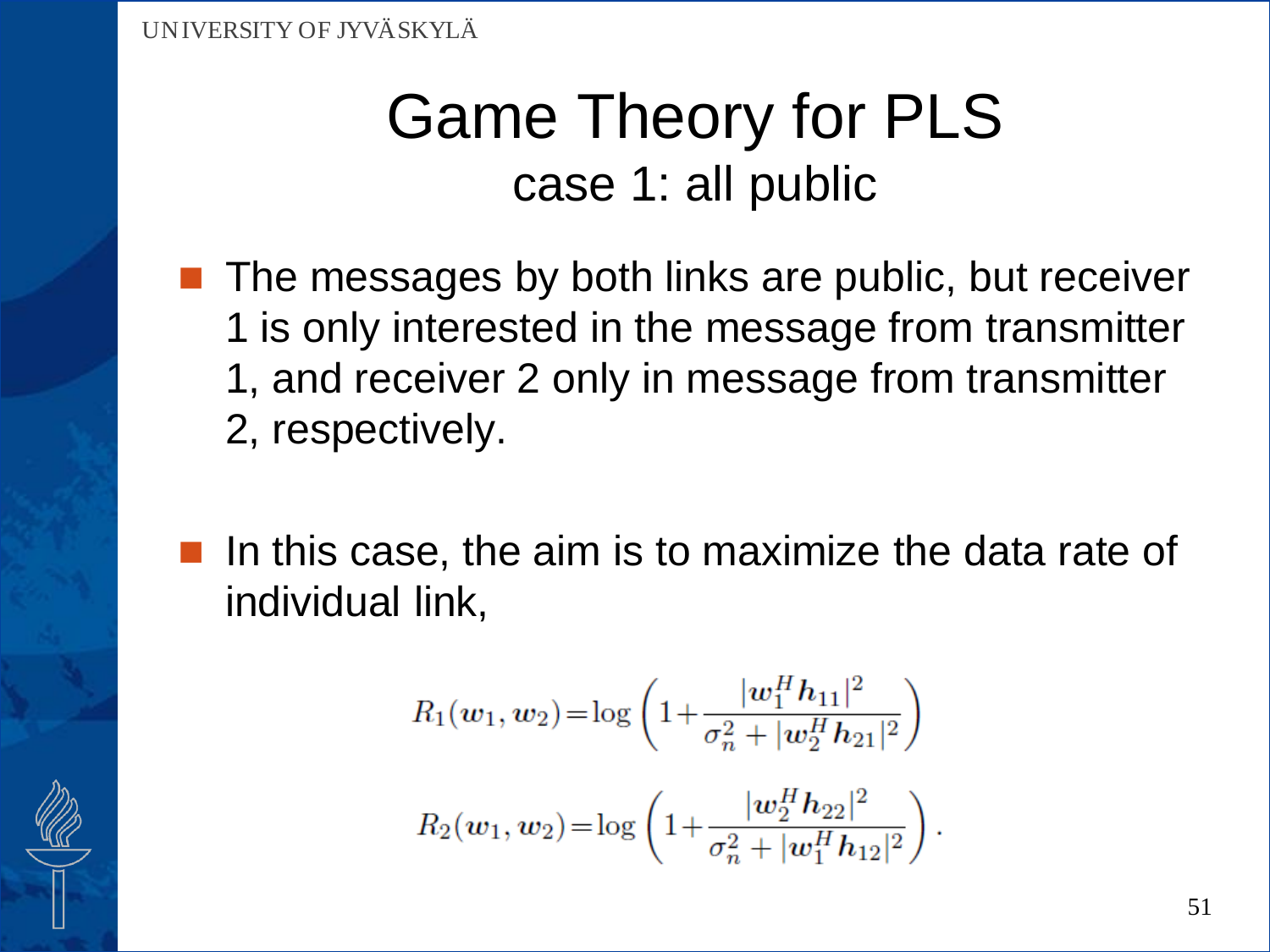### Game Theory for PLS case 1: all public

- $\blacksquare$  The messages by both links are public, but receiver 1 is only interested in the message from transmitter 1, and receiver 2 only in message from transmitter 2, respectively.
- In this case, the aim is to maximize the data rate of individual link,

$$
R_1(w_1, w_2) = \log \left( 1 + \frac{|w_1^H h_{11}|^2}{\sigma_n^2 + |w_2^H h_{21}|^2} \right)
$$
  

$$
R_2(w_1, w_2) = \log \left( 1 + \frac{|w_2^H h_{22}|^2}{\sigma_n^2 + |w_1^H h_{12}|^2} \right).
$$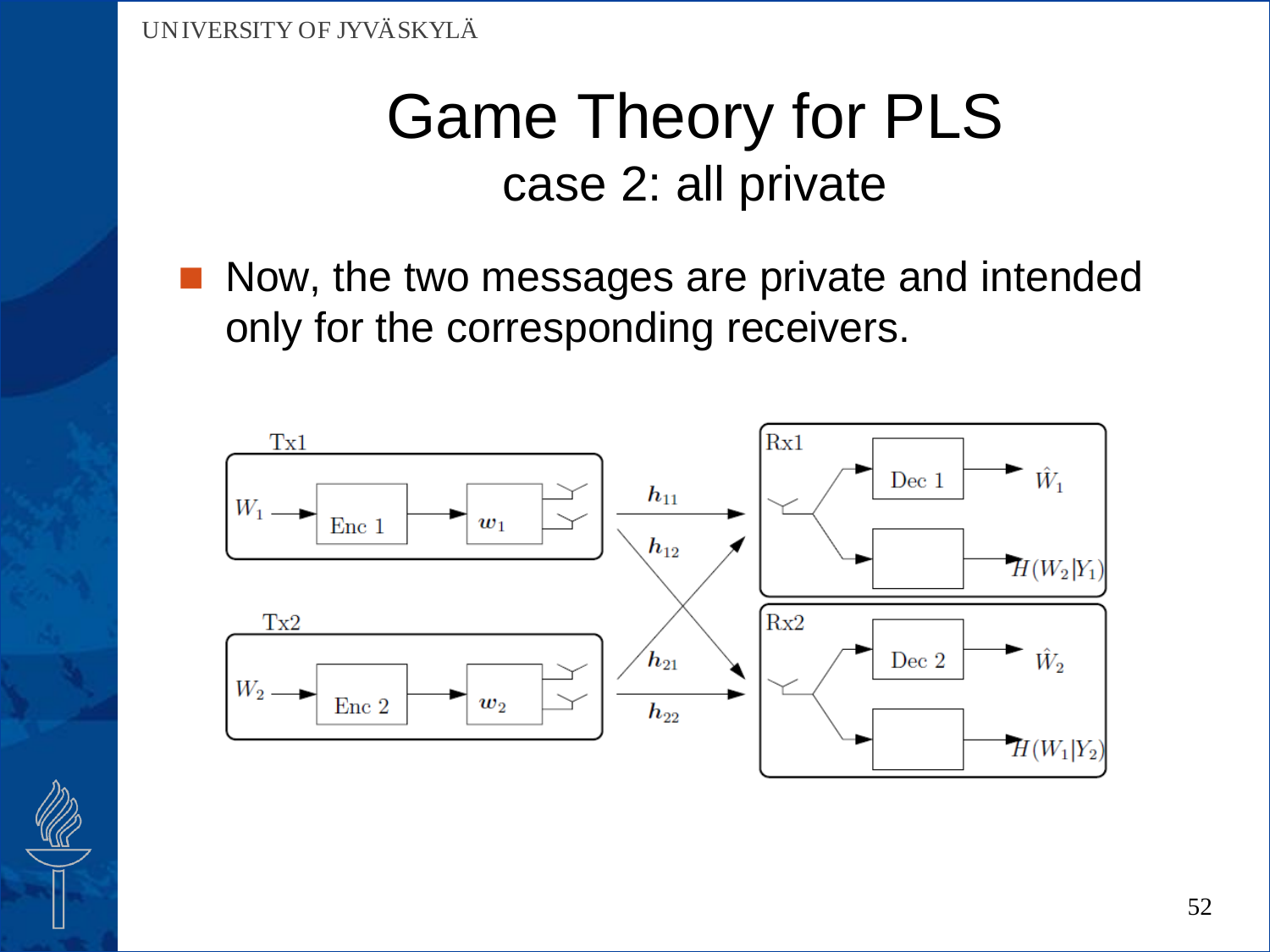### Game Theory for PLS case 2: all private

 Now, the two messages are private and intended only for the corresponding receivers.

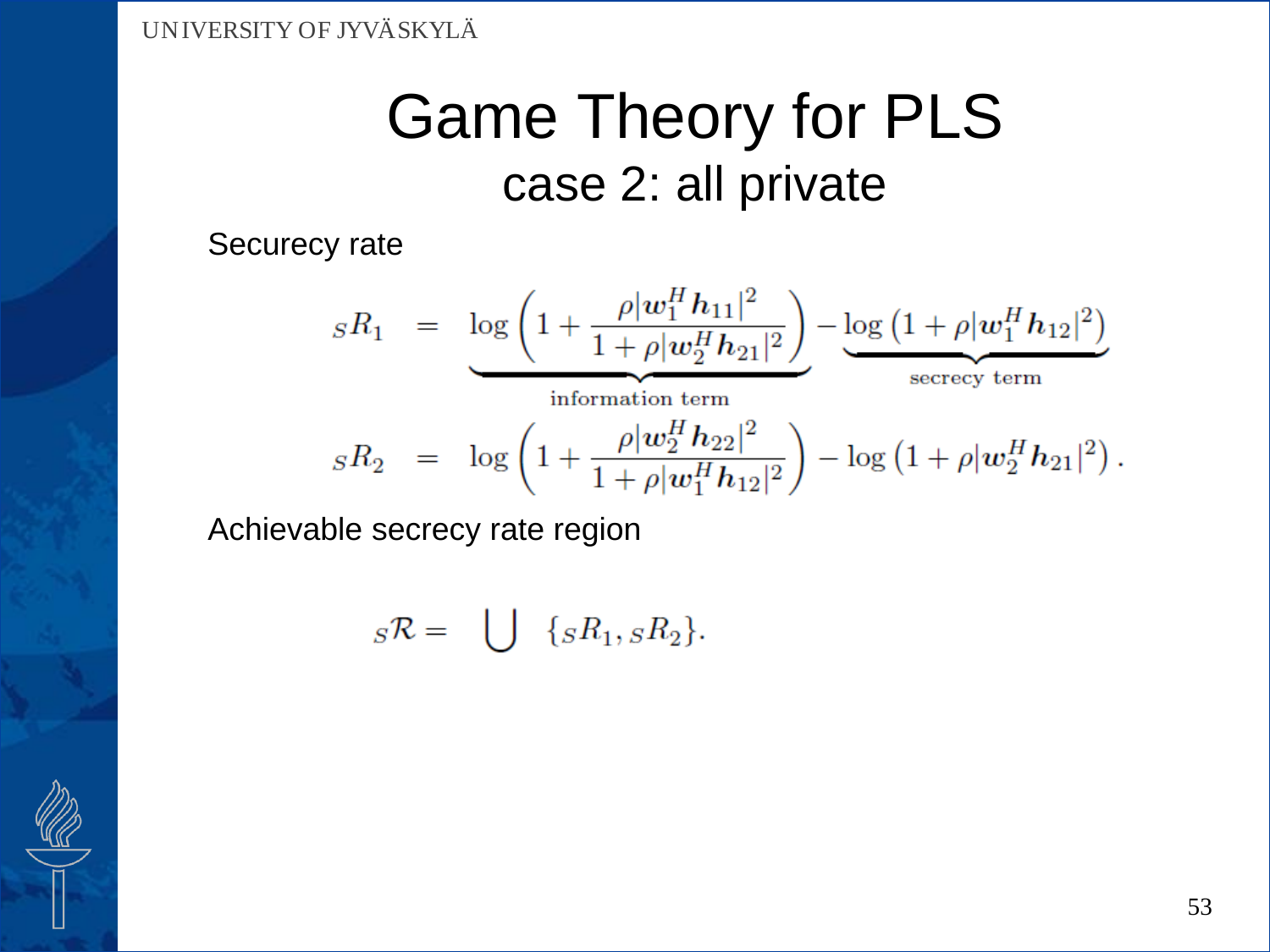### Game Theory for PLS case 2: all private

Securecy rate

 $sR_1 = \log\left(1 + \frac{\rho |w_1^H h_{11}|^2}{1 + \rho |w_2^H h_{21}|^2}\right) - \underbrace{\log\left(1 + \rho |w_1^H h_{12}|^2\right)}_{\text{secrecv term}}$ information term  $sR_2 = \log\left(1 + \frac{\rho |w_2^H h_{22}|^2}{1 + \rho |w_1^H h_{12}|^2}\right) - \log\left(1 + \rho |w_2^H h_{21}|^2\right).$ 

Achievable secrecy rate region

$$
{}_{S}\mathcal{R} = \bigcup \{ {}_{S}R_1, {}_{S}R_2 \}.
$$

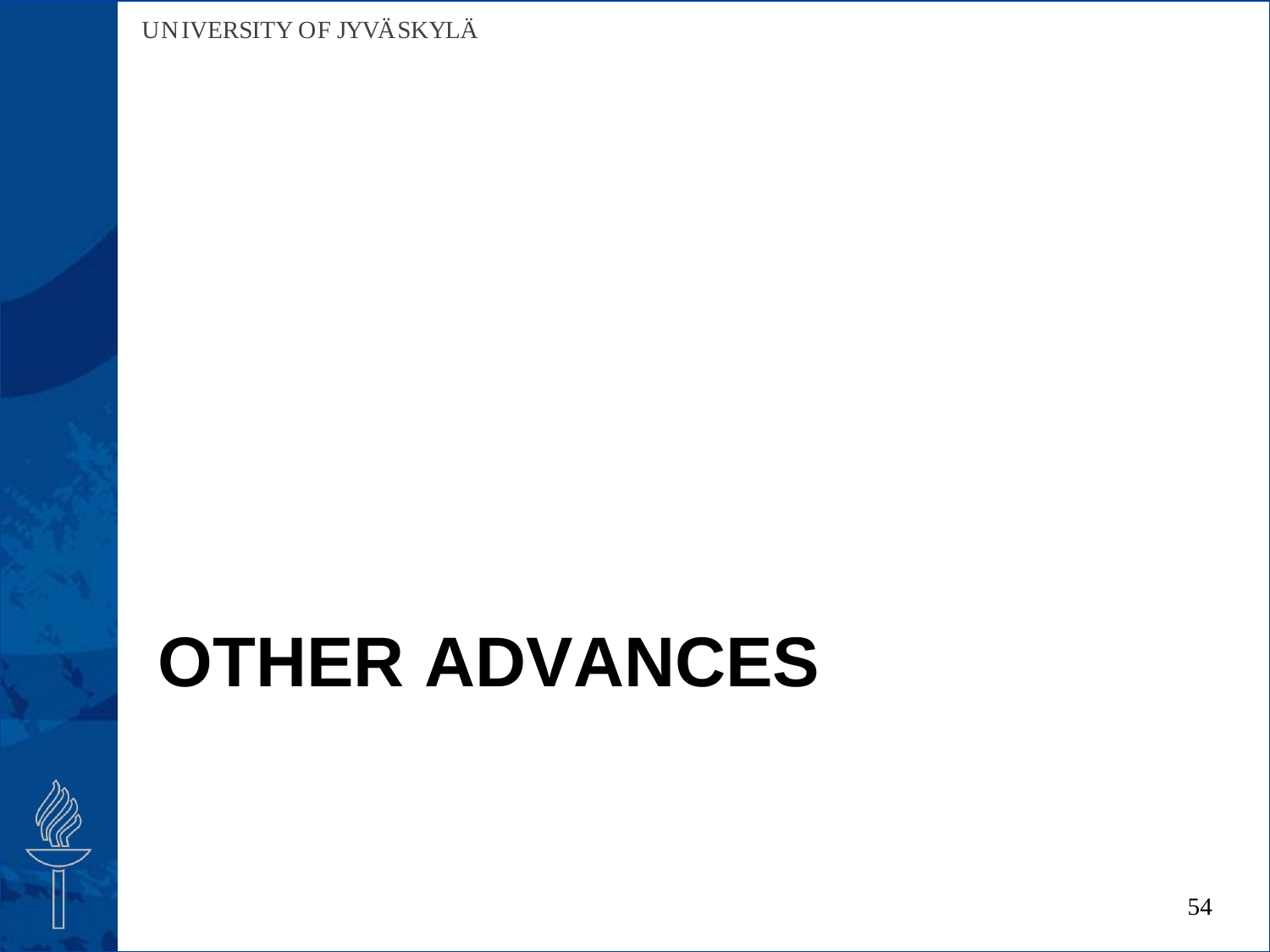# **OTHER ADVANCES**

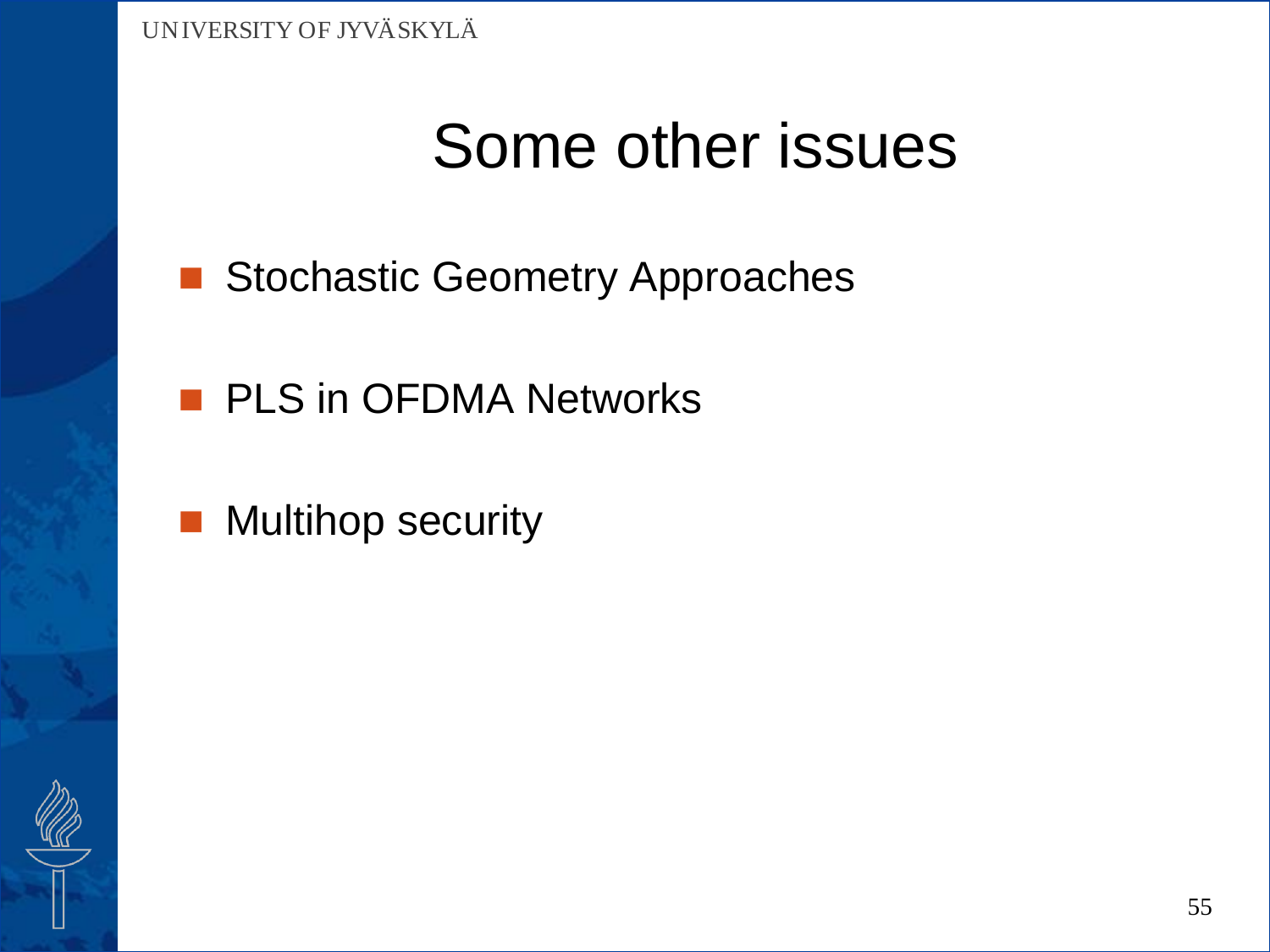## Some other issues

- Stochastic Geometry Approaches
- **PLS in OFDMA Networks**
- **Multihop security**

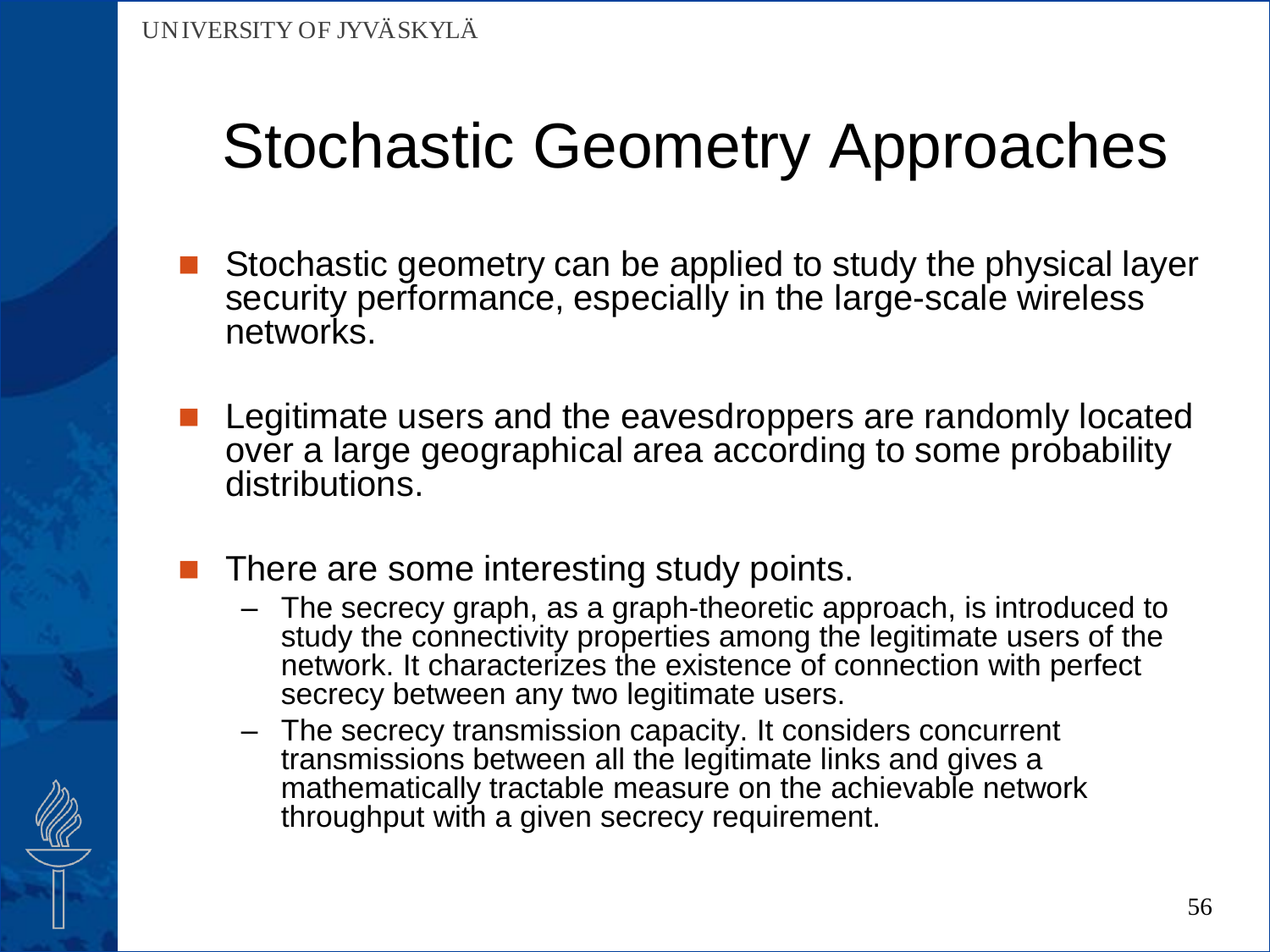- Stochastic geometry can be applied to study the physical layer security performance, especially in the large-scale wireless networks.
- Legitimate users and the eavesdroppers are randomly located over a large geographical area according to some probability distributions.
- There are some interesting study points.
	- The secrecy graph, as a graph-theoretic approach, is introduced to study the connectivity properties among the legitimate users of the network. It characterizes the existence of connection with perfect secrecy between any two legitimate users.
	- The secrecy transmission capacity. It considers concurrent transmissions between all the legitimate links and gives a mathematically tractable measure on the achievable network throughput with a given secrecy requirement.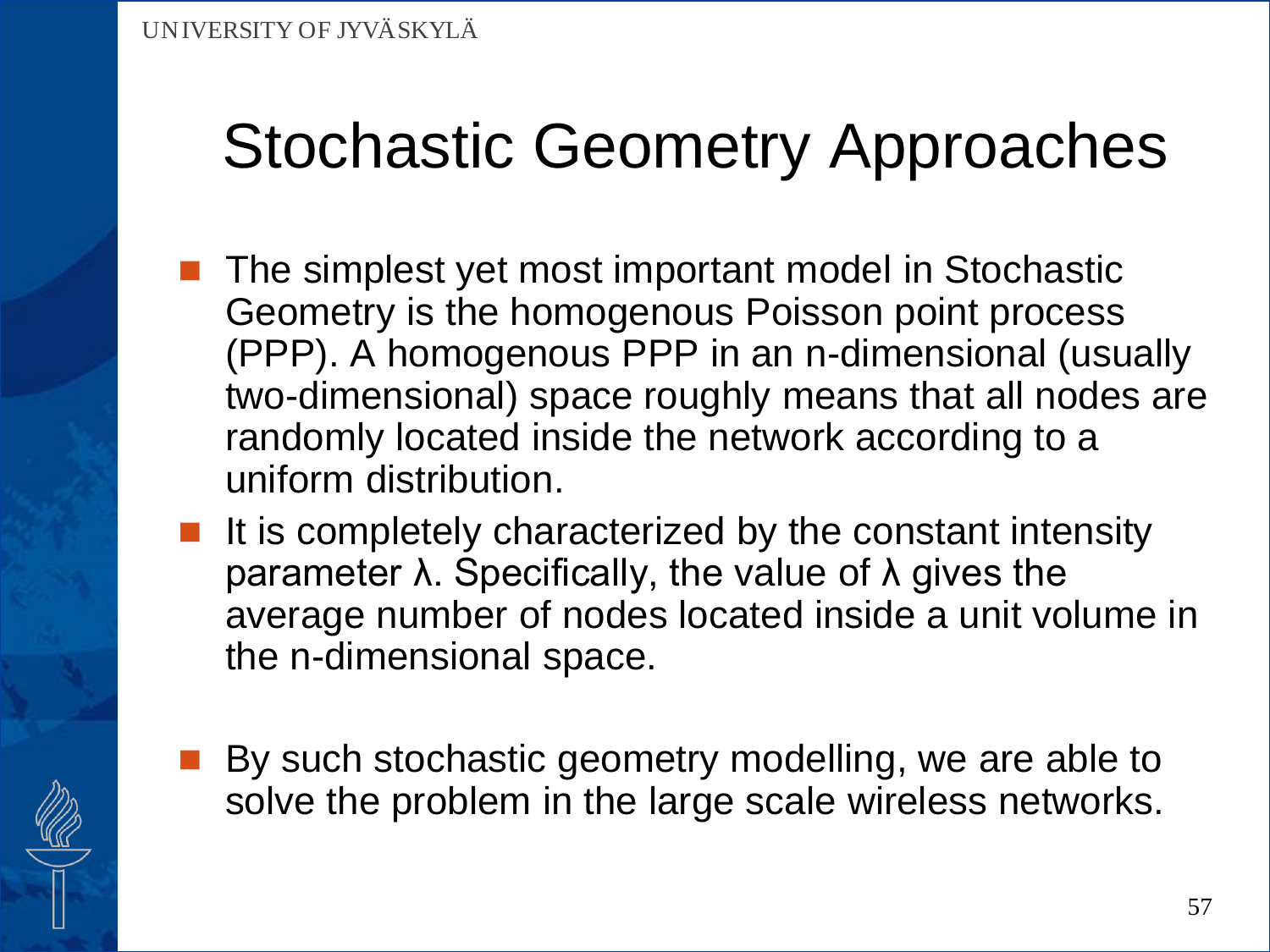- The simplest yet most important model in Stochastic Geometry is the homogenous Poisson point process (PPP). A homogenous PPP in an n-dimensional (usually two-dimensional) space roughly means that all nodes are randomly located inside the network according to a uniform distribution.
	- It is completely characterized by the constant intensity parameter λ. Specifically, the value of λ gives the average number of nodes located inside a unit volume in the n-dimensional space.
- By such stochastic geometry modelling, we are able to solve the problem in the large scale wireless networks.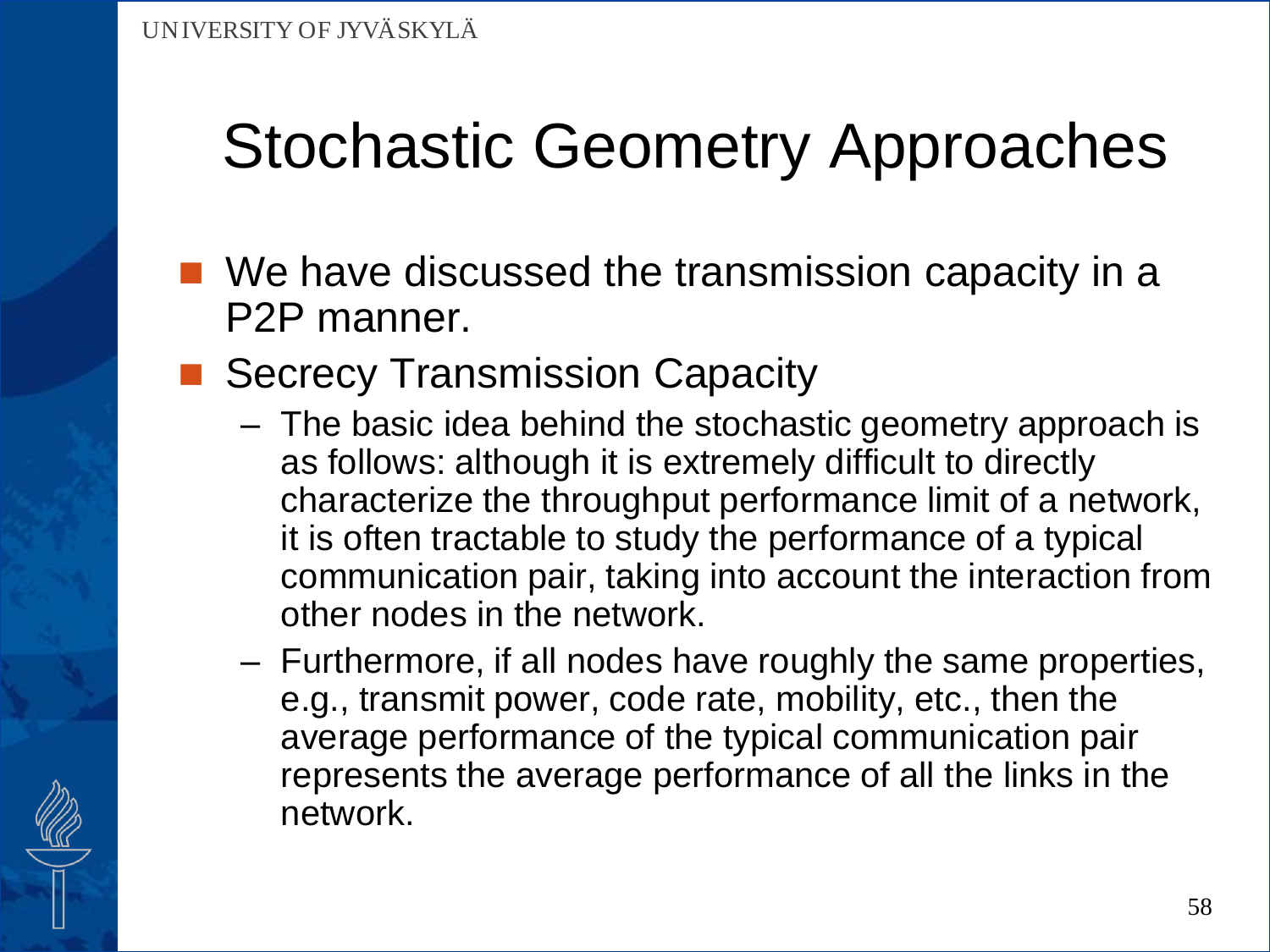- We have discussed the transmission capacity in a P2P manner.
- Secrecy Transmission Capacity
	- The basic idea behind the stochastic geometry approach is as follows: although it is extremely difficult to directly characterize the throughput performance limit of a network, it is often tractable to study the performance of a typical communication pair, taking into account the interaction from other nodes in the network.
	- Furthermore, if all nodes have roughly the same properties, e.g., transmit power, code rate, mobility, etc., then the average performance of the typical communication pair represents the average performance of all the links in the network.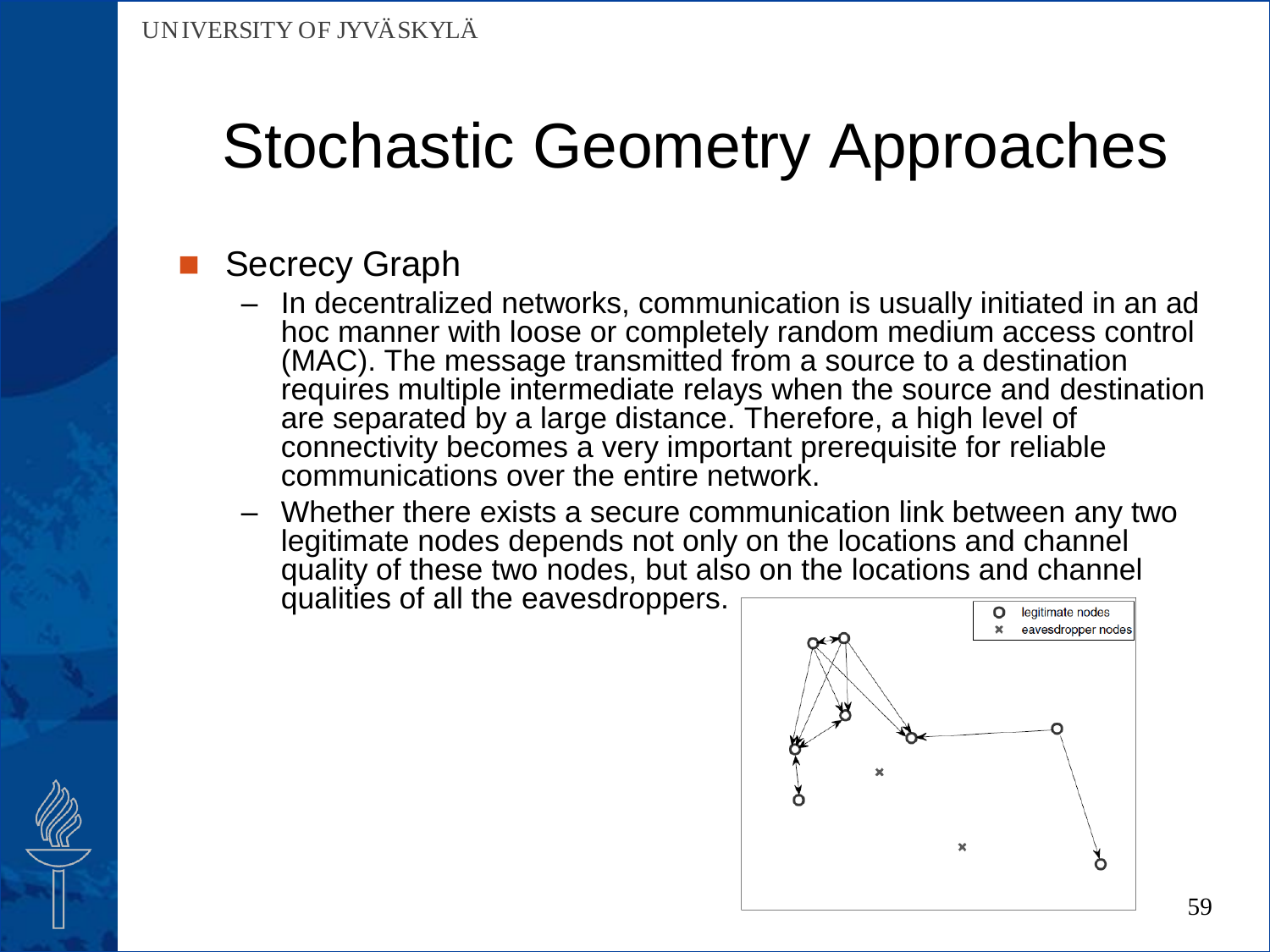### Secrecy Graph

- In decentralized networks, communication is usually initiated in an ad hoc manner with loose or completely random medium access control (MAC). The message transmitted from a source to a destination requires multiple intermediate relays when the source and destination are separated by a large distance. Therefore, a high level of connectivity becomes a very important prerequisite for reliable communications over the entire network.
- Whether there exists a secure communication link between any two legitimate nodes depends not only on the locations and channel quality of these two nodes, but also on the locations and channel qualities of all the eavesdroppers.

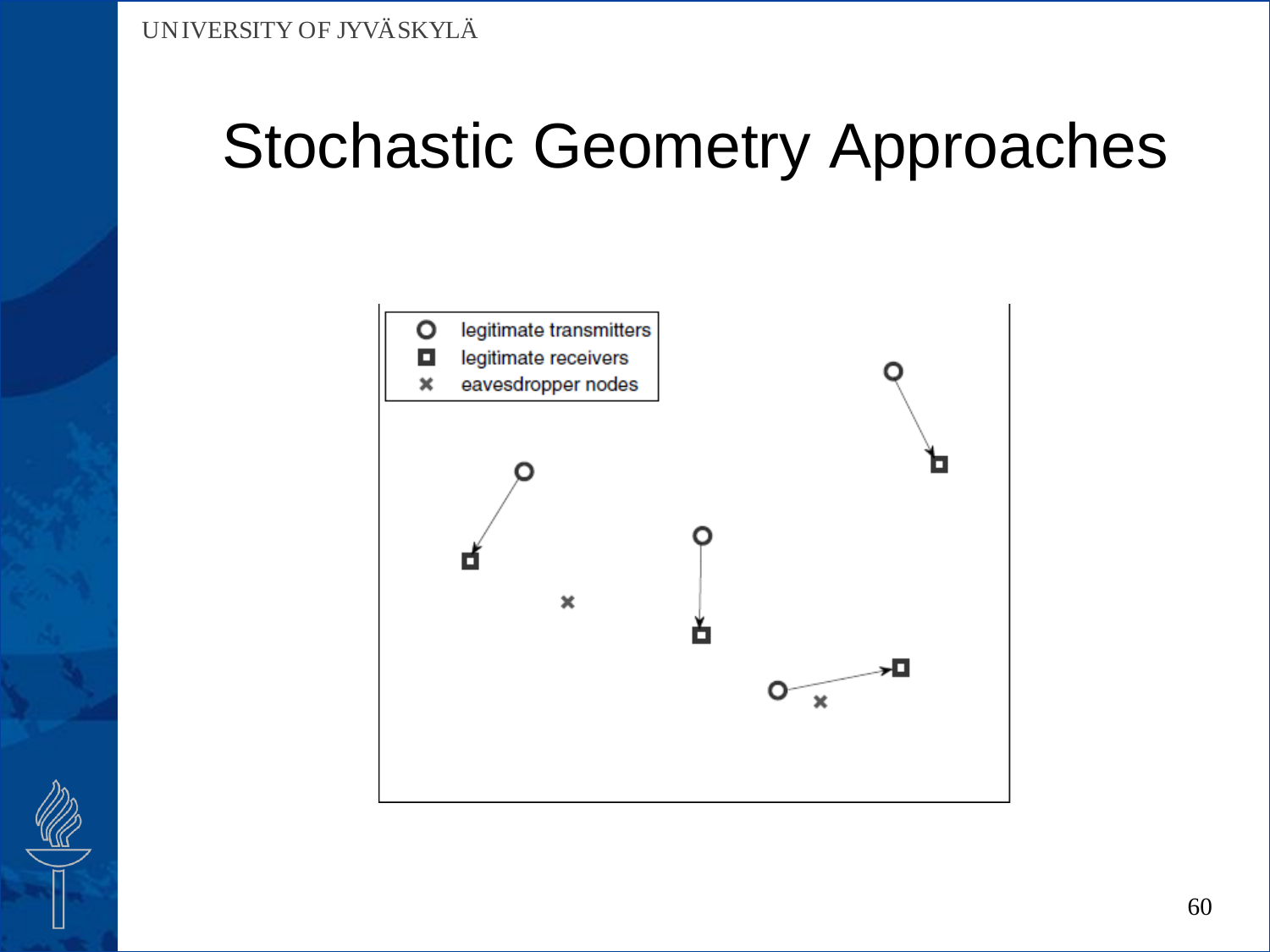

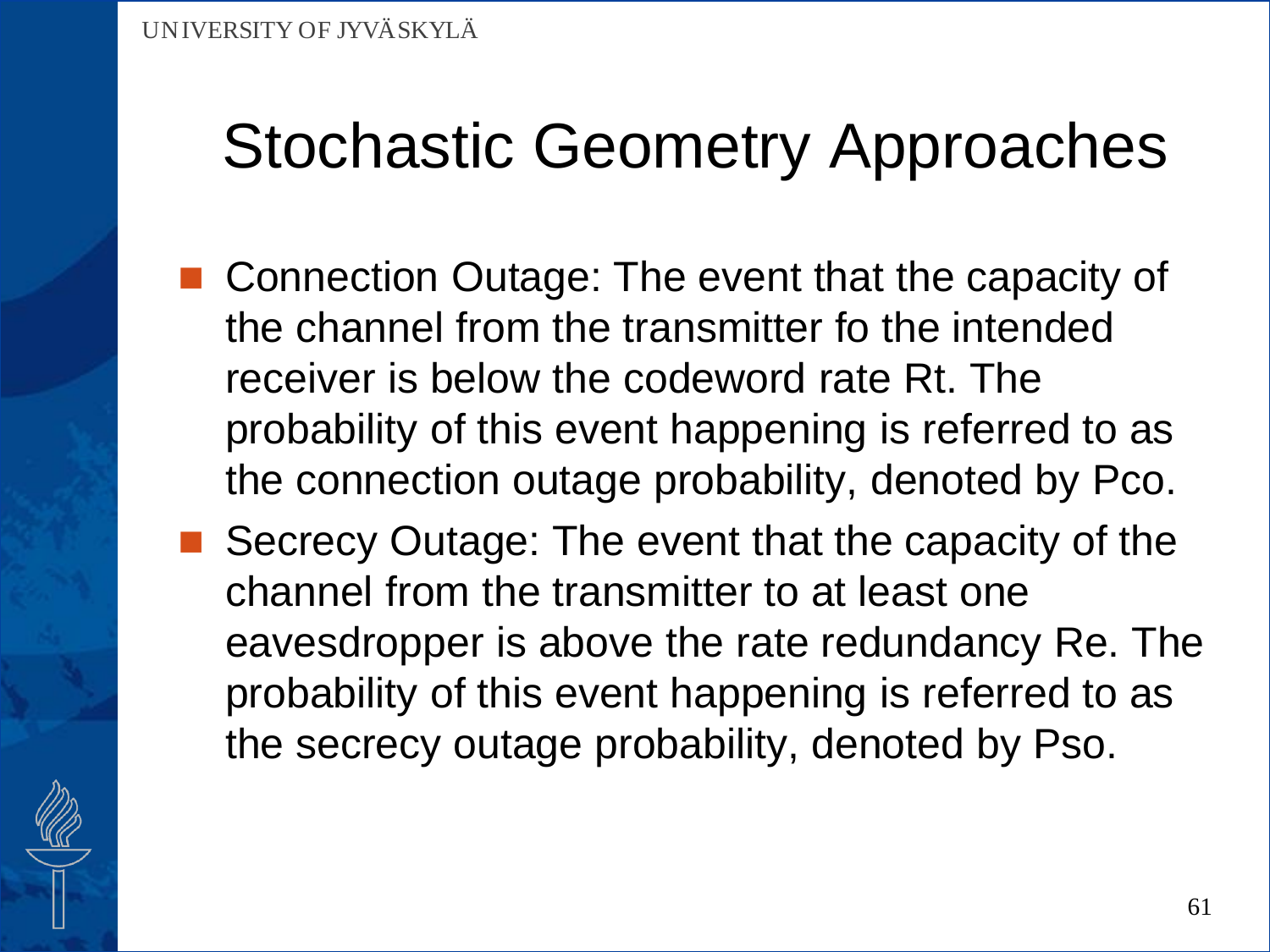- Connection Outage: The event that the capacity of the channel from the transmitter fo the intended receiver is below the codeword rate Rt. The probability of this event happening is referred to as the connection outage probability, denoted by Pco.
- Secrecy Outage: The event that the capacity of the channel from the transmitter to at least one eavesdropper is above the rate redundancy Re. The probability of this event happening is referred to as the secrecy outage probability, denoted by Pso.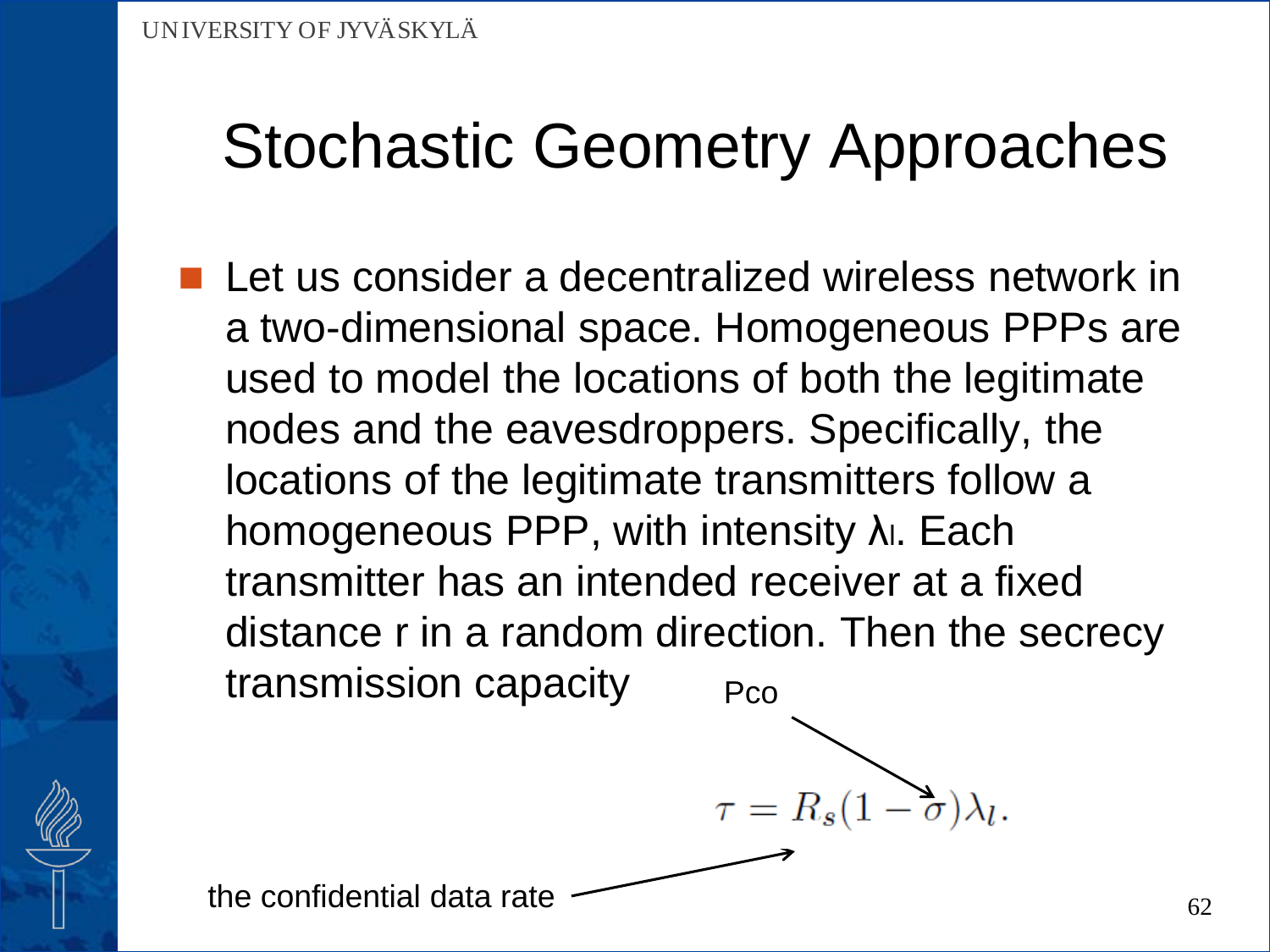Let us consider a decentralized wireless network in a two-dimensional space. Homogeneous PPPs are used to model the locations of both the legitimate nodes and the eavesdroppers. Specifically, the locations of the legitimate transmitters follow a homogeneous PPP, with intensity λι. Each transmitter has an intended receiver at a fixed distance r in a random direction. Then the secrecy transmission capacity Pco

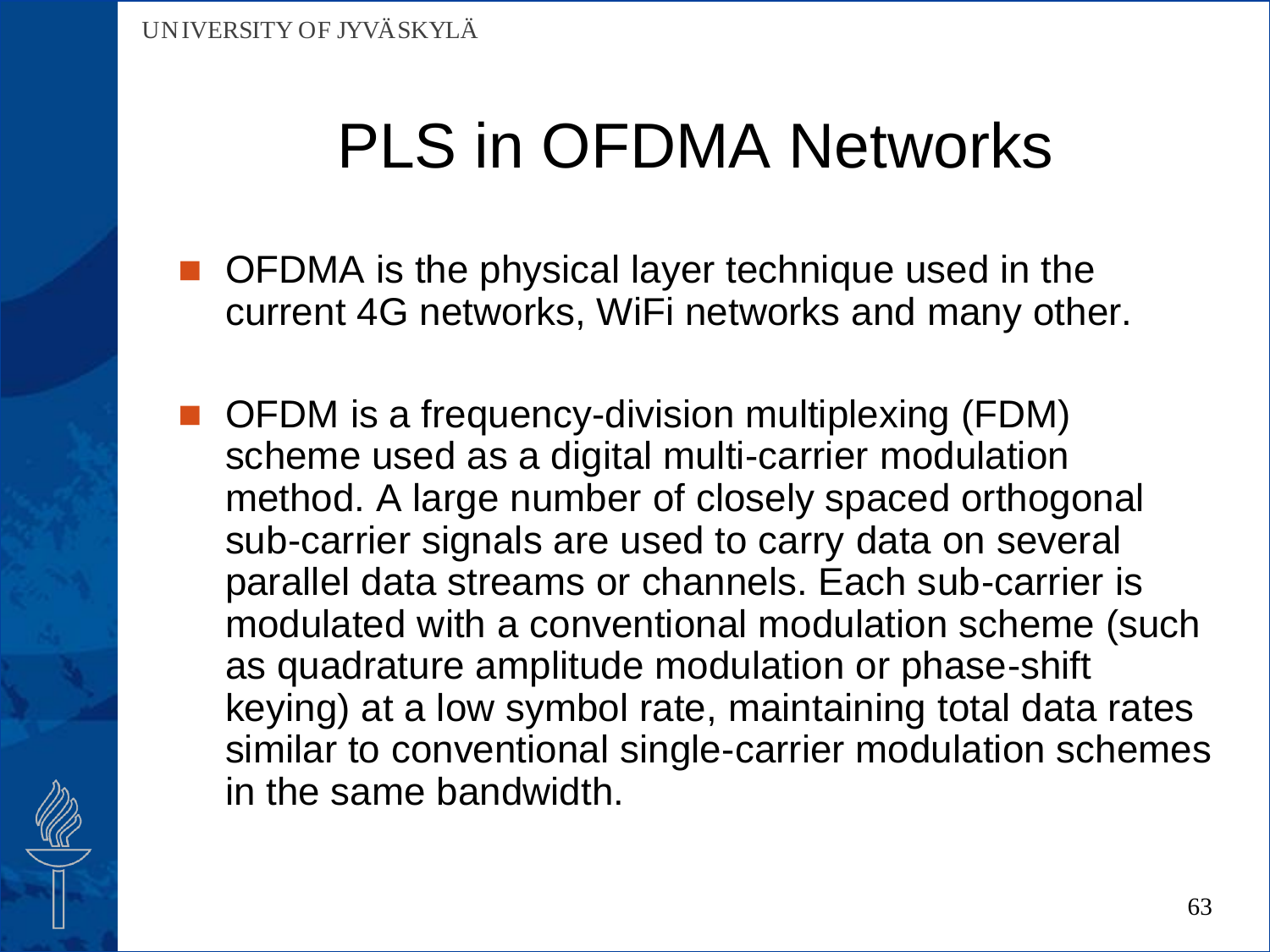- OFDMA is the physical layer technique used in the current 4G networks, WiFi networks and many other.
- OFDM is a frequency-division multiplexing (FDM) scheme used as a digital multi-carrier modulation method. A large number of closely spaced orthogonal sub-carrier signals are used to carry data on several parallel data streams or channels. Each sub-carrier is modulated with a conventional modulation scheme (such as quadrature amplitude modulation or phase-shift keying) at a low symbol rate, maintaining total data rates similar to conventional single-carrier modulation schemes in the same bandwidth.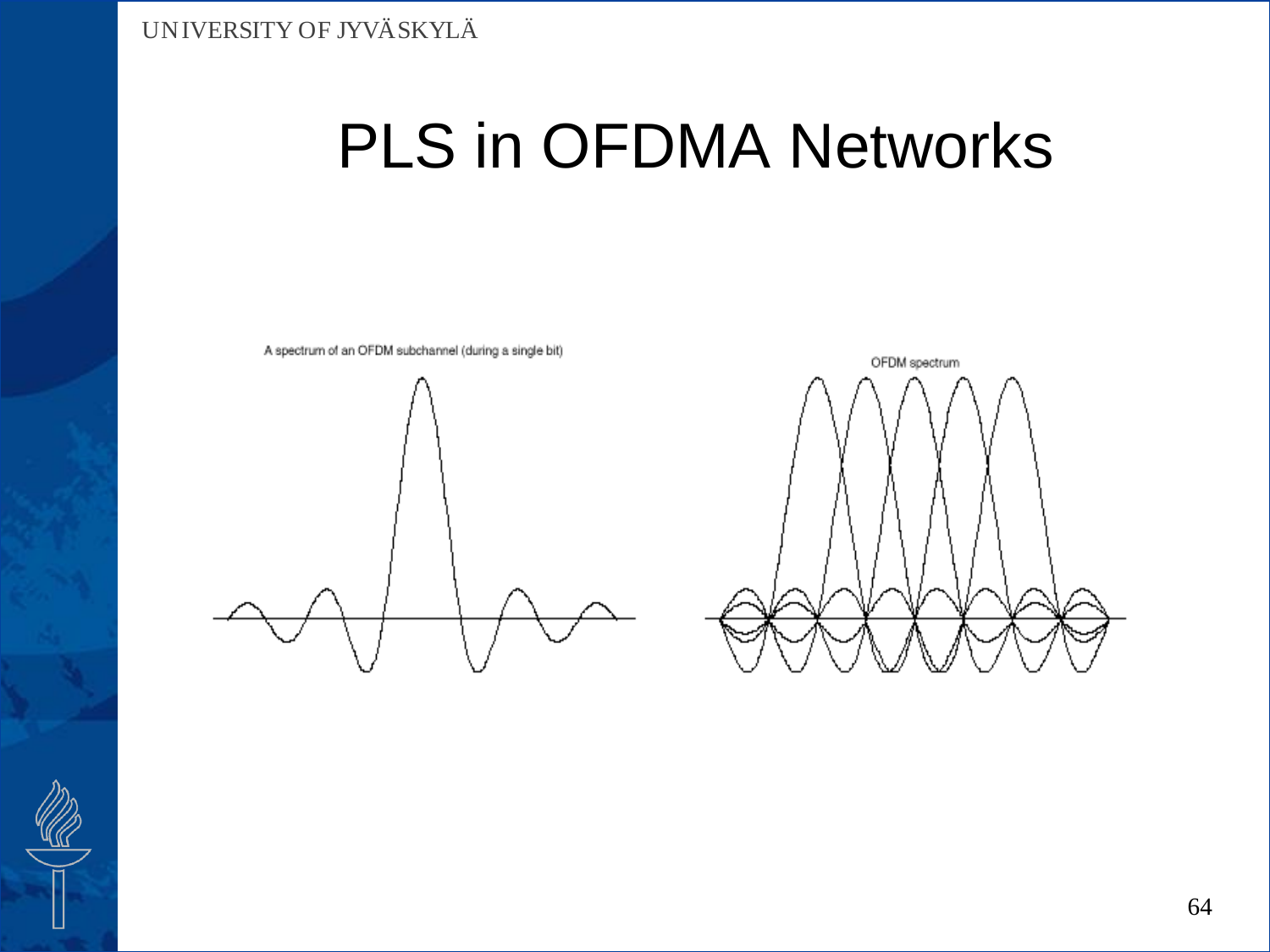



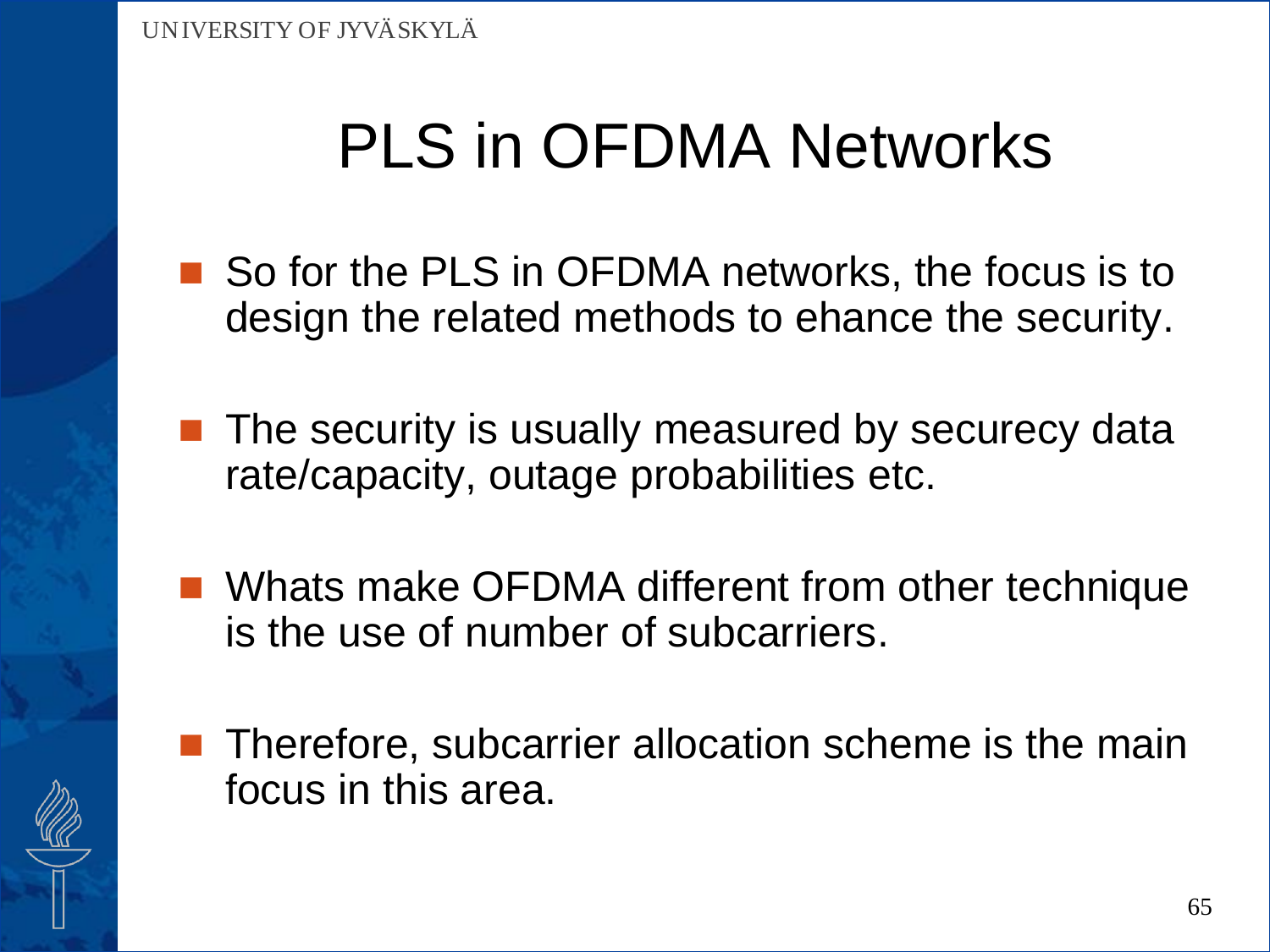- So for the PLS in OFDMA networks, the focus is to design the related methods to ehance the security.
- $\blacksquare$  The security is usually measured by securecy data rate/capacity, outage probabilities etc.
- Whats make OFDMA different from other technique is the use of number of subcarriers.
- Therefore, subcarrier allocation scheme is the main focus in this area.

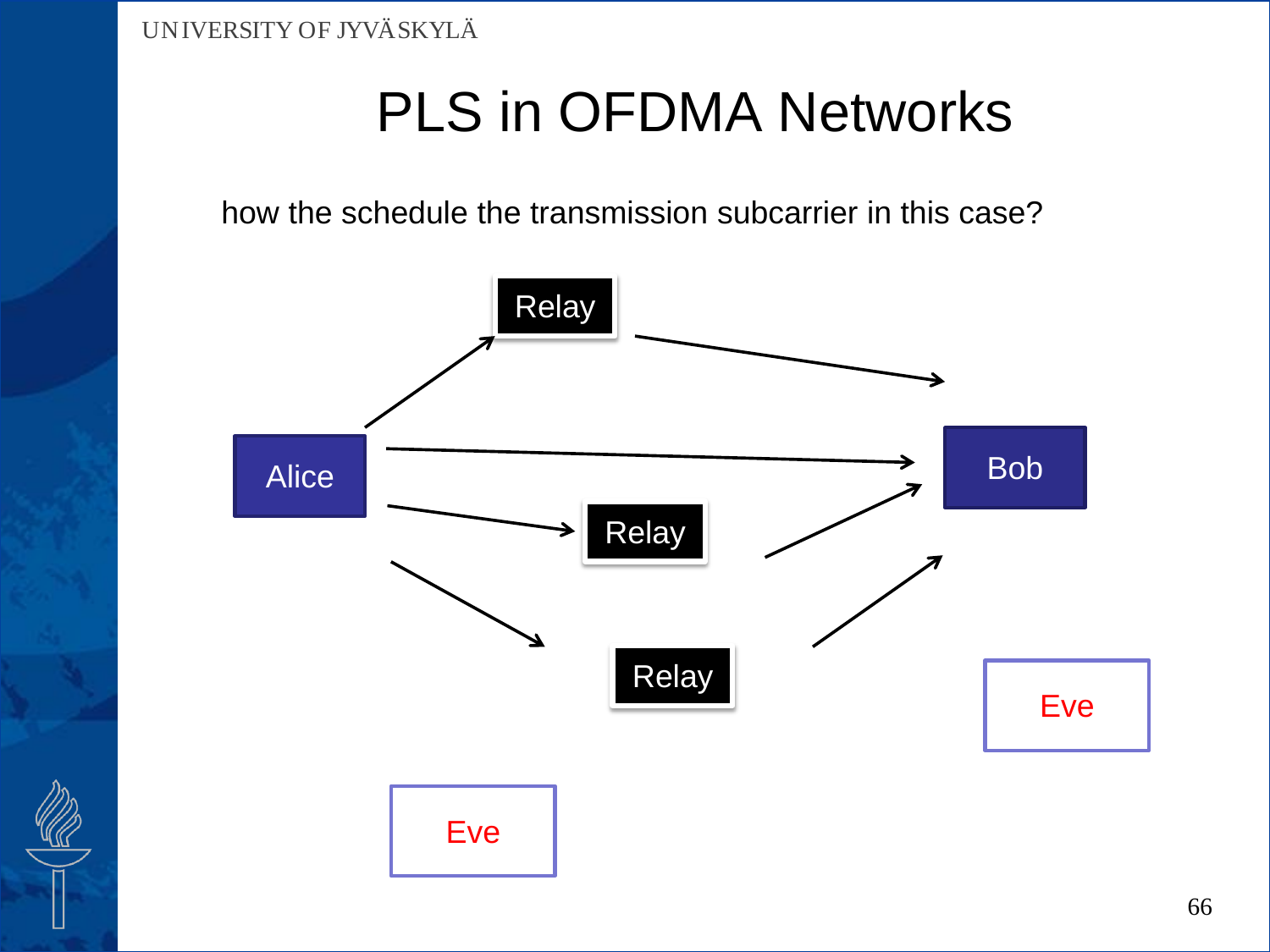how the schedule the transmission subcarrier in this case?